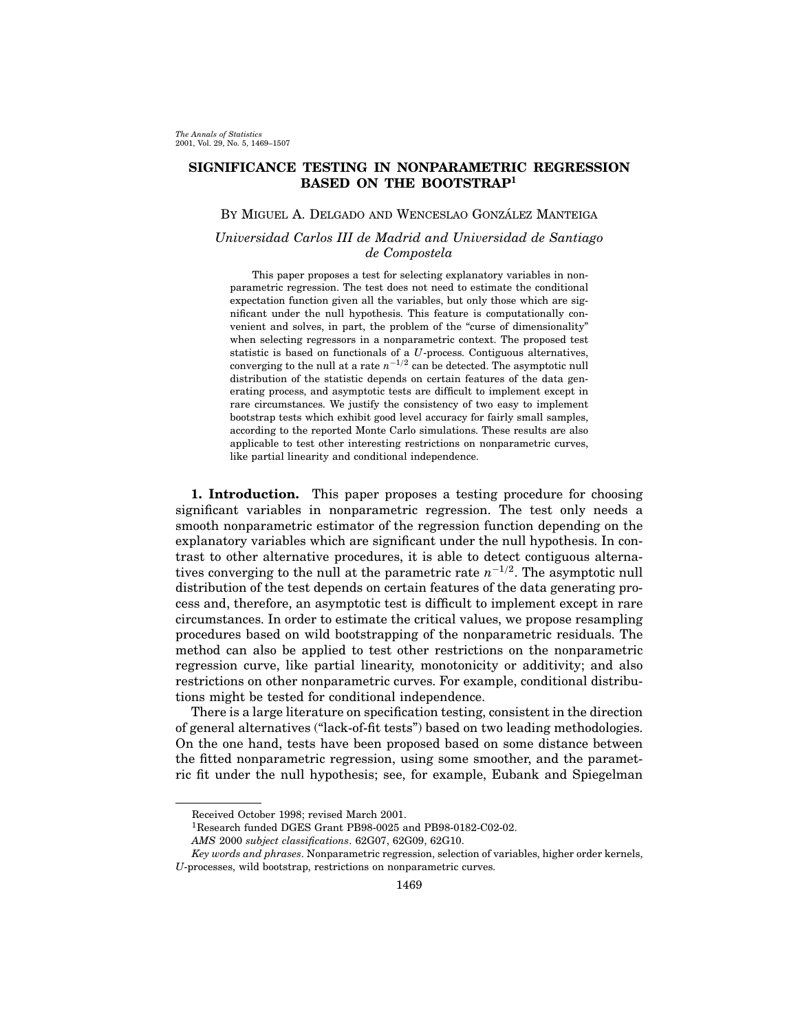# SIGNIFICANCE TESTING IN NONPARAMETRIC REGRESSION BASED ON THE BOOTSTRAP<sup>1</sup>

## BY MIGUEL A. DELGADO AND WENCESLAO GONZÁLEZ MANTEIGA

## Universidad Carlos III de Madrid and Universidad de Santiago de Compostela

This paper proposes a test for selecting explanatory variables in nonparametric regression. The test does not need to estimate the conditional expectation function given all the variables, but only those which are significant under the null hypothesis. This feature is computationally convenient and solves, in part, the problem of the "curse of dimensionality" when selecting regressors in a nonparametric context. The proposed test statistic is based on functionals of a U-process. Contiguous alternatives, converging to the null at a rate  $n^{-1/2}$  can be detected. The asymptotic null distribution of the statistic depends on certain features of the data generating process, and asymptotic tests are difficult to implement except in rare circumstances. We justify the consistency of two easy to implement bootstrap tests which exhibit good level accuracy for fairly small samples, according to the reported Monte Carlo simulations. These results are also applicable to test other interesting restrictions on nonparametric curves, like partial linearity and conditional independence.

1. Introduction. This paper proposes a testing procedure for choosing significant variables in nonparametric regression. The test only needs a smooth nonparametric estimator of the regression function depending on the explanatory variables which are significant under the null hypothesis. In contrast to other alternative procedures, it is able to detect contiguous alternatives converging to the null at the parametric rate  $n^{-1/2}$ . The asymptotic null distribution of the test depends on certain features of the data generating process and, therefore, an asymptotic test is difficult to implement except in rare circumstances. In order to estimate the critical values, we propose resampling procedures based on wild bootstrapping of the nonparametric residuals. The method can also be applied to test other restrictions on the nonparametric regression curve, like partial linearity, monotonicity or additivity; and also restrictions on other nonparametric curves. For example, conditional distributions might be tested for conditional independence.

There is a large literature on specification testing, consistent in the direction of general alternatives ("lack-of-fit tests") based on two leading methodologies. On the one hand, tests have been proposed based on some distance between the fitted nonparametric regression, using some smoother, and the parametric fit under the null hypothesis; see, for example, Eubank and Spiegelman

Received October 1998; revised March 2001.

<sup>1</sup>Research funded DGES Grant PB98-0025 and PB98-0182-C02-02.

AMS 2000 subject classifications. 62G07, 62G09, 62G10.

Key words and phrases. Nonparametric regression, selection of variables, higher order kernels, U-processes, wild bootstrap, restrictions on nonparametric curves.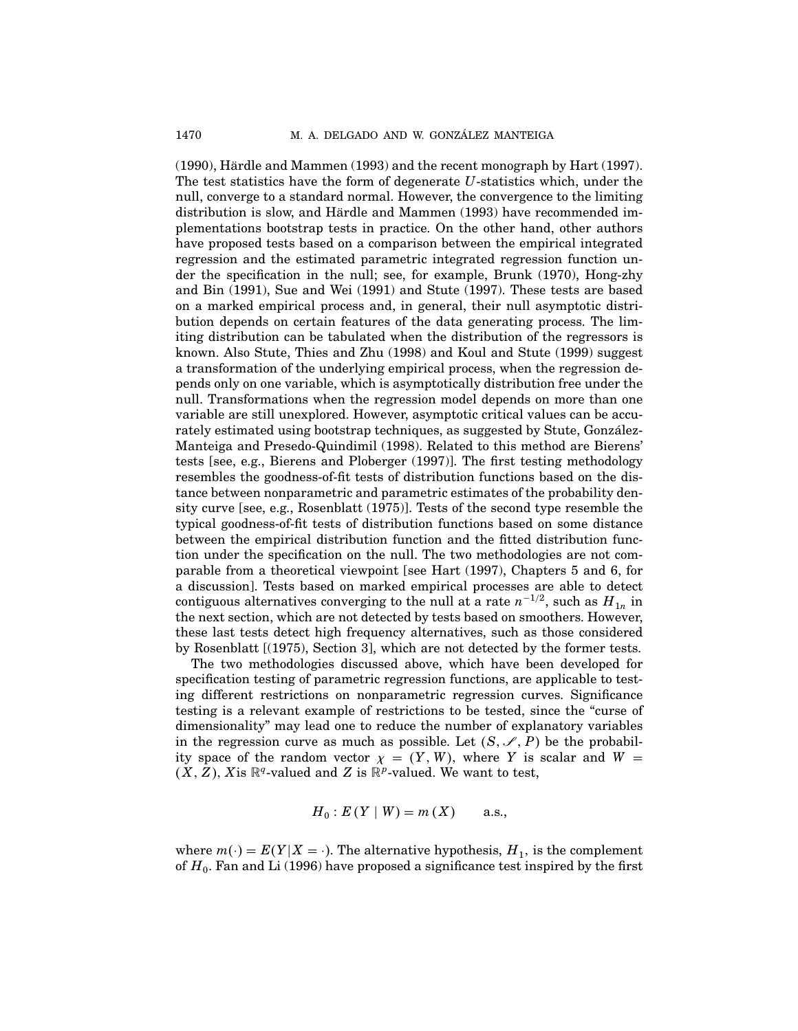(1990), Hardle and Mammen (1993) and the recent monograph by Hart (1997). ¨ The test statistics have the form of degenerate U-statistics which, under the null, converge to a standard normal. However, the convergence to the limiting distribution is slow, and Härdle and Mammen (1993) have recommended implementations bootstrap tests in practice. On the other hand, other authors have proposed tests based on a comparison between the empirical integrated regression and the estimated parametric integrated regression function under the specification in the null; see, for example, Brunk (1970), Hong-zhy and Bin (1991), Sue and Wei (1991) and Stute (1997). These tests are based on a marked empirical process and, in general, their null asymptotic distribution depends on certain features of the data generating process. The limiting distribution can be tabulated when the distribution of the regressors is known. Also Stute, Thies and Zhu (1998) and Koul and Stute (1999) suggest a transformation of the underlying empirical process, when the regression depends only on one variable, which is asymptotically distribution free under the null. Transformations when the regression model depends on more than one variable are still unexplored. However, asymptotic critical values can be accurately estimated using bootstrap techniques, as suggested by Stute, González-Manteiga and Presedo-Quindimil (1998). Related to this method are Bierens' tests [see, e.g., Bierens and Ploberger (1997)]. The first testing methodology resembles the goodness-of-fit tests of distribution functions based on the distance between nonparametric and parametric estimates of the probability density curve [see, e.g., Rosenblatt (1975)]. Tests of the second type resemble the typical goodness-of-fit tests of distribution functions based on some distance between the empirical distribution function and the fitted distribution function under the specification on the null. The two methodologies are not comparable from a theoretical viewpoint [see Hart (1997), Chapters 5 and 6, for a discussion]. Tests based on marked empirical processes are able to detect contiguous alternatives converging to the null at a rate  $n^{-1/2}$ , such as  $H_{1n}$  in the next section, which are not detected by tests based on smoothers. However, these last tests detect high frequency alternatives, such as those considered by Rosenblatt [(1975), Section 3], which are not detected by the former tests.

The two methodologies discussed above, which have been developed for specification testing of parametric regression functions, are applicable to testing different restrictions on nonparametric regression curves. Significance testing is a relevant example of restrictions to be tested, since the "curse of dimensionality" may lead one to reduce the number of explanatory variables in the regression curve as much as possible. Let  $(S, \mathscr{I}, P)$  be the probability space of the random vector  $\chi = (Y, W)$ , where Y is scalar and W =  $(X, Z)$ , Xis  $\mathbb{R}^q$ -valued and Z is  $\mathbb{R}^p$ -valued. We want to test,

$$
H_0
$$
:  $E(Y | W) = m(X)$  a.s.,

where  $m(\cdot) = E(Y|X = \cdot)$ . The alternative hypothesis,  $H_1$ , is the complement of  $H_0$ . Fan and Li (1996) have proposed a significance test inspired by the first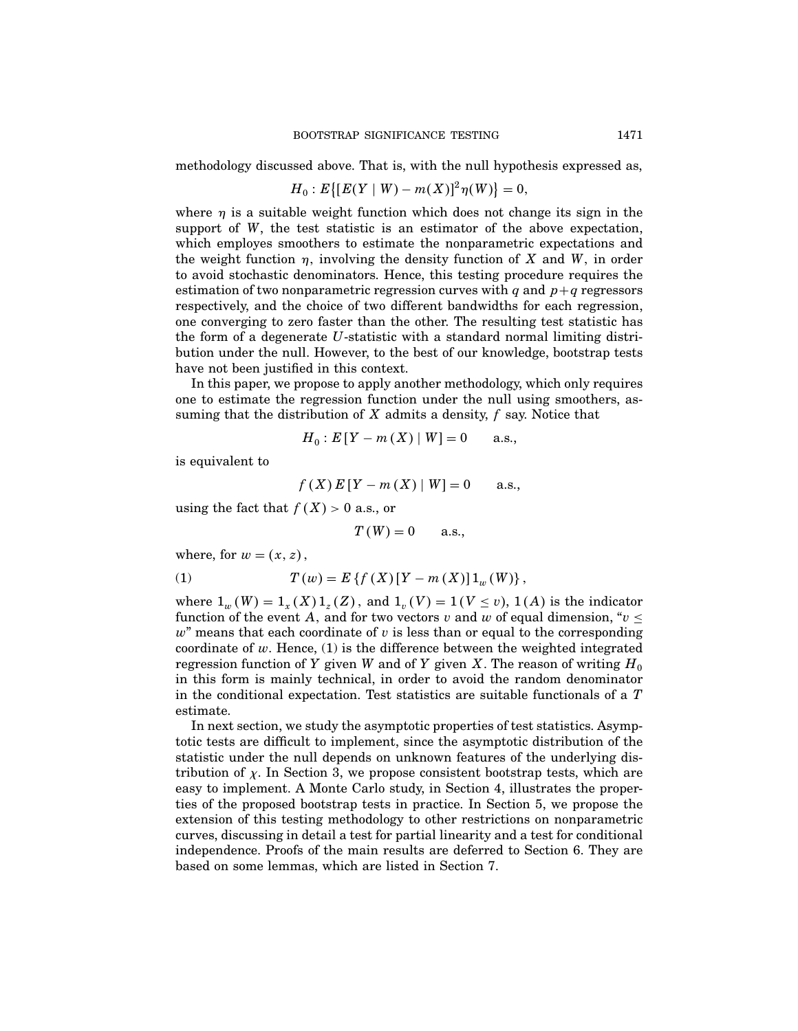methodology discussed above. That is, with the null hypothesis expressed as,

$$
H_0: E\{[E(Y \mid W) - m(X)]^2 \eta(W)\} = 0,
$$

where  $\eta$  is a suitable weight function which does not change its sign in the support of W, the test statistic is an estimator of the above expectation, which employes smoothers to estimate the nonparametric expectations and the weight function  $\eta$ , involving the density function of X and W, in order to avoid stochastic denominators. Hence, this testing procedure requires the estimation of two nonparametric regression curves with q and  $p+q$  regressors respectively, and the choice of two different bandwidths for each regression, one converging to zero faster than the other. The resulting test statistic has the form of a degenerate U-statistic with a standard normal limiting distribution under the null. However, to the best of our knowledge, bootstrap tests have not been justified in this context.

In this paper, we propose to apply another methodology, which only requires one to estimate the regression function under the null using smoothers, assuming that the distribution of  $X$  admits a density,  $f$  say. Notice that

$$
H_0
$$
:  $E[Y - m(X) | W] = 0$  a.s.,

is equivalent to

$$
f(X) E[Y - m(X) | W] = 0
$$
 a.s.,

using the fact that  $f(X) > 0$  a.s., or

$$
T(W) = 0 \qquad \text{a.s.,}
$$

where, for  $w = (x, z)$ ,

(1) 
$$
T(w) = E\{f(X)[Y - m(X)]1_w(W)\},\,
$$

where  $1_w(W) = 1_x(X)1_z(Z)$ , and  $1_v(V) = 1(V \le v)$ ,  $1(A)$  is the indicator function of the event A, and for two vectors v and w of equal dimension, " $v \leq$  $w^{\prime\prime}$  means that each coordinate of v is less than or equal to the corresponding coordinate of  $w$ . Hence, (1) is the difference between the weighted integrated regression function of Y given W and of Y given X. The reason of writing  $H_0$ in this form is mainly technical, in order to avoid the random denominator in the conditional expectation. Test statistics are suitable functionals of a T estimate.

In next section, we study the asymptotic properties of test statistics. Asymptotic tests are difficult to implement, since the asymptotic distribution of the statistic under the null depends on unknown features of the underlying distribution of  $\chi$ . In Section 3, we propose consistent bootstrap tests, which are easy to implement. A Monte Carlo study, in Section 4, illustrates the properties of the proposed bootstrap tests in practice. In Section 5, we propose the extension of this testing methodology to other restrictions on nonparametric curves, discussing in detail a test for partial linearity and a test for conditional independence. Proofs of the main results are deferred to Section 6. They are based on some lemmas, which are listed in Section 7.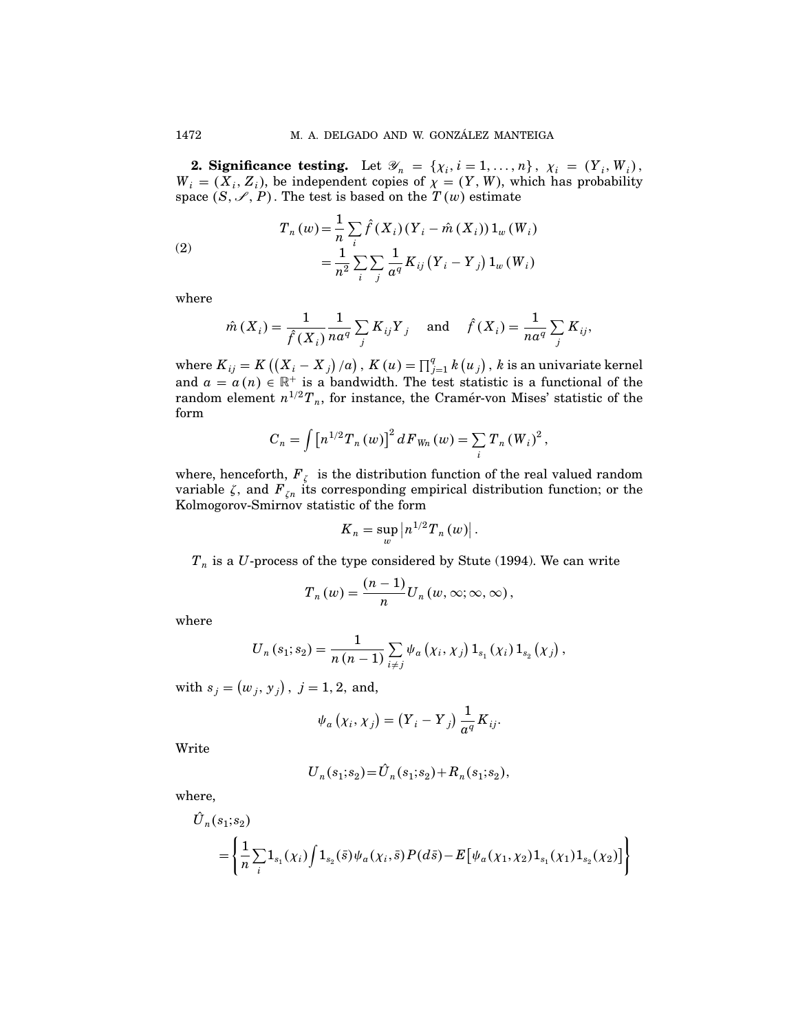**2. Significance testing.** Let  $\mathscr{Y}_n = \{ \chi_i, i = 1, ..., n \}, \chi_i = (Y_i, W_i),$  $W_i = (X_i, Z_i)$ , be independent copies of  $\chi = (Y, W)$ , which has probability space  $(S, \mathscr{I}, P)$ . The test is based on the  $T(w)$  estimate

(2)  

$$
T_n(w) = \frac{1}{n} \sum_i \hat{f}(X_i) (Y_i - \hat{m}(X_i)) 1_w (W_i)
$$

$$
= \frac{1}{n^2} \sum_i \sum_j \frac{1}{a^q} K_{ij} (Y_i - Y_j) 1_w (W_i)
$$

where

$$
\hat{m}(X_i) = \frac{1}{\hat{f}(X_i)} \frac{1}{na^q} \sum_j K_{ij} Y_j \quad \text{and} \quad \hat{f}(X_i) = \frac{1}{na^q} \sum_j K_{ij},
$$

where  $K_{ij} = K((X_i - X_j)/a)$ ,  $K(u) = \prod_{j=1}^{q} k(u_j)$ ,  $k$  is an univariate kernel and  $a = a(n) \in \mathbb{R}^+$  is a bandwidth. The test statistic is a functional of the random element  $n^{1/2}T_n$ , for instance, the Cramer-von Mises' statistic of the form

$$
C_n = \int [n^{1/2} T_n(w)]^2 dF_{W_n}(w) = \sum_i T_n (W_i)^2,
$$

where, henceforth,  $F_{\zeta}$  is the distribution function of the real valued random variable  $\zeta$ , and  $F_{\zeta n}$  its corresponding empirical distribution function; or the Kolmogorov-Smirnov statistic of the form

$$
K_n=\sup_{w}\left|n^{1/2}T_n(w)\right|.
$$

 $T_n$  is a U-process of the type considered by Stute (1994). We can write

$$
T_n(w) = \frac{(n-1)}{n} U_n(w, \infty; \infty, \infty),
$$

where

$$
U_{n}(s_{1}; s_{2}) = \frac{1}{n (n - 1)} \sum_{i \neq j} \psi_{a}( \chi_{i}, \chi_{j}) 1_{s_{1}}(\chi_{i}) 1_{s_{2}}(\chi_{j}),
$$

with  $s_j = (w_j, y_j)$ ,  $j = 1, 2$ , and,

$$
\psi_a\left(\chi_i,\chi_j\right) = \left(Y_i - Y_j\right)\frac{1}{a^q}K_{ij}.
$$

Write

$$
U_n(s_1; s_2) = \hat{U}_n(s_1; s_2) + R_n(s_1; s_2),
$$

where,

$$
\hat{U}_n(s_1;s_2) = \left\{ \frac{1}{n} \sum_i \mathbf{1}_{s_1}(\chi_i) \int \mathbf{1}_{s_2}(\bar{s}) \psi_a(\chi_i, \bar{s}) P(d\bar{s}) - E[\psi_a(\chi_1, \chi_2) \mathbf{1}_{s_1}(\chi_1) \mathbf{1}_{s_2}(\chi_2)] \right\}
$$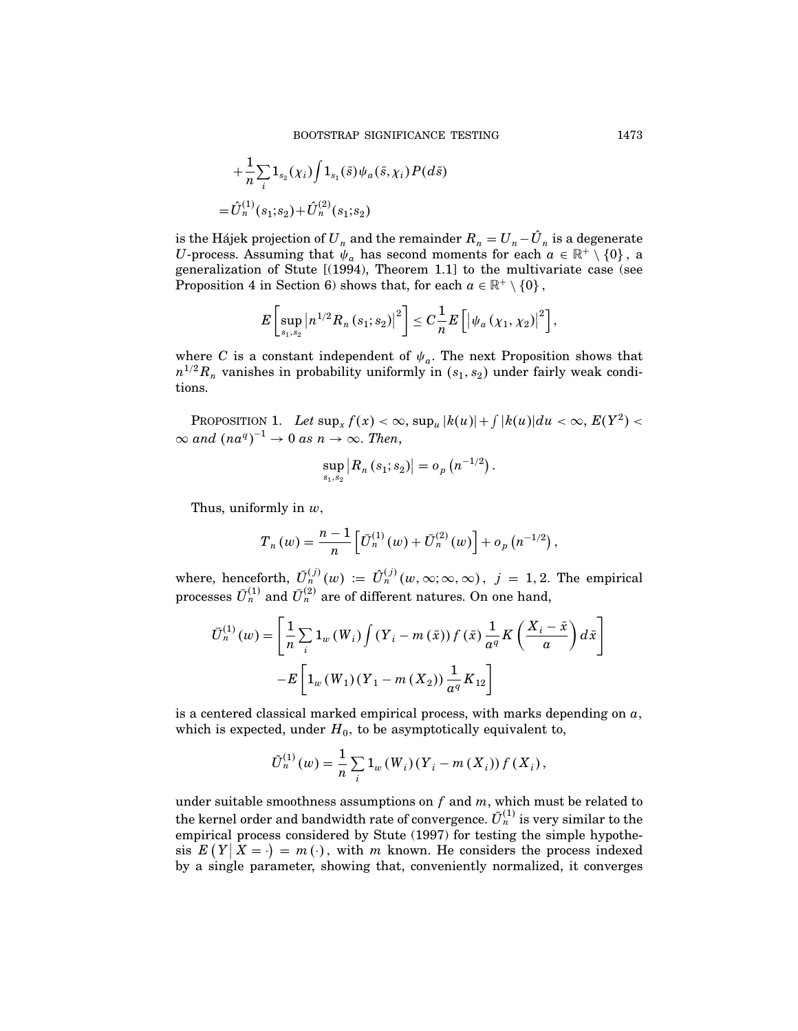$$
+\frac{1}{n}\sum_{i}1_{s_{2}}(\chi_{i})\int1_{s_{1}}(\bar{s})\psi_{a}(\bar{s},\chi_{i})P(d\bar{s})
$$
  
= $\hat{U}_{n}^{(1)}(s_{1};s_{2})+\hat{U}_{n}^{(2)}(s_{1};s_{2})$ 

is the Hájek projection of  $U_n$  and the remainder  $R_n = U_n - \hat{U}_n$  is a degenerate U-process. Assuming that  $\psi_a$  has second moments for each  $a \in \mathbb{R}^+ \setminus \{0\}$ , a generalization of Stute [(1994), Theorem 1.1] to the multivariate case (see Proposition 4 in Section 6) shows that, for each  $a \in \mathbb{R}^+ \setminus \{0\}$ ,

$$
E\left[\sup_{s_1,s_2}\left|n^{1/2}R_n\left(s_1;s_2\right)\right|^2\right]\leq C\frac{1}{n}E\left[\left|\psi_a\left(\chi_1,\chi_2\right)\right|^2\right],
$$

where C is a constant independent of  $\psi_a$ . The next Proposition shows that  $n^{1/2}R_n$  vanishes in probability uniformly in  $(s_1, s_2)$  under fairly weak conditions.

PROPOSITION 1. Let  $\sup_x f(x) < \infty$ ,  $\sup_u |k(u)| + \int |k(u)| du < \infty$ ,  $E(Y^2) <$  $\infty$  and  $(na^q)^{-1} \to 0$  as  $n \to \infty$ . Then,

$$
\sup_{s_1,s_2}\left|R_n\left(s_1;s_2\right)\right|=o_p\left(n^{-1/2}\right).
$$

Thus, uniformly in  $w$ ,

$$
T_n(w) = \frac{n-1}{n} \left[ \bar{U}_n^{(1)}(w) + \bar{U}_n^{(2)}(w) \right] + o_p(n^{-1/2}),
$$

where, henceforth,  $\bar{U}_n^{(j)}(w) := \hat{U}_n^{(j)}(w, \infty; \infty, \infty)$ ,  $j = 1, 2$ . The empirical processes  $\bar{U}^{(1)}_{n}$  and  $\bar{U}^{(2)}_{n}$  are of different natures. On one hand,

$$
\bar{U}_{n}^{(1)}(w) = \left[\frac{1}{n}\sum_{i} 1_{w}(W_{i}) \int (Y_{i} - m(\bar{x})) f(\bar{x}) \frac{1}{a^{q}} K\left(\frac{X_{i} - \bar{x}}{a}\right) d\bar{x}\right]
$$

$$
-E\left[1_{w}(W_{1})(Y_{1} - m(X_{2})) \frac{1}{a^{q}} K_{12}\right]
$$

is a centered classical marked empirical process, with marks depending on  $a$ , which is expected, under  $H_0$ , to be asymptotically equivalent to,

$$
\tilde{U}_n^{(1)}(w) = \frac{1}{n} \sum_i 1_w(W_i) (Y_i - m(X_i)) f(X_i),
$$

under suitable smoothness assumptions on  $f$  and  $m$ , which must be related to the kernel order and bandwidth rate of convergence.  $\tilde{U}^{(1)}_n$  is very similar to the empirical process considered by Stute (1997) for testing the simple hypothesis  $E(Y|X = \cdot) = m(\cdot)$ , with m known. He considers the process indexed  $\mathbb{E}[T | T = \cdot] = m(\cdot)$ , with *m* known. He considers the process indexed<br>by a single parameter, showing that, conveniently normalized, it converges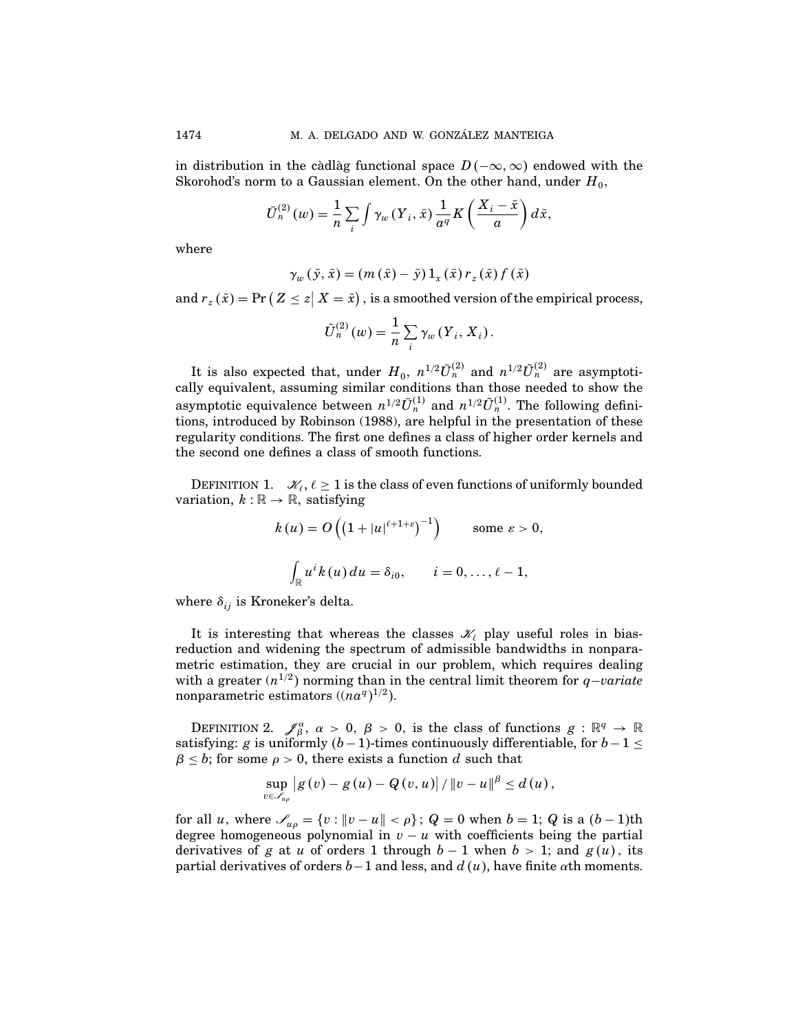in distribution in the càdlàg functional space  $D(-\infty, \infty)$  endowed with the Skorohod's norm to a Gaussian element. On the other hand, under  $H_0$ ,

$$
\bar{U}_n^{(2)}(w) = \frac{1}{n} \sum_i \int \gamma_w (Y_i, \bar{x}) \frac{1}{a^q} K\left(\frac{X_i - \bar{x}}{a}\right) d\bar{x},
$$

where

$$
\gamma_w(\bar{y},\bar{x}) = (m(\bar{x}) - \bar{y})1_x(\bar{x})r_z(\bar{x})f(\bar{x})
$$

and  $r_z(\bar{x}) = Pr (Z \leq z | X = \bar{x})$ , is a smoothed version of the empirical process,

$$
\tilde{U}_n^{(2)}(w) = \frac{1}{n} \sum_i \gamma_w(Y_i, X_i).
$$

It is also expected that, under  $H_0$ ,  $n^{1/2} \bar{U}_n^{(2)}$  and  $n^{1/2} \tilde{U}_n^{(2)}$  are asymptotically equivalent, assuming similar conditions than those needed to show the asymptotic equivalence between  $n^{1/2} \bar{U}_n^{(1)}$  and  $n^{1/2} \tilde{U}_n^{(1)}$ . The following definitions, introduced by Robinson (1988), are helpful in the presentation of these regularity conditions. The first one defines a class of higher order kernels and the second one defines a class of smooth functions.

DEFINITION 1.  $\mathscr{K}_{\ell}, \ell \geq 1$  is the class of even functions of uniformly bounded variation,  $k : \mathbb{R} \to \mathbb{R}$ , satisfying

$$
k(u) = O\left(\left(1+|u|^{\ell+1+\varepsilon}\right)^{-1}\right) \qquad \text{some } \varepsilon > 0,
$$

$$
\int_{\mathbb{R}} u^{i} k(u) du = \delta_{i0}, \qquad i = 0, \dots, \ell-1,
$$

where  $\delta_{ij}$  is Kroneker's delta.

It is interesting that whereas the classes  $\mathcal{X}_{\ell}$  play useful roles in biasreduction and widening the spectrum of admissible bandwidths in nonparametric estimation, they are crucial in our problem, which requires dealing with a greater  $(n^{1/2})$  norming than in the central limit theorem for  $q$ -variate nonparametric estimators  $((na<sup>q</sup>)<sup>1/2</sup>)$ .

DEFINITION 2.  $\mathscr{J}_{\beta}^{\alpha}$ ,  $\alpha > 0$ ,  $\beta > 0$ , is the class of functions  $g : \mathbb{R}^{q} \to \mathbb{R}$ satisfying: g is uniformly  $(b-1)$ -times continuously differentiable, for  $b-1 \le$  $\beta \leq b$ ; for some  $\rho > 0$ , there exists a function d such that

$$
\sup_{v \in \mathscr{S}_{u\rho}} |g(v) - g(u) - Q(v, u)| / ||v - u||^{\beta} \le d(u),
$$

for all *u*, where  $\mathscr{S}_{u\rho} = \{v : ||v - u|| < \rho\}$ ;  $Q = 0$  when  $b = 1$ ;  $Q$  is a  $(b - 1)$ th degree homogeneous polynomial in  $v - u$  with coefficients being the partial derivatives of g at u of orders 1 through  $b-1$  when  $b > 1$ ; and  $g(u)$ , its partial derivatives of orders  $b-1$  and less, and  $d(u)$ , have finite  $\alpha$ th moments.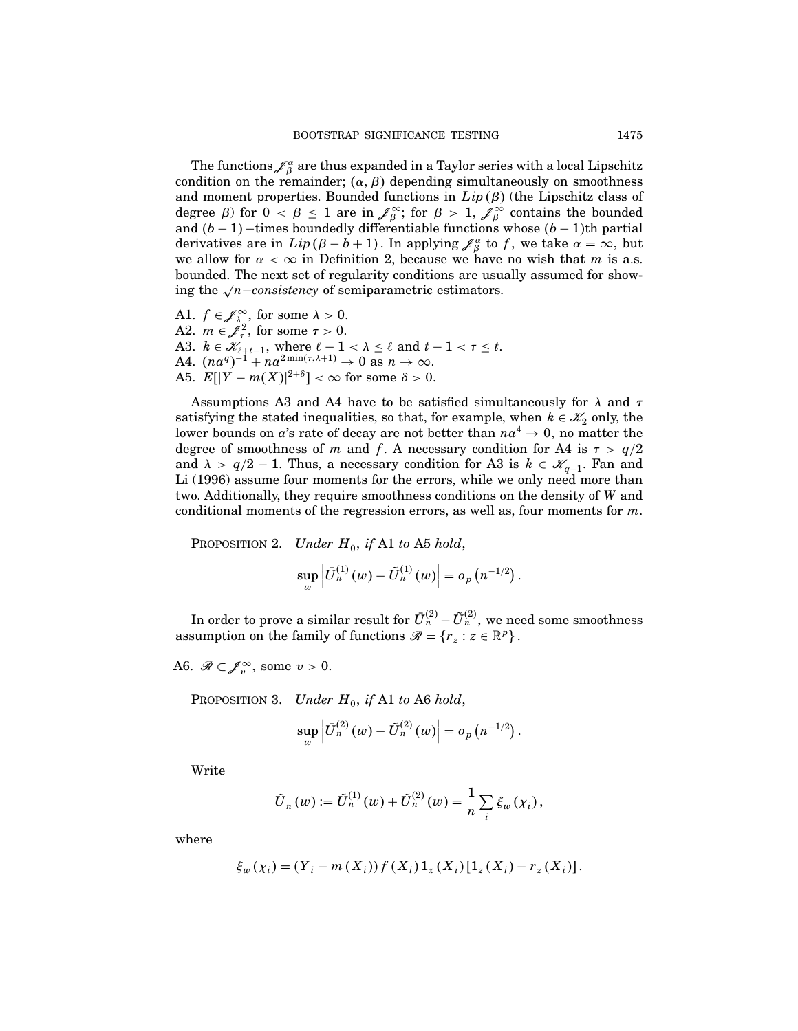The functions  $\!\mathscr J^\alpha_\beta$  are thus expanded in a Taylor series with a local Lipschitz condition on the remainder;  $(\alpha, \beta)$  depending simultaneously on smoothness and moment properties. Bounded functions in  $Lip(\beta)$  (the Lipschitz class of degree  $\beta$ ) for  $0 < \beta \leq 1$  are in  $\mathscr{J}_{\beta}^{\infty}$ ; for  $\beta > 1$ ,  $\mathscr{J}_{\beta}^{\infty}$  contains the bounded and  $(b-1)$  –times boundedly differentiable functions whose  $(b-1)$ th partial derivatives are in  $Lip(\beta - b + 1)$ . In applying  $\mathcal{J}_{\beta}^{\alpha}$  to f, we take  $\alpha = \infty$ , but we allow for  $\alpha < \infty$  in Definition 2, because we have no wish that m is a.s. bounded. The next set of regularity conditions are usually assumed for showing the  $\sqrt{n}$ −consistency of semiparametric estimators.

A1.  $f \in \mathscr{J}_{\lambda_{0}}^{\infty}$ , for some  $\lambda > 0$ . A2.  $m \in \mathcal{J}^2_\tau$ , for some  $\tau > 0$ . A3.  $k \in \mathcal{K}_{\ell+t-1}$ , where  $\ell-1 < \lambda \leq \ell$  and  $t-1 < \tau \leq t$ . A4.  $(na^q)^{-1} + na^{2\min(\tau,\lambda+1)} \to 0$  as  $n \to \infty$ . A5.  $E[|Y - m(X)|^{2+\delta}] < \infty$  for some  $\delta > 0$ .

Assumptions A3 and A4 have to be satisfied simultaneously for  $\lambda$  and  $\tau$ satisfying the stated inequalities, so that, for example, when  $k \in \mathcal{K}_2$  only, the lower bounds on a's rate of decay are not better than  $na^4 \rightarrow 0$ , no matter the degree of smoothness of m and f. A necessary condition for A4 is  $\tau > q/2$ and  $\lambda > q/2 - 1$ . Thus, a necessary condition for A3 is  $k \in \mathcal{K}_{q-1}$ . Fan and Li (1996) assume four moments for the errors, while we only need more than two. Additionally, they require smoothness conditions on the density of W and conditional moments of the regression errors, as well as, four moments for  $m$ .

PROPOSITION 2. Under  $H_0$ , if A1 to A5 hold,

$$
\sup_{w} \left| \bar{U}_{n}^{(1)}(w) - \tilde{U}_{n}^{(1)}(w) \right| = o_{p}(n^{-1/2}).
$$

In order to prove a similar result for  $\bar{U}^{(2)}_n - \tilde{U}^{(2)}_n$ , we need some smoothness assumption on the family of functions  $\mathscr{R} = \{r_z : z \in \mathbb{R}^p\}$ .

A6.  $\mathscr{R} \subset \mathscr{J}_v^{\infty}$ , some  $v > 0$ .

PROPOSITION 3. Under  $H_0$ , if A1 to A6 hold,

$$
\sup_w \left| \bar U^{(2)}_n(w) - \tilde U^{(2)}_n(w) \right| = o_p\left(n^{-1/2}\right).
$$

Write

$$
\tilde{U}_n(w) := \tilde{U}_n^{(1)}(w) + \tilde{U}_n^{(2)}(w) = \frac{1}{n} \sum_i \xi_w(\chi_i),
$$

where

$$
\xi_w(\chi_i) = (Y_i - m(X_i)) f(X_i) 1_x(X_i) [1_z(X_i) - r_z(X_i)].
$$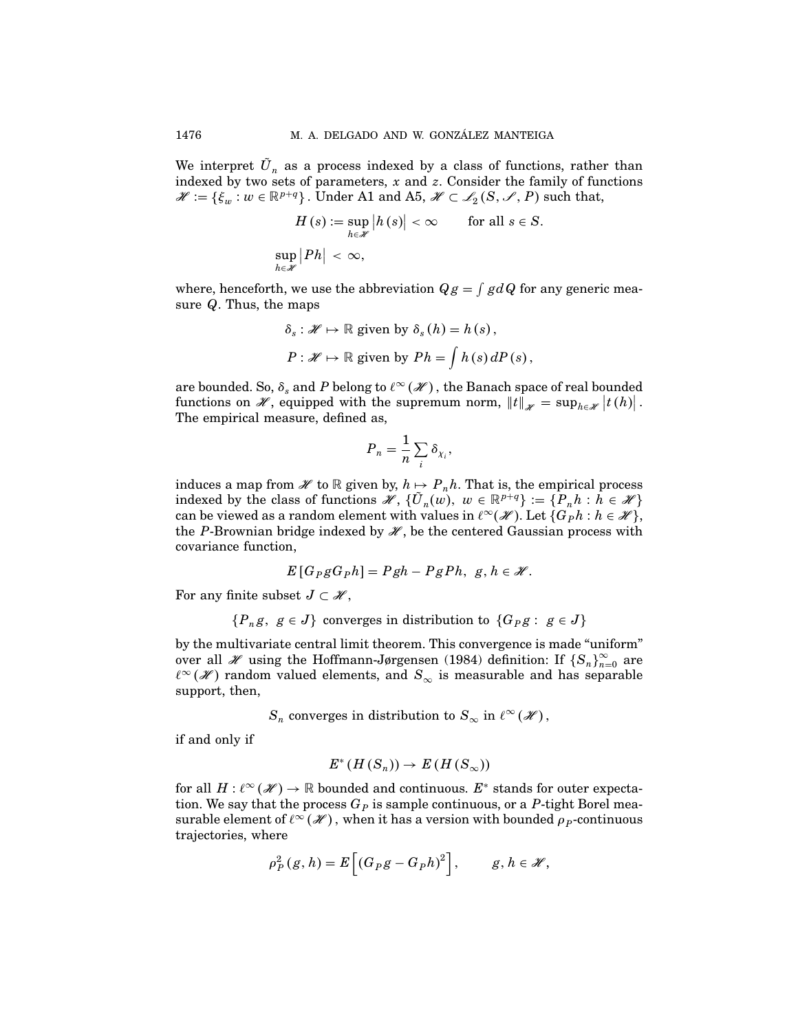We interpret  $\tilde{U}_n$  as a process indexed by a class of functions, rather than indexed by two sets of parameters,  $x$  and  $z$ . Consider the family of functions  $\mathscr{H} := \{ \xi_w : w \in \mathbb{R}^{p+q} \}$ . Under A1 and A5,  $\mathscr{H} \subset \mathscr{L}_2(S, \mathscr{I}, P)$  such that,

$$
H(s) := \sup_{h \in \mathscr{H}} |h(s)| < \infty \qquad \text{for all } s \in S.
$$
\n
$$
\sup_{h \in \mathscr{H}} |Ph| < \infty,
$$

where, henceforth, we use the abbreviation  $Qg = \int g dQ$  for any generic measure  $Q$ . Thus, the maps

$$
\delta_s: \mathscr{H} \mapsto \mathbb{R} \text{ given by } \delta_s(h) = h(s),
$$
  

$$
P: \mathscr{H} \mapsto \mathbb{R} \text{ given by } Ph = \int h(s) dP(s),
$$

are bounded. So,  $\delta_s$  and P belong to  $\ell^\infty(\mathscr{H})$ , the Banach space of real bounded functions on  $\mathscr{H}$ , equipped with the supremum norm,  $||t||_{\mathscr{H}} = \sup_{h \in \mathscr{H}} |t(h)|$ . The empirical measure, defined as,

$$
P_n = \frac{1}{n} \sum_i \delta_{\chi_i},
$$

induces a map from  $\mathscr H$  to  $\mathbb R$  given by,  $h \mapsto P_n h$ . That is, the empirical process indexed by the class of functions  $\mathscr{H}, \{\tilde{U}_n(w), w \in \mathbb{R}^{p+q}\} := \{P_n h : h \in \mathscr{H}\}\$ can be viewed as a random element with values in  $\ell^{\infty}(\mathscr{H})$ . Let  $\{G_{P}h : h \in \mathscr{H}\},$ the P-Brownian bridge indexed by  $\mathcal{H}$ , be the centered Gaussian process with covariance function,

$$
E[G_PgG_ph]=Pgh-PgPh, g, h \in \mathscr{H}.
$$

For any finite subset  $J \subset \mathcal{H}$ ,

$$
\{P_n g, g \in J\} \text{ converges in distribution to } \{G_P g: g \in J\}
$$

by the multivariate central limit theorem. This convergence is made "uniform" over all *H* using the Hoffmann-Jørgensen (1984) definition: If  ${S_n}_{n=0}^{\infty}$  are  $\ell^{\infty}(\mathscr{H})$  random valued elements, and  $S_{\infty}$  is measurable and has separable support, then,

 $S_n$  converges in distribution to  $S_\infty$  in  $\ell^\infty(\mathscr{H})$ ,

if and only if

$$
E^*(H(S_n))\to E(H(S_\infty))
$$

for all  $H: \ell^{\infty}(\mathscr{H}) \to \mathbb{R}$  bounded and continuous.  $E^*$  stands for outer expectation. We say that the process  $G<sub>P</sub>$  is sample continuous, or a P-tight Borel measurable element of  $\ell^{\infty}(\mathscr{H})$ , when it has a version with bounded  $\rho_{P}$ -continuous trajectories, where

$$
\rho_P^2(g, h) = E\left[ \left( G_P g - G_P h \right)^2 \right], \qquad g, h \in \mathscr{H},
$$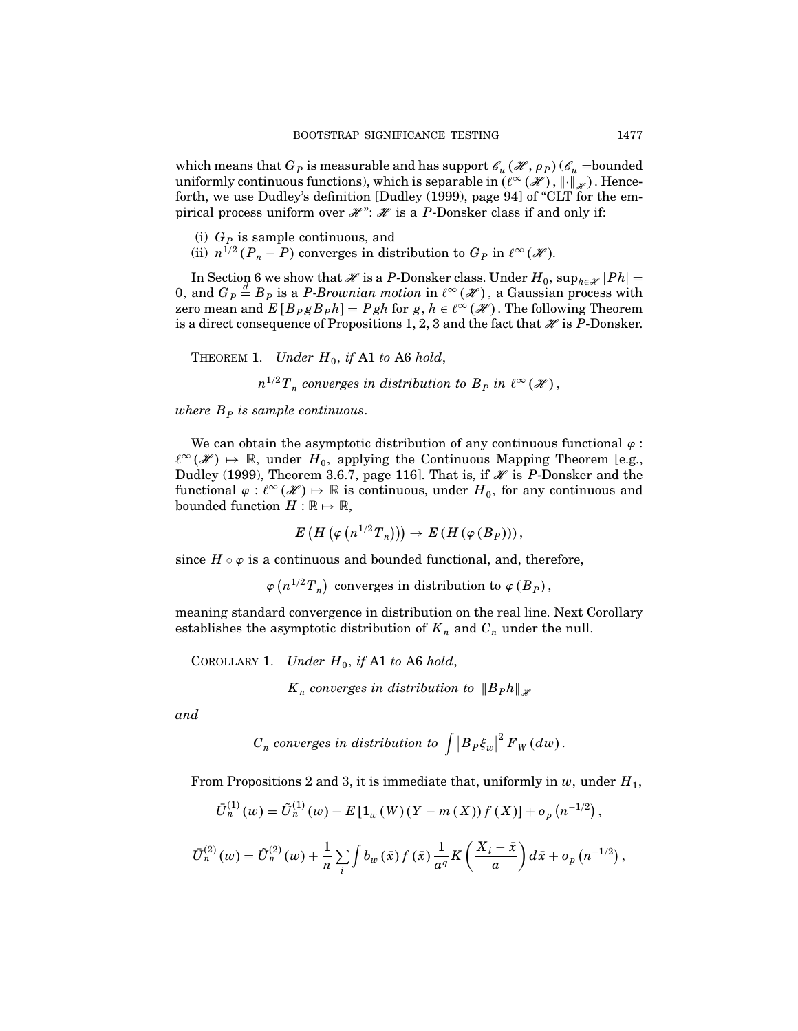which means that  $G_P$  is measurable and has support  $\mathscr{C}_u(\mathscr{H}, \rho_P)(\mathscr{C}_u =$ bounded uniformly continuous functions), which is separable in  $(\ell^{\infty}(\mathscr{H}), \|\cdot\|_{\mathscr{H}})$ . Henceforth, we use Dudley's definition [Dudley (1999), page 94] of "CLT for the empirical process uniform over  $\mathcal{H}$ ":  $\mathcal{H}$  is a P-Donsker class if and only if:

- (i)  $G_p$  is sample continuous, and
- (ii)  $n^{1/2} (P_n P)$  converges in distribution to  $G_P$  in  $\ell^{\infty}(\mathscr{H})$ .

In Section 6 we show that  $\mathscr H$  is a P-Donsker class. Under  $H_0$ ,  $\sup_{h\in\mathscr H}|Ph|=$ 0, and  $G_P \stackrel{d}{=} B_P$  is a *P-Brownian motion* in  $\ell^{\infty}(\mathscr{H})$ , a Gaussian process with zero mean and  $E[B_PgB_ph]=Pgh$  for  $g,h\in\ell^\infty(\mathscr H)$ . The following Theorem is a direct consequence of Propositions 1, 2, 3 and the fact that  $\mathcal X$  is P-Donsker.

THEOREM 1. Under  $H_0$ , if A1 to A6 hold,

 $n^{1/2}T_n$  converges in distribution to  $B_P$  in  $\ell^{\infty}(\mathscr{H})$ ,

where  $B<sub>P</sub>$  is sample continuous.

We can obtain the asymptotic distribution of any continuous functional  $\varphi$ :  $\ell^{\infty}(\mathcal{H}) \mapsto \mathbb{R}$ , under  $H_0$ , applying the Continuous Mapping Theorem [e.g., Dudley (1999), Theorem 3.6.7, page 116]. That is, if  $\mathcal X$  is P-Donsker and the functional  $\varphi: \ell^{\infty}(\mathscr{H}) \mapsto \mathbb{R}$  is continuous, under  $H_0$ , for any continuous and bounded function  $H:\mathbb{R}\mapsto\mathbb{R},$ 

$$
E\left(H\left(\varphi\left(n^{1/2}T_n\right)\right)\right)\to E\left(H\left(\varphi\left(B_P\right)\right)\right),\,
$$

since  $H \circ \varphi$  is a continuous and bounded functional, and, therefore,

 $\varphi(n^{1/2}T_n)$  converges in distribution to  $\varphi(B_P)$ ,

meaning standard convergence in distribution on the real line. Next Corollary establishes the asymptotic distribution of  $K_n$  and  $C_n$  under the null.

COROLLARY 1. Under  $H_0$ , if A1 to A6 hold,  $K_n$  converges in distribution to  $||B_Ph||_{\mathscr{L}}$ 

and

$$
C_n~converges~in~distribution~to~\int \big|B_P\xi_w\big|^2\,F_W(dw)\,.
$$

From Propositions 2 and 3, it is immediate that, uniformly in  $w$ , under  $H_1$ ,

$$
\bar{U}_n^{(1)}(w) = \tilde{U}_n^{(1)}(w) - E\left[1_w(W)(Y - m(X)) f(X)\right] + o_p(n^{-1/2}),
$$

$$
\bar{U}_{n}^{(2)}(w) = \tilde{U}_{n}^{(2)}(w) + \frac{1}{n} \sum_{i} \int b_{w}(\bar{x}) f(\bar{x}) \frac{1}{a^{q}} K\left(\frac{X_{i} - \bar{x}}{a}\right) d\bar{x} + o_{p}(n^{-1/2}),
$$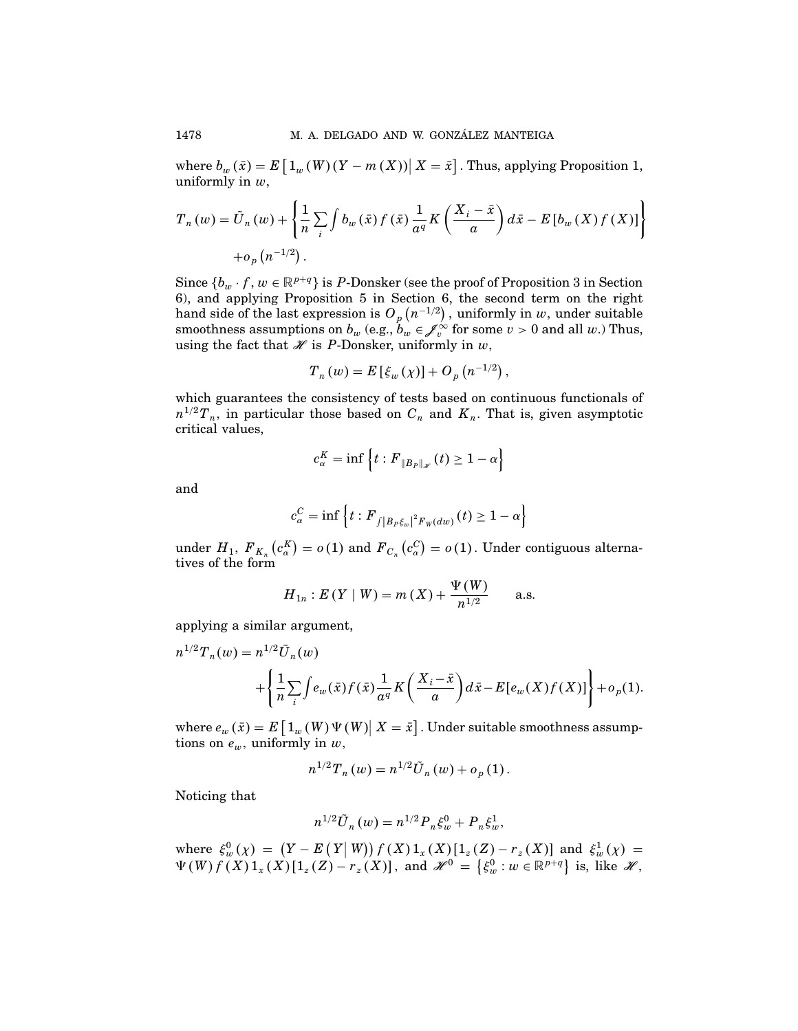where  $b_w(\bar{x}) = E\left[1_w(W)(Y - m(X))\right|X = \bar{x}\right]$ . Thus, applying Proposition 1, uniformly in  $w$ ,

$$
T_n(w) = \tilde{U}_n(w) + \left\{ \frac{1}{n} \sum_i \int b_w(\bar{x}) f(\bar{x}) \frac{1}{a^q} K\left(\frac{X_i - \bar{x}}{a}\right) d\bar{x} - E[b_w(X) f(X)] \right\}
$$
  
+  $o_p(n^{-1/2}).$ 

Since  $\{b_w \cdot f, w \in \mathbb{R}^{p+q}\}\$ is P-Donsker (see the proof of Proposition 3 in Section 6), and applying Proposition 5 in Section 6, the second term on the right hand side of the last expression is  $O_p\left(n^{-1/2}\right)$  , uniformly in  $w$  ,under suitable smoothness assumptions on  $b_w$  (e.g.,  $b_w \in \mathcal{J}_v^{\infty}$  for some  $v > 0$  and all w.) Thus, using the fact that  $\mathcal X$  is P-Donsker, uniformly in  $w$ ,

$$
T_n(w) = E[\xi_w(\chi)] + O_p(n^{-1/2}),
$$

which guarantees the consistency of tests based on continuous functionals of  $n^{1/2}T_n$ , in particular those based on  $C_n$  and  $K_n$ . That is, given asymptotic critical values,

$$
c_{\alpha}^{K} = \inf \left\{ t : F_{\|B_{P}\|_{\mathscr{H}}}(t) \geq 1 - \alpha \right\}
$$

and

$$
c_{\alpha}^C = \inf \left\{ t : F_{\int |B_P \xi_w|^2 F_W(dw)}(t) \ge 1 - \alpha \right\}
$$

under  $H_1$ ,  $F_{K_n}(c_\alpha^K) = o(1)$  and  $F_{C_n}(c_\alpha^C) = o(1)$ . Under contiguous alternatives of the form

$$
H_{1n}: E(Y | W) = m(X) + \frac{\Psi(W)}{n^{1/2}}
$$
 a.s.

applying a similar argument,

$$
n^{1/2}T_n(w) = n^{1/2}\tilde{U}_n(w) + \left\{\frac{1}{n}\sum_{i} \int e_w(\bar{x})f(\bar{x})\frac{1}{a^q}K\left(\frac{X_i - \bar{x}}{a}\right)d\bar{x} - E[e_w(X)f(X)]\right\} + o_p(1).
$$

where  $e_w(\bar{x}) = E\left[1_w(W)\Psi(W)\middle| X = \bar{x}\right]$ . Under suitable smoothness assumptions on  $e_w$ , uniformly in  $w$ ,

$$
n^{1/2}T_n(w) = n^{1/2}\tilde{U}_n(w) + o_p(1).
$$

Noticing that

$$
n^{1/2}\tilde{U}_n(w) = n^{1/2}P_n\xi_w^0 + P_n\xi_w^1,
$$

where  $\xi_w^0(\chi) = (Y - E(Y|W)) f(X) 1_x(X)[1_z(Z) - r_z(X)]$  and  $\xi_w^1(\chi) =$  $\Psi(W) f(X) 1_x(X) [1_z(Z) - r_z(X)],$  and  $\mathscr{H}^0 = \{\xi_w^0 : w \in \mathbb{R}^{p+q}\}\$ is, like  $\mathscr{H}$ ,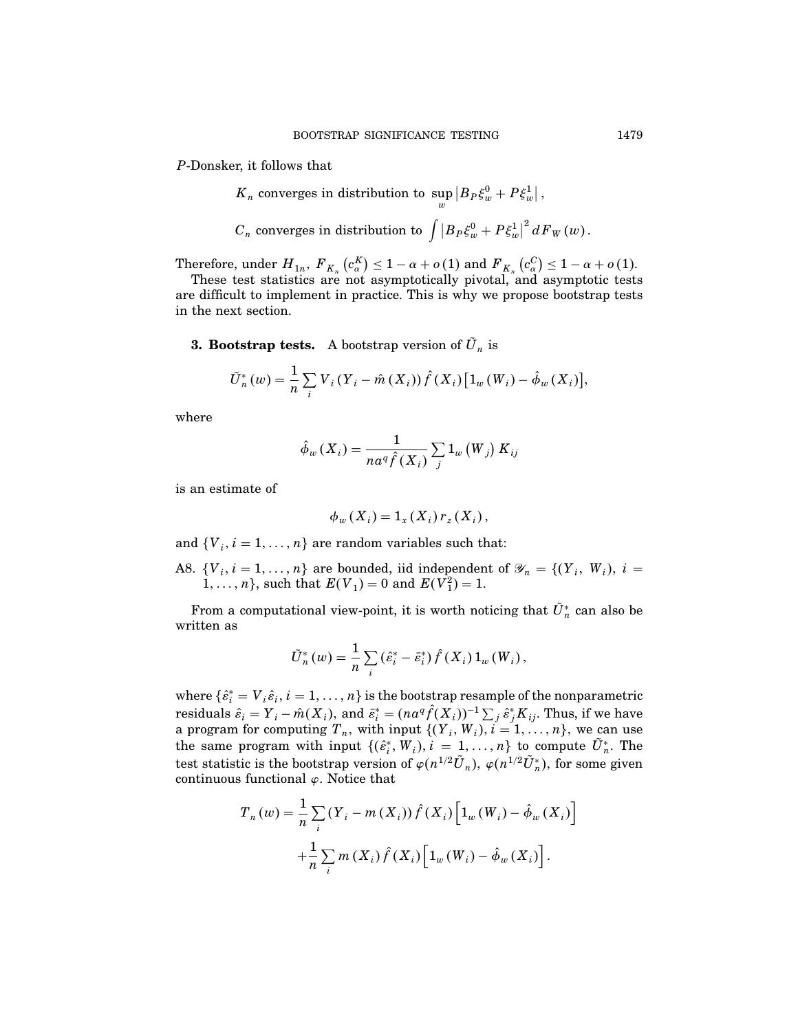P-Donsker, it follows that

- $K_n$  converges in distribution to  $\sup_w |B_P \xi_w^0 + P \xi_w^1|$ ,
- ${{C}_{n}}$  converges in distribution to  $\int {{\left| {{B}_{P}}{\xi }_{w}^{0}+P{\xi }_{w}^{1} \right|}^{2}}d{{F}_{W}}\left( w \right)$ .

Therefore, under  $H_{1n}$ ,  $F_{K_n}(c_\alpha^K) \leq 1 - \alpha + o(1)$  and  $F_{K_n}(c_\alpha^K) \leq 1 - \alpha + o(1)$ .

These test statistics are not asymptotically pivotal, and asymptotic tests are difficult to implement in practice. This is why we propose bootstrap tests in the next section.

**3. Bootstrap tests.** A bootstrap version of  $\tilde{U}_n$  is

$$
\tilde{U}_{n}^{*}(w) = \frac{1}{n} \sum_{i} V_{i} (Y_{i} - \hat{m} (X_{i})) \hat{f} (X_{i}) [1_{w} (W_{i}) - \hat{\phi}_{w} (X_{i})],
$$

where

$$
\hat{\phi}_{w}\left(X_{i}\right)=\frac{1}{na^{q}\hat{f}\left(X_{i}\right)}\sum_{j}\mathbb{1}_{w}\left(W_{j}\right)K_{ij}
$$

is an estimate of

$$
\phi_w(X_i) = 1_x(X_i) r_z(X_i),
$$

and  $\{V_i, i = 1, \ldots, n\}$  are random variables such that:

A8.  $\{V_i, i = 1, \ldots, n\}$  are bounded, iid independent of  $\mathscr{Y}_n = \{(Y_i, W_i), i =$  $1, \ldots, n$ , such that  $E(V_1) = 0$  and  $E(V_1^2) = 1$ .

From a computational view-point, it is worth noticing that  $U_n^*$  can also be written as

$$
\tilde{U}_{n}^{*}(w) = \frac{1}{n} \sum_{i} (\hat{\varepsilon}_{i}^{*} - \bar{\varepsilon}_{i}^{*}) \hat{f}(X_{i}) 1_{w}(W_{i}),
$$

where  $\{\hat{e}^*_i = V_i \hat{e}_i, i = 1, \ldots, n\}$  is the bootstrap resample of the nonparametric residuals  $\hat\varepsilon_i=Y_i-\hat m(X_i),$  and  $\bar\varepsilon_i^*=(na^q\hat f(X_i))^{-1}\sum_j\hat\varepsilon_j^*K_{ij}.$  Thus, if we have a program for computing  $T_n$ , with input  $\{(Y_i, W_i), i = 1, \ldots, n\}$ , we can use the same program with input  $\{(\hat{\varepsilon}_i^*, W_i), i = 1, \ldots, n\}$  to compute  $U_n^*$ . The test statistic is the bootstrap version of  $\varphi(n^{1/2}\tilde{U}_n)$ ,  $\varphi(n^{1/2}\tilde{U}_n^*)$ , for some given continuous functional  $\varphi$ . Notice that

$$
T_{n}(w) = \frac{1}{n} \sum_{i} (Y_{i} - m(X_{i})) \hat{f}(X_{i}) \Big[ 1_{w}(W_{i}) - \hat{\phi}_{w}(X_{i}) \Big] + \frac{1}{n} \sum_{i} m(X_{i}) \hat{f}(X_{i}) \Big[ 1_{w}(W_{i}) - \hat{\phi}_{w}(X_{i}) \Big].
$$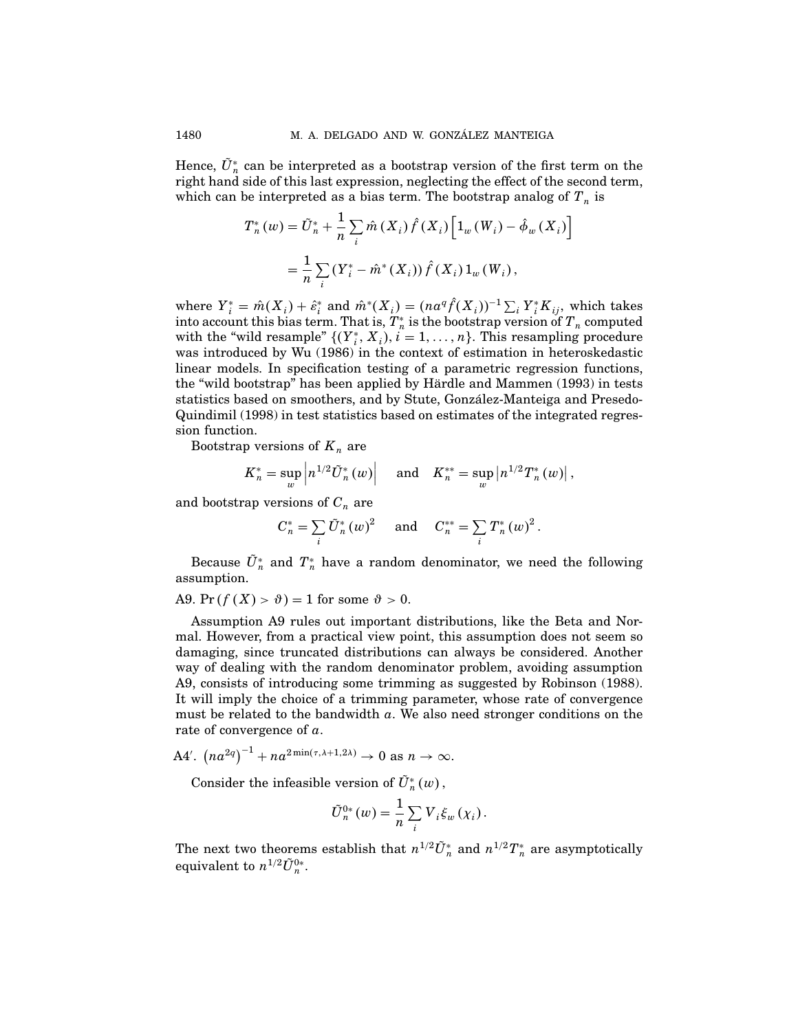Hence,  $U_n^*$  can be interpreted as a bootstrap version of the first term on the right hand side of this last expression, neglecting the effect of the second term, which can be interpreted as a bias term. The bootstrap analog of  $T_n$  is

$$
T_{n}^{*}(w) = \tilde{U}_{n}^{*} + \frac{1}{n} \sum_{i} \hat{m}(X_{i}) \hat{f}(X_{i}) \Big[ 1_{w}(W_{i}) - \hat{\phi}_{w}(X_{i}) \Big]
$$
  
= 
$$
\frac{1}{n} \sum_{i} (Y_{i}^{*} - \hat{m}^{*}(X_{i})) \hat{f}(X_{i}) 1_{w}(W_{i}),
$$

where  $Y_i^* = \hat{m}(X_i) + \hat{\varepsilon}_i^*$  and  $\hat{m}^*(X_i) = (na^q \hat{f}(X_i))^{-1} \sum_i Y_i^* K_{ij}$ , which takes into account this bias term. That is,  $T^{\ast}_{\ n}$  is the bootstrap version of  ${T}_{\ n}$  computed with the "wild resample"  $\{(Y_i^*, X_i), i = 1, \ldots, n\}$ . This resampling procedure was introduced by Wu (1986) in the context of estimation in heteroskedastic linear models. In specification testing of a parametric regression functions, the "wild bootstrap" has been applied by Hardle and Mammen (1993) in tests ¨ statistics based on smoothers, and by Stute, Gonzalez-Manteiga and Presedo- ´ Quindimil (1998) in test statistics based on estimates of the integrated regression function.

Bootstrap versions of  $K_n$  are

$$
K_n^* = \sup_w \left| n^{1/2} \tilde{U}_n^*(w) \right|
$$
 and  $K_n^{**} = \sup_w \left| n^{1/2} T_n^*(w) \right|$ ,

and bootstrap versions of  $C_n$  are

$$
C_n^* = \sum_i \tilde{U}_n^*(w)^2
$$
 and  $C_n^{**} = \sum_i T_n^*(w)^2$ .

Because  ${U}_n^*$  and  ${T}_n^*$  have a random denominator, we need the following assumption.

A9. Pr  $(f(X) > \vartheta) = 1$  for some  $\vartheta > 0$ .

Assumption A9 rules out important distributions, like the Beta and Normal. However, from a practical view point, this assumption does not seem so damaging, since truncated distributions can always be considered. Another way of dealing with the random denominator problem, avoiding assumption A9, consists of introducing some trimming as suggested by Robinson (1988). It will imply the choice of a trimming parameter, whose rate of convergence must be related to the bandwidth  $a$ . We also need stronger conditions on the rate of convergence of  $a$ .

A4'. 
$$
(na^{2q})^{-1} + na^{2\min(\tau, \lambda+1, 2\lambda)} \to 0
$$
 as  $n \to \infty$ .

Consider the infeasible version of  $U_n^*(w)$ ,

$$
\tilde{U}_n^{0*}(w) = \frac{1}{n} \sum_i V_i \xi_w(\chi_i).
$$

The next two theorems establish that  $n^{1/2} \tilde{U}_n^*$  and  $n^{1/2} T_n^*$  are asymptotically equivalent to  $n^{1/2} \tilde{U}_n^{0*}$ .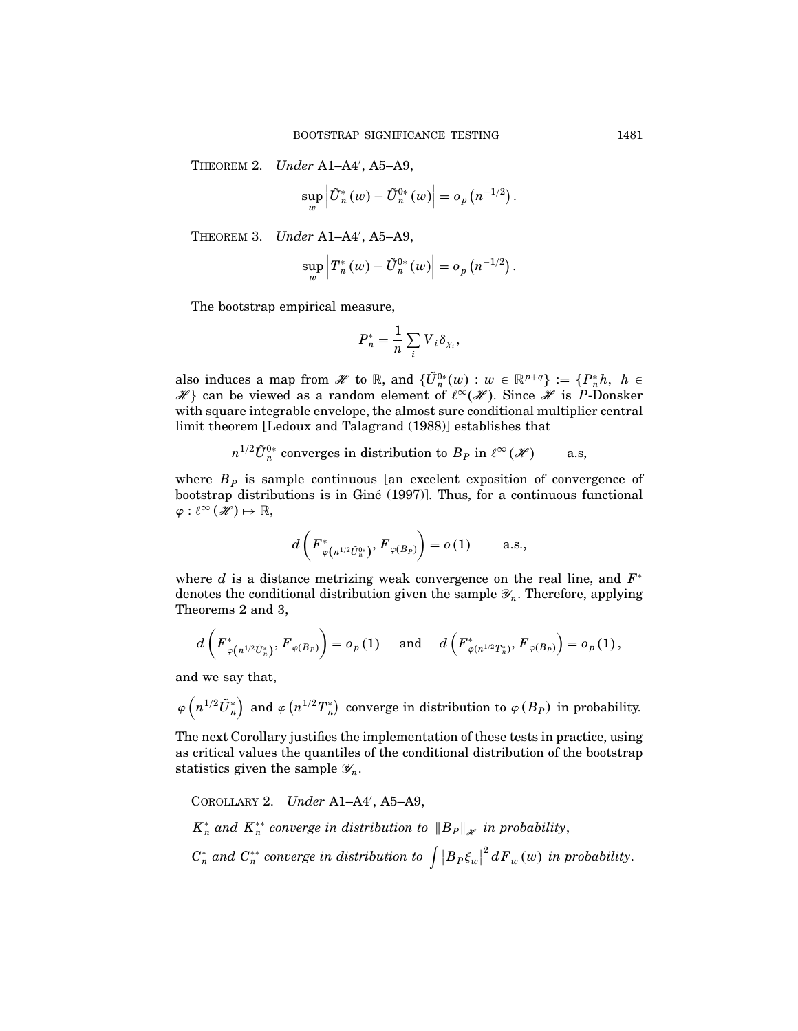THEOREM 2. Under A1-A4', A5-A9,

$$
\sup_{w}\left|\tilde{U}_{n}^{*}(w)-\tilde{U}_{n}^{0*}(w)\right|=o_{p}\left(n^{-1/2}\right).
$$

THEOREM 3. Under A1-A4', A5-A9,

$$
\sup_{w}\left\vert T_{n}^{\ast }\left( w\right) -\tilde{U}_{n}^{0\ast }\left( w\right) \right\vert =o_{p}\left( n^{-1/2}\right) .
$$

The bootstrap empirical measure,

$$
P_n^* = \frac{1}{n} \sum_i V_i \delta_{\chi_i},
$$

also induces a map from  $\mathscr{H}$  to  $\mathbb{R}$ , and  $\{\tilde{U}_{n}^{0*}(w): w \in \mathbb{R}^{p+q}\} := \{P_n^*h, h \in$  $\mathscr{H}$ } can be viewed as a random element of  $\ell^{\infty}(\mathscr{H})$ . Since  $\mathscr{H}$  is P-Donsker with square integrable envelope, the almost sure conditional multiplier central limit theorem [Ledoux and Talagrand (1988)] establishes that

$$
n^{1/2} \tilde{U}_n^{0*}
$$
 converges in distribution to  $B_P$  in  $\ell^{\infty}(\mathscr{H})$  a.s,

where  $B<sub>p</sub>$  is sample continuous [an excelent exposition of convergence of bootstrap distributions is in Gine (1997)]. Thus, for a continuous functional ´  $\varphi: \ell^{\infty}(\mathscr{H}) \mapsto \mathbb{R},$ 

$$
d\left(F_{\varphi\left(n^{1/2}\tilde{U}_{n}^{0*}\right)}^{*},F_{\varphi\left(B_{P}\right)}\right)=o\left(1\right)\qquad\text{a.s.},
$$

where  $d$  is a distance metrizing weak convergence on the real line, and  $F^*$ denotes the conditional distribution given the sample  $\mathscr{Y}_n$ . Therefore, applying Theorems 2 and 3,

$$
d\left(F_{\varphi\left(n^{1/2}\tilde{U}_{n}^{*}\right)}^{*},F_{\varphi\left(B_{P}\right)}\right)=o_{p}\left(1\right)\quad\text{ and }\quad d\left(F_{\varphi\left(n^{1/2}T_{n}^{*}\right)}^{*},F_{\varphi\left(B_{P}\right)}\right)=o_{p}\left(1\right),
$$

and we say that,

 $\varphi\left(n^{1/2}\tilde{U}_n^*\right)$  and  $\varphi\left(n^{1/2}T_n^*\right)$  converge in distribution to  $\varphi\left(B_P\right)$  in probability.

The next Corollary justifies the implementation of these tests in practice, using as critical values the quantiles of the conditional distribution of the bootstrap statistics given the sample  $\mathscr{Y}_n$ .

COROLLARY 2. Under A1-A4', A5-A9,  $K_n^*$  and  $K_n^{**}$  converge in distribution to  $||B_P||_{\mathscr{H}}$  in probability,  $C_n^*$  and  $C_n^{**}$  converge in distribution to  $\int |B_P \xi_w|^2 dF_w(w)$  in probability.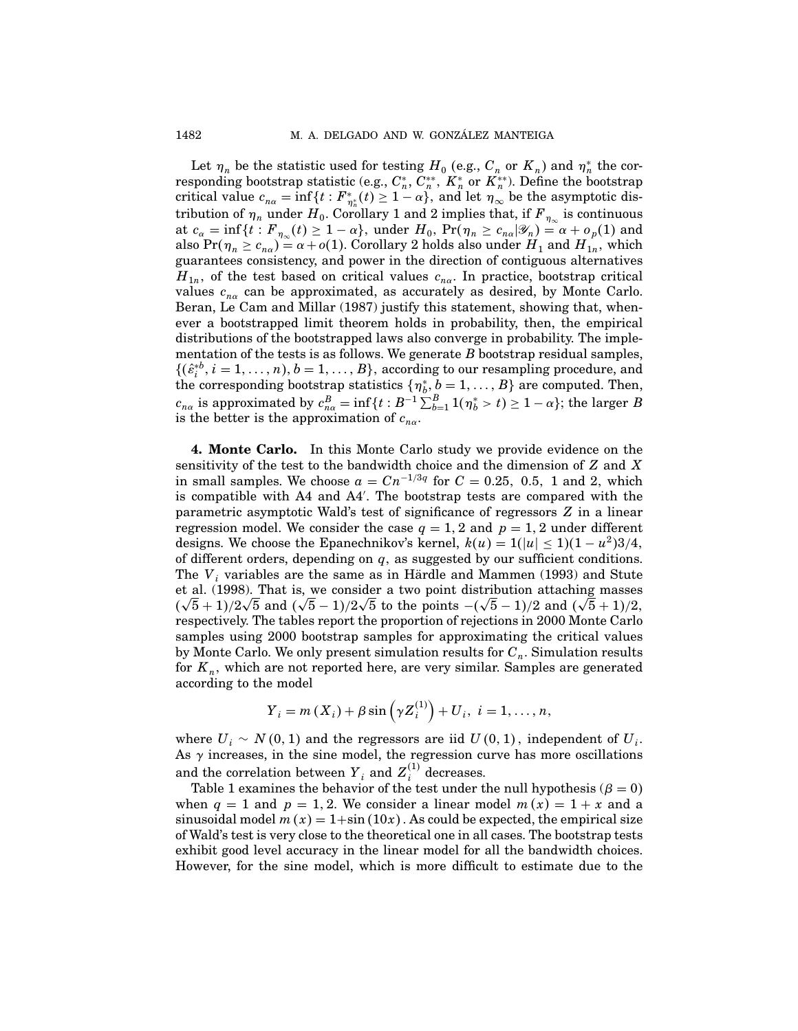Let  $\eta_n$  be the statistic used for testing  $H_0$  (e.g.,  $C_n$  or  $K_n$ ) and  $\eta_n^*$  the corresponding bootstrap statistic (e.g.,  $C_n^*,\ C_n^{**},\ K_n^*$  or  $K_n^{**}$ ). Define the bootstrap critical value  $c_{n\alpha} = \inf\{t : F^*_{\eta^*_n}(t) \ge 1 - \alpha\}$ , and let  $\eta_\infty$  be the asymptotic distribution of  $\eta_n$  under  $H_0$ . Corollary 1 and 2 implies that, if  $F_{\eta_\infty}$  is continuous at  $c_{\alpha} = \inf\{t : F_{\eta_{\infty}}(t) \geq 1 - \alpha\}$ , under  $H_0$ ,  $\Pr(\eta_n \geq c_{n\alpha}|\mathscr{Y}_n) = \alpha + o_p(1)$  and also  $Pr(\eta_n \ge c_{n\alpha}) = \alpha + o(1)$ . Corollary 2 holds also under  $H_1$  and  $H_{1n}$ , which guarantees consistency, and power in the direction of contiguous alternatives  $H_{1n}$ , of the test based on critical values  $c_{n\alpha}$ . In practice, bootstrap critical values  $c_{n\alpha}$  can be approximated, as accurately as desired, by Monte Carlo. Beran, Le Cam and Millar (1987) justify this statement, showing that, whenever a bootstrapped limit theorem holds in probability, then, the empirical distributions of the bootstrapped laws also converge in probability. The implementation of the tests is as follows. We generate  $B$  bootstrap residual samples,  $\{(\hat{\varepsilon}_i^{*b}, i = 1, \ldots, n), b = 1, \ldots, B\}$ , according to our resampling procedure, and the corresponding bootstrap statistics  $\{\eta_b^*, b = 1, \ldots, B\}$  are computed. Then,  $c_{n\alpha}$  is approximated by  $c_{n\alpha}^B = \inf\{t : B^{-1}\sum_{b=1}^B 1(\eta_b^* > t) \ge 1 - \alpha\}$ ; the larger B is the better is the approximation of  $c_{n\alpha}$ .

4. Monte Carlo. In this Monte Carlo study we provide evidence on the sensitivity of the test to the bandwidth choice and the dimension of Z and X in small samples. We choose  $a = Cn^{-1/3q}$  for  $C = 0.25, 0.5, 1$  and 2, which is compatible with A4 and A4 . The bootstrap tests are compared with the parametric asymptotic Wald's test of significance of regressors Z in a linear regression model. We consider the case  $q = 1, 2$  and  $p = 1, 2$  under different designs. We choose the Epanechnikov's kernel,  $k(u) = 1(|u| \le 1)(1 - u^2)3/4$ , of different orders, depending on  $q$ , as suggested by our sufficient conditions. The  $V_i$  variables are the same as in Härdle and Mammen (1993) and Stute et al. (1998). That is, we consider a two point distribution attaching masses  $(\sqrt{5} + 1)/2\sqrt{5}$  and  $(\sqrt{5} - 1)/2\sqrt{5}$  to the points  $-(\sqrt{5} - 1)/2$  and  $(\sqrt{5} + 1)/2$ , respectively. The tables report the proportion of rejections in 2000 Monte Carlo samples using 2000 bootstrap samples for approximating the critical values by Monte Carlo. We only present simulation results for  $C_n$ . Simulation results for  $K_n$ , which are not reported here, are very similar. Samples are generated according to the model

$$
Y_i = m(X_i) + \beta \sin(\gamma Z_i^{(1)}) + U_i, i = 1,..., n,
$$

where  $U_i \sim N(0, 1)$  and the regressors are iid  $U(0, 1)$ , independent of  $U_i$ . As  $\gamma$  increases, in the sine model, the regression curve has more oscillations and the correlation between  $Y_i$  and  $Z_i^{(1)}$  decreases.

Table 1 examines the behavior of the test under the null hypothesis ( $\beta = 0$ ) when  $q = 1$  and  $p = 1, 2$ . We consider a linear model  $m(x) = 1 + x$  and a sinusoidal model  $m(x) = 1+\sin(10x)$ . As could be expected, the empirical size of Wald's test is very close to the theoretical one in all cases. The bootstrap tests exhibit good level accuracy in the linear model for all the bandwidth choices. However, for the sine model, which is more difficult to estimate due to the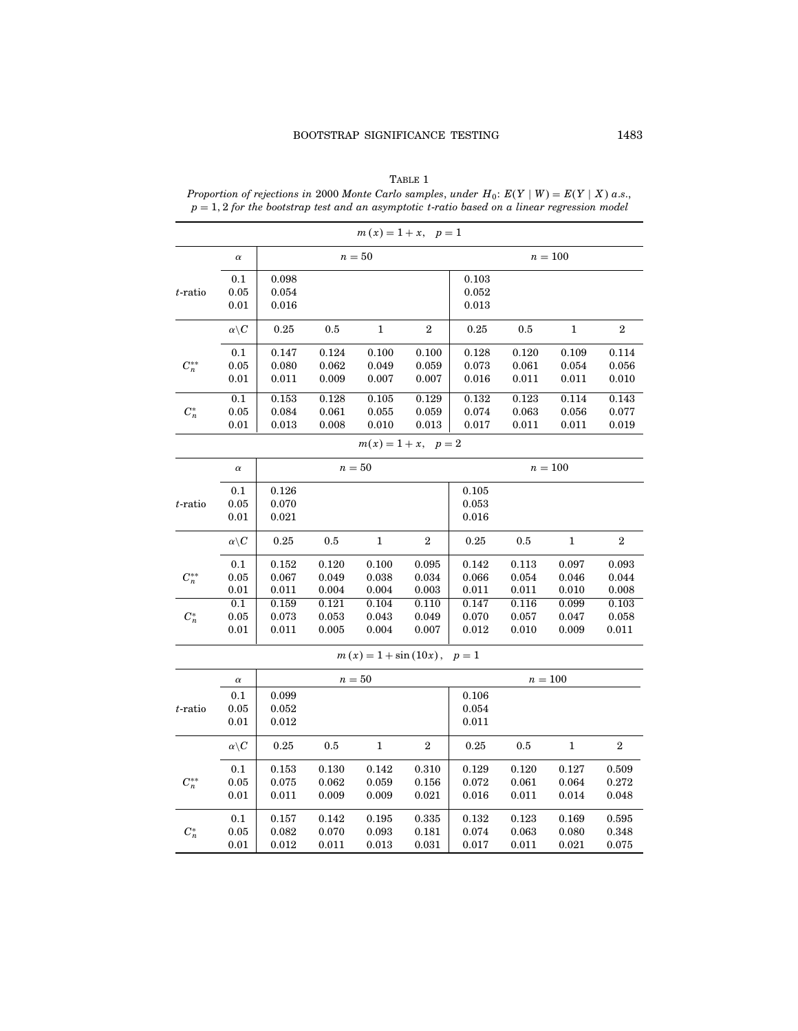|            |                      |                |                | $m(x) = 1 + x, p = 1$         |                |                |                |                |                |
|------------|----------------------|----------------|----------------|-------------------------------|----------------|----------------|----------------|----------------|----------------|
|            | $\alpha$             |                |                | $n=50$                        |                |                |                | $n=100$        |                |
|            | $0.1\,$              | 0.098          |                |                               |                | 0.103          |                |                |                |
| $t$ -ratio | 0.05                 | 0.054          |                |                               |                | 0.052          |                |                |                |
|            | 0.01                 | 0.016          |                |                               |                | 0.013          |                |                |                |
|            | $\alpha\backslash C$ | 0.25           | $0.5\,$        | $\mathbf{1}$                  | $\,2$          | 0.25           | $0.5\,$        | $\mathbf{1}$   | $\,2$          |
|            | 0.1                  | 0.147          | 0.124          | 0.100                         | 0.100          | 0.128          | 0.120          | 0.109          | 0.114          |
| $C_n^{**}$ | $\rm 0.05$           | 0.080          | 0.062          | 0.049                         | 0.059          | 0.073          | 0.061          | 0.054          | 0.056          |
|            | 0.01                 | 0.011          | 0.009          | 0.007                         | 0.007          | 0.016          | 0.011          | 0.011          | 0.010          |
|            | 0.1                  | 0.153          | 0.128          | 0.105                         | 0.129          | 0.132          | 0.123          | 0.114          | 0.143          |
| $C_n^*$    | 0.05<br>0.01         | 0.084<br>0.013 | 0.061<br>0.008 | 0.055<br>0.010                | 0.059<br>0.013 | 0.074<br>0.017 | 0.063<br>0.011 | 0.056<br>0.011 | 0.077<br>0.019 |
|            |                      |                |                | $m(x) = 1 + x, p = 2$         |                |                |                |                |                |
|            | $\alpha$             |                | $n=50$         | $n=100$                       |                |                |                |                |                |
|            | 0.1                  | 0.126          |                |                               |                | 0.105          |                |                |                |
| $t$ -ratio | 0.05                 | 0.070          |                |                               |                | 0.053          |                |                |                |
|            | 0.01                 | 0.021          |                |                               |                | 0.016          |                |                |                |
|            | $\alpha\backslash C$ | 0.25           | 0.5            | $\mathbf 1$                   | $\,2$          | 0.25           | 0.5            | $\mathbf{1}$   | $\,2$          |
|            | 0.1                  | 0.152          | 0.120          | 0.100                         | 0.095          | 0.142          | 0.113          | 0.097          | 0.093          |
| $C_n^{**}$ | 0.05                 | 0.067          | 0.049          | 0.038                         | 0.034          | 0.066          | 0.054          | 0.046          | 0.044          |
|            | 0.01                 | 0.011          | 0.004          | 0.004                         | 0.003          | 0.011          | 0.011          | 0.010          | 0.008          |
|            | 0.1                  | 0.159          | 0.121          | 0.104                         | 0.110          | 0.147          | 0.116          | 0.099          | 0.103          |
| $C_n^*$    | 0.05                 | 0.073          | 0.053          | 0.043                         | 0.049          | 0.070          | 0.057          | 0.047          | 0.058          |
|            | 0.01                 | 0.011          | 0.005          | 0.004                         | 0.007          | 0.012          | 0.010          | 0.009          | 0.011          |
|            |                      |                |                | $m(x) = 1 + \sin(10x), p = 1$ |                |                |                |                |                |
|            | $\alpha$             |                |                | $n=50$                        |                |                |                | $n=100$        |                |
|            | 0.1                  | 0.099          |                |                               |                | 0.106          |                |                |                |
| $t$ -ratio | 0.05                 | 0.052          |                |                               |                | 0.054          |                |                |                |
|            | 0.01                 | 0.012          |                |                               |                | 0.011          |                |                |                |
|            | $\alpha\backslash C$ | 0.25           | 0.5            | $\mathbf 1$                   | $\,2$          | 0.25           | $0.5\,$        | $\mathbf 1$    | $\,2$          |
|            | 0.1                  | 0.153          | 0.130          | 0.142                         | 0.310          | 0.129          | 0.120          | 0.127          | 0.509          |
| $C_n^{**}$ | 0.05                 | 0.075          | 0.062          | 0.059                         | 0.156          | 0.072          | 0.061          | 0.064          | 0.272          |
|            | 0.01                 | 0.011          | 0.009          | 0.009                         | 0.021          | 0.016          | 0.011          | 0.014          | 0.048          |
|            | 0.1                  | 0.157          | 0.142          | 0.195                         | 0.335          | 0.132          | 0.123          | 0.169          | 0.595          |
| $C_n^*$    | 0.05                 | 0.082          | 0.070          | 0.093                         | 0.181          | 0.074          | 0.063          | 0.080          | 0.348          |
|            | 0.01                 | 0.012          | 0.011          | 0.013                         | 0.031          | 0.017          | 0.011          | 0.021          | 0.075          |

 ${\tt Table\ 1}$ Proportion of rejections in 2000 Monte Carlo samples, under  $H_0$ :  $E(Y | W) = E(Y | X)$  a.s.,  $p = 1, 2$  for the bootstrap test and an asymptotic t-ratio based on a linear regression model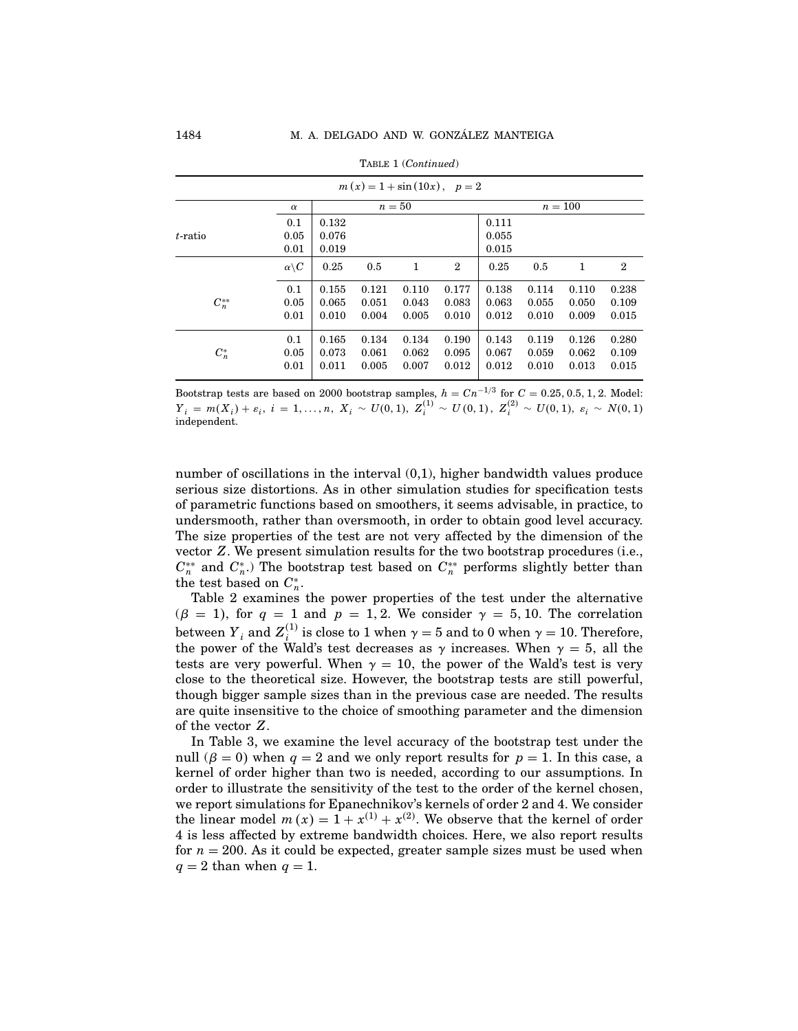| $m(x) = 1 + \sin(10x), p = 2$ |                      |       |       |        |                |       |       |         |              |  |  |  |
|-------------------------------|----------------------|-------|-------|--------|----------------|-------|-------|---------|--------------|--|--|--|
|                               | $\alpha$             |       |       | $n=50$ |                |       |       | $n=100$ |              |  |  |  |
|                               | 0.1                  | 0.132 |       |        |                | 0.111 |       |         |              |  |  |  |
| $t$ -ratio                    | 0.05                 | 0.076 |       |        |                | 0.055 |       |         |              |  |  |  |
|                               | 0.01                 | 0.019 |       |        |                | 0.015 |       |         |              |  |  |  |
|                               | $\alpha\backslash C$ | 0.25  | 0.5   | 1      | $\overline{2}$ | 0.25  | 0.5   | 1       | $\mathbf{2}$ |  |  |  |
|                               | 0.1                  | 0.155 | 0.121 | 0.110  | 0.177          | 0.138 | 0.114 | 0.110   | 0.238        |  |  |  |
| $C_n^{**}$                    | 0.05                 | 0.065 | 0.051 | 0.043  | 0.083          | 0.063 | 0.055 | 0.050   | 0.109        |  |  |  |
|                               | 0.01                 | 0.010 | 0.004 | 0.005  | 0.010          | 0.012 | 0.010 | 0.009   | 0.015        |  |  |  |
|                               | 0.1                  | 0.165 | 0.134 | 0.134  | 0.190          | 0.143 | 0.119 | 0.126   | 0.280        |  |  |  |
| $C_n^*$                       | 0.05                 | 0.073 | 0.061 | 0.062  | 0.095          | 0.067 | 0.059 | 0.062   | 0.109        |  |  |  |
|                               | 0.01                 | 0.011 | 0.005 | 0.007  | 0.012          | 0.012 | 0.010 | 0.013   | 0.015        |  |  |  |

|  | TABLE 1 (Continued) |
|--|---------------------|
|--|---------------------|

Bootstrap tests are based on 2000 bootstrap samples,  $h = Cn^{-1/3}$  for  $C = 0.25, 0.5, 1, 2$ . Model:  $\overline{Y}_i \,=\, m(X_i) + \varepsilon_i, \; i \,=\, 1, \ldots, n, \; X_i \,\sim\, U(0,1), \; Z^{(1)}_i \,\sim\, U(0,1), \; Z^{(2)}_i \,\sim\, U(0,1), \; \varepsilon_i \,\sim\, N(0,1)$ independent.

number of oscillations in the interval (0,1), higher bandwidth values produce serious size distortions. As in other simulation studies for specification tests of parametric functions based on smoothers, it seems advisable, in practice, to undersmooth, rather than oversmooth, in order to obtain good level accuracy. The size properties of the test are not very affected by the dimension of the vector Z. We present simulation results for the two bootstrap procedures (i.e.,  $C_n^{**}$  and  $C_n^*$ .) The bootstrap test based on  $C_n^{**}$  performs slightly better than the test based on  $C_n^*$ .

Table 2 examines the power properties of the test under the alternative  $(\beta = 1)$ , for  $q = 1$  and  $p = 1, 2$ . We consider  $\gamma = 5, 10$ . The correlation between  $Y_i$  and  $Z_i^{(1)}$  is close to 1 when  $\gamma = 5$  and to 0 when  $\gamma = 10$ . Therefore, the power of the Wald's test decreases as  $\gamma$  increases. When  $\gamma = 5$ , all the tests are very powerful. When  $\gamma = 10$ , the power of the Wald's test is very close to the theoretical size. However, the bootstrap tests are still powerful, though bigger sample sizes than in the previous case are needed. The results are quite insensitive to the choice of smoothing parameter and the dimension of the vector Z

In Table 3, we examine the level accuracy of the bootstrap test under the null ( $\beta = 0$ ) when  $q = 2$  and we only report results for  $p = 1$ . In this case, a kernel of order higher than two is needed, according to our assumptions. In order to illustrate the sensitivity of the test to the order of the kernel chosen, we report simulations for Epanechnikov's kernels of order 2 and 4. We consider the linear model  $m(x) = 1 + x^{(1)} + x^{(2)}$ . We observe that the kernel of order 4 is less affected by extreme bandwidth choices. Here, we also report results for  $n = 200$ . As it could be expected, greater sample sizes must be used when  $q = 2$  than when  $q = 1$ .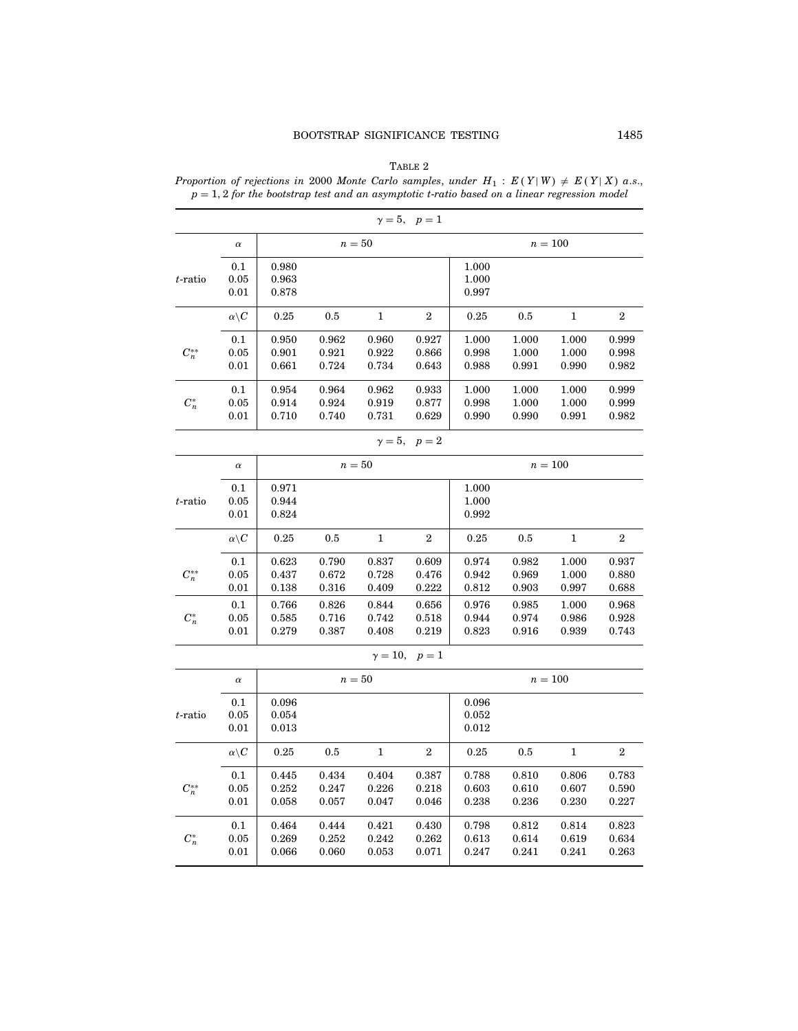| TABLE 2 |  |
|---------|--|
|         |  |

Proportion of rejections in 2000 Monte Carlo samples, under  $H_1: E(Y|W) \neq E(Y|X)$  a.s.,  $p = 1, 2$  for the bootstrap test and an asymptotic t-ratio based on a linear regression model

|            |                      |                         |                              |                         | $\gamma = 5, p = 1$       |                                   |                         |                         |                         |  |
|------------|----------------------|-------------------------|------------------------------|-------------------------|---------------------------|-----------------------------------|-------------------------|-------------------------|-------------------------|--|
|            | $\alpha$             |                         |                              | $n=50$                  |                           |                                   |                         | $n=100$                 |                         |  |
| t-ratio    | 0.1<br>0.05<br>0.01  | 0.980<br>0.963<br>0.878 |                              |                         |                           | 1.000<br>1.000<br>0.997           |                         |                         |                         |  |
|            | $\alpha\backslash C$ | 0.25                    | 0.5                          | $\mathbf{1}$            | $\boldsymbol{2}$          | 0.25                              | $0.5\,$                 | 1                       | $\boldsymbol{2}$        |  |
| $C_n^{**}$ | 0.1<br>0.05<br>0.01  | 0.950<br>0.901<br>0.661 | 0.962<br>0.921<br>0.724      | 0.960<br>0.922<br>0.734 | 0.927<br>0.866<br>0.643   | 1.000<br>0.998<br>0.988           | 1.000<br>1.000<br>0.991 | 1.000<br>1.000<br>0.990 | 0.999<br>0.998<br>0.982 |  |
| $C_n^*$    | 0.1<br>0.05<br>0.01  | 0.954<br>0.914<br>0.710 | 0.964<br>0.924<br>0.740      | 0.962<br>0.919<br>0.731 | 0.933<br>0.877<br>0.629   | 1.000<br>0.998<br>0.990           | 1.000<br>1.000<br>0.990 | 1.000<br>1.000<br>0.991 | 0.999<br>0.999<br>0.982 |  |
|            |                      |                         |                              |                         | $\gamma = 5, \quad p = 2$ |                                   |                         |                         |                         |  |
|            | $\alpha$             |                         |                              | $n=50$                  | $n = 100$                 |                                   |                         |                         |                         |  |
| t-ratio    | 0.1<br>0.05<br>0.01  | 0.971<br>0.944<br>0.824 |                              |                         |                           | 1.000<br>1.000<br>0.992           |                         |                         |                         |  |
|            | $\alpha\backslash C$ | 0.25                    | 0.5                          | 1                       | $\boldsymbol{2}$          | 0.25                              | 0.5                     | 1                       | $\boldsymbol{2}$        |  |
| $C_n^{**}$ | 0.1<br>0.05<br>0.01  | 0.623<br>0.437<br>0.138 | 0.790<br>0.672<br>$_{0.316}$ | 0.837<br>0.728<br>0.409 | 0.609<br>0.476<br>0.222   | 0.974<br>0.942<br>$_{0.812}$      | 0.982<br>0.969<br>0.903 | 1.000<br>1.000<br>0.997 | 0.937<br>0.880<br>0.688 |  |
| $C_n^*$    | 0.1<br>0.05<br>0.01  | 0.766<br>0.585<br>0.279 | 0.826<br>0.716<br>0.387      | 0.844<br>0.742<br>0.408 | 0.656<br>0.518<br>0.219   | 0.976<br>0.944<br>$_{0.823}$      | 0.985<br>0.974<br>0.916 | 1.000<br>0.986<br>0.939 | 0.968<br>0.928<br>0.743 |  |
|            |                      |                         |                              |                         | $\gamma = 10, p = 1$      |                                   |                         |                         |                         |  |
|            | $\alpha$             |                         |                              | $n=50$                  |                           |                                   |                         | $n = 100$               |                         |  |
| t-ratio    | 0.1<br>0.05<br>0.01  | 0.096<br>0.054<br>0.013 |                              |                         |                           | 0.096<br>$_{0.052}$<br>$_{0.012}$ |                         |                         |                         |  |
|            | $\alpha\backslash C$ | 0.25                    | 0.5                          | 1                       | $\boldsymbol{2}$          | 0.25                              | 0.5                     | 1                       | $\boldsymbol{2}$        |  |
| $C_n^{**}$ | 0.1<br>0.05<br>0.01  | 0.445<br>0.252<br>0.058 | 0.434<br>0.247<br>0.057      | 0.404<br>0.226<br>0.047 | 0.387<br>0.218<br>0.046   | 0.788<br>0.603<br>0.238           | 0.810<br>0.610<br>0.236 | 0.806<br>0.607<br>0.230 | 0.783<br>0.590<br>0.227 |  |
| $C_n^*$    | 0.1<br>0.05<br>0.01  | 0.464<br>0.269<br>0.066 | 0.444<br>0.252<br>0.060      | 0.421<br>0.242<br>0.053 | 0.430<br>0.262<br>0.071   | 0.798<br>$_{0.613}$<br>$_{0.247}$ | 0.812<br>0.614<br>0.241 | 0.814<br>0.619<br>0.241 | 0.823<br>0.634<br>0.263 |  |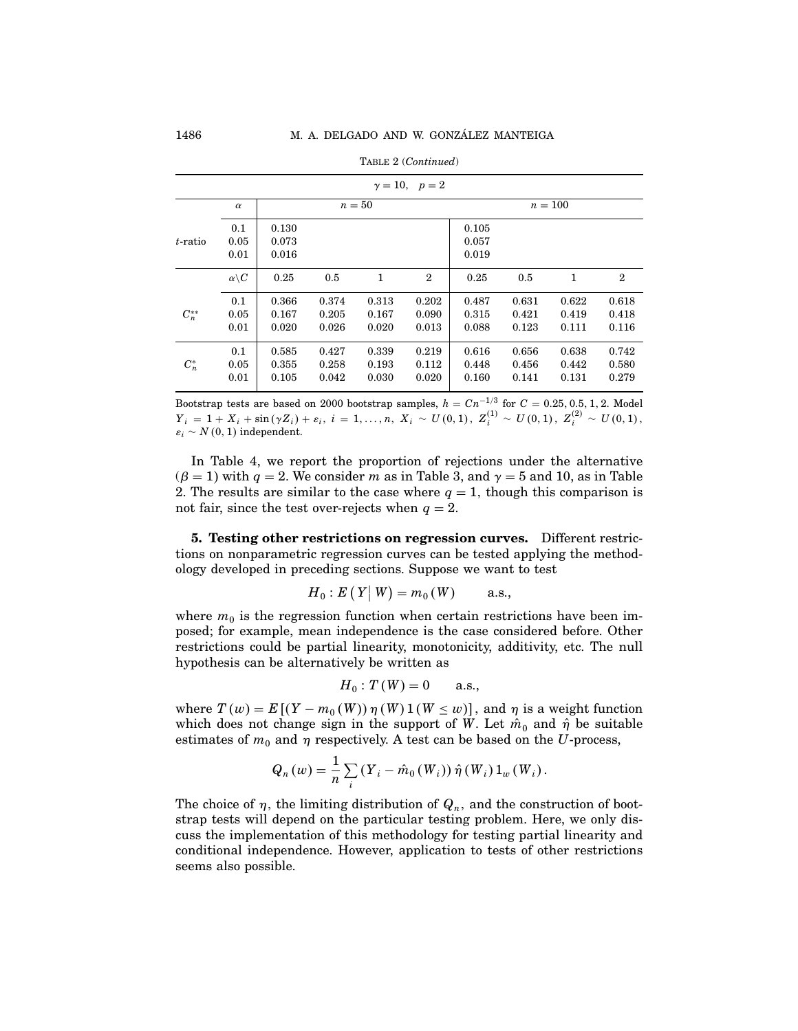|            | $\gamma=10, p=2$     |                         |                         |                         |                         |                         |                         |                         |                         |  |  |  |  |  |
|------------|----------------------|-------------------------|-------------------------|-------------------------|-------------------------|-------------------------|-------------------------|-------------------------|-------------------------|--|--|--|--|--|
|            | $\alpha$             |                         |                         | $n=50$                  |                         | $n=100$                 |                         |                         |                         |  |  |  |  |  |
| $t$ -ratio | 0.1<br>0.05<br>0.01  | 0.130<br>0.073<br>0.016 |                         |                         |                         | 0.105<br>0.057<br>0.019 |                         |                         |                         |  |  |  |  |  |
|            | $\alpha\backslash C$ | 0.25                    | 0.5                     | 1                       | $\mathbf{2}$            | 0.25                    | 0.5                     | 1                       | $\mathbf{2}$            |  |  |  |  |  |
| $C_n^{**}$ | 0.1<br>0.05<br>0.01  | 0.366<br>0.167<br>0.020 | 0.374<br>0.205<br>0.026 | 0.313<br>0.167<br>0.020 | 0.202<br>0.090<br>0.013 | 0.487<br>0.315<br>0.088 | 0.631<br>0.421<br>0.123 | 0.622<br>0.419<br>0.111 | 0.618<br>0.418<br>0.116 |  |  |  |  |  |
| $C_n^*$    | 0.1<br>0.05<br>0.01  | 0.585<br>0.355<br>0.105 | 0.427<br>0.258<br>0.042 | 0.339<br>0.193<br>0.030 | 0.219<br>0.112<br>0.020 | 0.616<br>0.448<br>0.160 | 0.656<br>0.456<br>0.141 | 0.638<br>0.442<br>0.131 | 0.742<br>0.580<br>0.279 |  |  |  |  |  |

Table 2 (Continued)

Bootstrap tests are based on 2000 bootstrap samples,  $h = C n^{-1/3}$  for  $C = 0.25, 0.5, 1, 2$ . Model  $Y_i \, = \, 1 + X_i + \sin(\gamma Z_i) + \varepsilon_i, \; i \, = \, 1, \ldots, n, \; X_i \, \sim \, U(0,1), \; Z^{(1)}_i \, \sim \, U(0,1), \; Z^{(2)}_i \, \sim \, U(0,1),$  $\varepsilon_i \sim N(0, 1)$  independent.

In Table 4, we report the proportion of rejections under the alternative  $(\beta = 1)$  with  $q = 2$ . We consider m as in Table 3, and  $\gamma = 5$  and 10, as in Table 2. The results are similar to the case where  $q = 1$ , though this comparison is not fair, since the test over-rejects when  $q = 2$ .

5. Testing other restrictions on regression curves. Different restrictions on nonparametric regression curves can be tested applying the methodology developed in preceding sections. Suppose we want to test

$$
H_0: E(Y|W) = m_0(W)
$$
 a.s.,

where  $m_0$  is the regression function when certain restrictions have been imposed; for example, mean independence is the case considered before. Other restrictions could be partial linearity, monotonicity, additivity, etc. The null hypothesis can be alternatively be written as

$$
H_0: T(W) = 0 \quad \text{a.s.},
$$

where  $T(w) = E[(Y - m_0(W)) \eta(W) 1(W \le w)]$ , and  $\eta$  is a weight function which does not change sign in the support of W. Let  $\hat{m}_0$  and  $\hat{\eta}$  be suitable estimates of  $m_0$  and  $\eta$  respectively. A test can be based on the U-process,

$$
Q_n(w) = \frac{1}{n} \sum_i (Y_i - \hat{m}_0(W_i)) \hat{\eta}(W_i) 1_w(W_i).
$$

The choice of  $\eta$ , the limiting distribution of  $Q_n$ , and the construction of bootstrap tests will depend on the particular testing problem. Here, we only discuss the implementation of this methodology for testing partial linearity and conditional independence. However, application to tests of other restrictions seems also possible.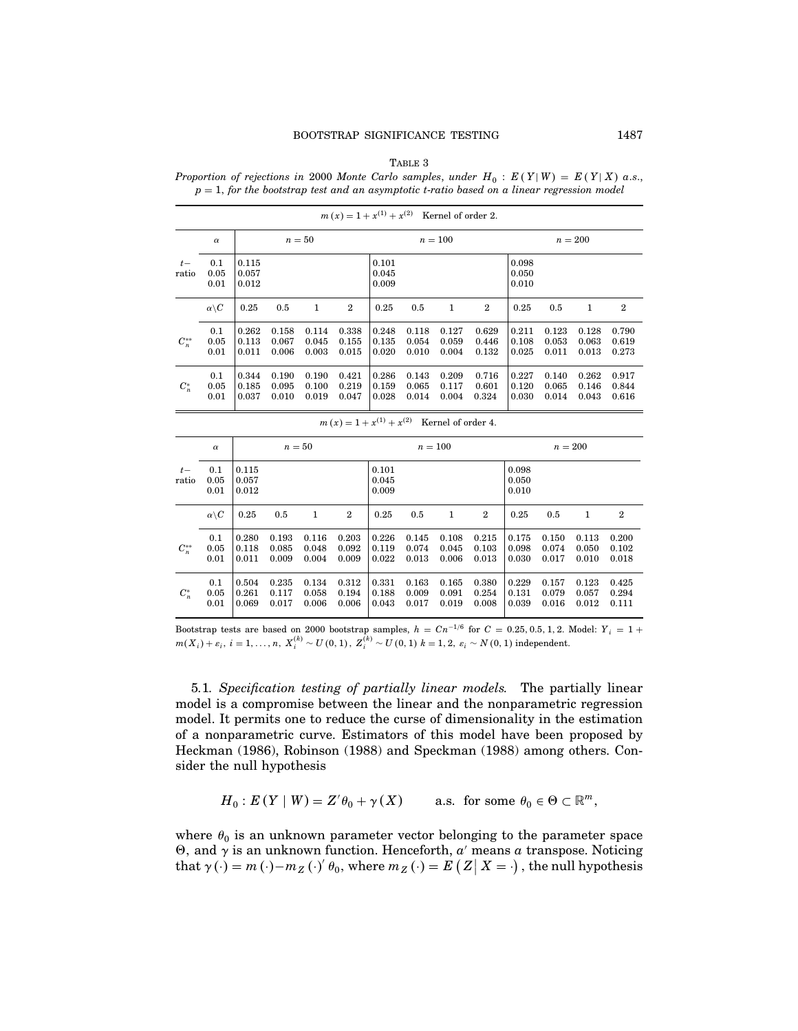#### TABLE 3

Proportion of rejections in 2000 Monte Carlo samples, under  $H_0 : E(Y|W) = E(Y|X)$  a.s.,  $p = 1$ , for the bootstrap test and an asymptotic t-ratio based on a linear regression model

|                | $\alpha$             |                         | $n=50$                  |                         |                         |                         | $n=100$                 |                         |                         |                         | $n=200$                 |                         |                         |  |
|----------------|----------------------|-------------------------|-------------------------|-------------------------|-------------------------|-------------------------|-------------------------|-------------------------|-------------------------|-------------------------|-------------------------|-------------------------|-------------------------|--|
| $t -$<br>ratio | 0.1<br>0.05<br>0.01  | 0.115<br>0.057<br>0.012 |                         |                         |                         | 0.101<br>0.045<br>0.009 |                         |                         |                         | 0.098<br>0.050<br>0.010 |                         |                         |                         |  |
|                | $\alpha\backslash C$ | 0.25                    | 0.5                     | 1                       | $\overline{2}$          | 0.25                    | 0.5                     | 1                       | $\overline{2}$          | 0.25                    | 0.5                     | 1                       | $\overline{2}$          |  |
| $C_n^{**}$     | 0.1<br>0.05<br>0.01  | 0.262<br>0.113<br>0.011 | 0.158<br>0.067<br>0.006 | 0.114<br>0.045<br>0.003 | 0.338<br>0.155<br>0.015 | 0.248<br>0.135<br>0.020 | 0.118<br>0.054<br>0.010 | 0.127<br>0.059<br>0.004 | 0.629<br>0.446<br>0.132 | 0.211<br>0.108<br>0.025 | 0.123<br>0.053<br>0.011 | 0.128<br>0.063<br>0.013 | 0.790<br>0.619<br>0.273 |  |
| $C_n^*$        | 0.1<br>0.05<br>0.01  | 0.344<br>0.185<br>0.037 | 0.190<br>0.095<br>0.010 | 0.190<br>0.100<br>0.019 | 0.421<br>0.219<br>0.047 | 0.286<br>0.159<br>0.028 | 0.143<br>0.065<br>0.014 | 0.209<br>0.117<br>0.004 | 0.716<br>0.601<br>0.324 | 0.227<br>0.120<br>0.030 | 0.140<br>0.065<br>0.014 | 0.262<br>0.146<br>0.043 | 0.917<br>0.844<br>0.616 |  |

 $m(x) = 1 + x^{(1)} + x^{(2)}$  Kernel of order 2.

|                | $\alpha$             |                         | $n=50$                  |                         |                         |                         | $n=100$                 |                         |                         |                         | $n=200$                 |                         |                         |  |
|----------------|----------------------|-------------------------|-------------------------|-------------------------|-------------------------|-------------------------|-------------------------|-------------------------|-------------------------|-------------------------|-------------------------|-------------------------|-------------------------|--|
| $t -$<br>ratio | 0.1<br>0.05<br>0.01  | 0.115<br>0.057<br>0.012 |                         |                         |                         | 0.101<br>0.045<br>0.009 |                         |                         |                         | 0.098<br>0.050<br>0.010 |                         |                         |                         |  |
|                | $\alpha\backslash C$ | 0.25                    | 0.5                     | 1                       | $\mathbf{2}$            | 0.25                    | 0.5                     | 1                       | $\mathbf{2}$            | 0.25                    | 0.5                     | 1                       | $\overline{2}$          |  |
| $C_n^{**}$     | 0.1<br>0.05<br>0.01  | 0.280<br>0.118<br>0.011 | 0.193<br>0.085<br>0.009 | 0.116<br>0.048<br>0.004 | 0.203<br>0.092<br>0.009 | 0.226<br>0.119<br>0.022 | 0.145<br>0.074<br>0.013 | 0.108<br>0.045<br>0.006 | 0.215<br>0.103<br>0.013 | 0.175<br>0.098<br>0.030 | 0.150<br>0.074<br>0.017 | 0.113<br>0.050<br>0.010 | 0.200<br>0.102<br>0.018 |  |
| $C_n^*$        | 0.1<br>0.05<br>0.01  | 0.504<br>0.261<br>0.069 | 0.235<br>0.117<br>0.017 | 0.134<br>0.058<br>0.006 | 0.312<br>0.194<br>0.006 | 0.331<br>0.188<br>0.043 | 0.163<br>0.009<br>0.017 | 0.165<br>0.091<br>0.019 | 0.380<br>0.254<br>0.008 | 0.229<br>0.131<br>0.039 | 0.157<br>0.079<br>0.016 | 0.123<br>0.057<br>0.012 | 0.425<br>0.294<br>0.111 |  |

 $m(x) = 1 + x^{(1)} + x^{(2)}$  Kernel of order 4.

Bootstrap tests are based on 2000 bootstrap samples,  $h = Cn^{-1/6}$  for  $C = 0.25, 0.5, 1, 2$ . Model:  $Y_i = 1 +$  $m(X_i) + \varepsilon_i, i = 1, ..., n, X_i^{(k)} \sim U(0, 1), Z_i^{(k)} \sim U(0, 1) \; k = 1, 2, \; \varepsilon_i \sim N(0, 1) \; \text{independent}.$ 

5.1. Specification testing of partially linear models. The partially linear model is a compromise between the linear and the nonparametric regression model. It permits one to reduce the curse of dimensionality in the estimation of a nonparametric curve. Estimators of this model have been proposed by Heckman (1986), Robinson (1988) and Speckman (1988) among others. Consider the null hypothesis

$$
H_0: E(Y \mid W) = Z'\theta_0 + \gamma(X) \quad \text{a.s. for some } \theta_0 \in \Theta \subset \mathbb{R}^m,
$$

where  $\theta_0$  is an unknown parameter vector belonging to the parameter space  $Θ$ , and γ is an unknown function. Henceforth,  $a'$  means  $a$  transpose. Noticing that  $\gamma(\cdot) = m(\cdot) - m_Z(\cdot)'\theta_0$ , where  $m_Z(\cdot) = E(Z|X = \cdot)$ , the null hypothesis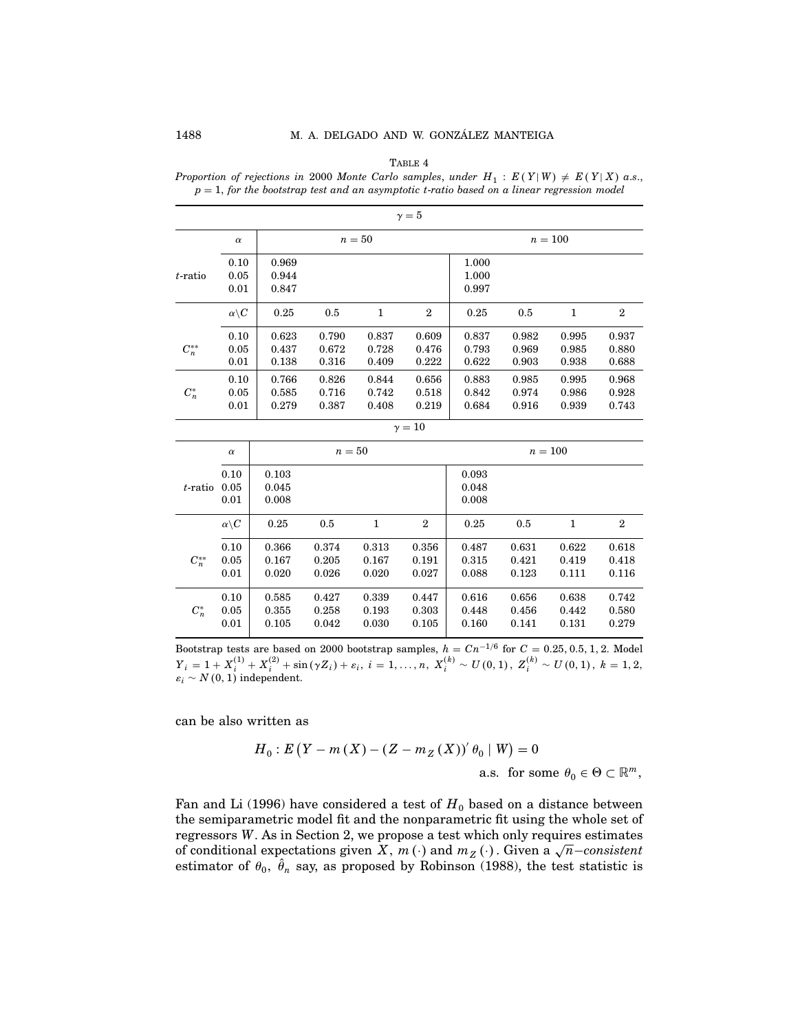### 1488 M. A. DELGADO AND W. GONZÁLEZ MANTEIGA

TABLE 4

Proportion of rejections in 2000 Monte Carlo samples, under  $H_1 : E(Y|W) \neq E(Y|X)$  a.s.,  $p = 1$ , for the bootstrap test and an asymptotic t-ratio based on a linear regression model

|            | $\gamma = 5$         |       |       |              |              |       |       |       |              |  |  |  |  |  |
|------------|----------------------|-------|-------|--------------|--------------|-------|-------|-------|--------------|--|--|--|--|--|
|            | $\alpha$             |       |       | $n=50$       | $n=100$      |       |       |       |              |  |  |  |  |  |
|            | 0.10                 | 0.969 |       |              |              | 1.000 |       |       |              |  |  |  |  |  |
| $t$ -ratio | 0.05                 | 0.944 |       |              |              | 1.000 |       |       |              |  |  |  |  |  |
|            | 0.01                 | 0.847 |       |              |              | 0.997 |       |       |              |  |  |  |  |  |
|            | $\alpha\backslash C$ | 0.25  | 0.5   | $\mathbf{1}$ | $\mathbf{2}$ | 0.25  | 0.5   | 1     | $\mathbf{2}$ |  |  |  |  |  |
|            | 0.10                 | 0.623 | 0.790 | 0.837        | 0.609        | 0.837 | 0.982 | 0.995 | 0.937        |  |  |  |  |  |
| $C_n^{**}$ | 0.05                 | 0.437 | 0.672 | 0.728        | 0.476        | 0.793 | 0.969 | 0.985 | 0.880        |  |  |  |  |  |
|            | 0.01                 | 0.138 | 0.316 | 0.409        | 0.222        | 0.622 | 0.903 | 0.938 | 0.688        |  |  |  |  |  |
|            | 0.10                 | 0.766 | 0.826 | 0.844        | 0.656        | 0.883 | 0.985 | 0.995 | 0.968        |  |  |  |  |  |
| $C_n^*$    | 0.05                 | 0.585 | 0.716 | 0.742        | 0.518        | 0.842 | 0.974 | 0.986 | 0.928        |  |  |  |  |  |
|            | 0.01                 | 0.279 | 0.387 | 0.408        | 0.219        | 0.684 | 0.916 | 0.939 | 0.743        |  |  |  |  |  |
|            |                      |       |       |              | $\gamma=10$  |       |       |       |              |  |  |  |  |  |

|            | $\alpha$             |       |       | $n=50$ |                | $n = 100$ |       |       |              |  |
|------------|----------------------|-------|-------|--------|----------------|-----------|-------|-------|--------------|--|
|            | 0.10                 | 0.103 |       |        |                | 0.093     |       |       |              |  |
| t-ratio    | 0.05                 | 0.045 |       |        |                | 0.048     |       |       |              |  |
|            | 0.01                 | 0.008 |       |        |                | 0.008     |       |       |              |  |
|            | $\alpha\backslash C$ | 0.25  | 0.5   | 1      | $\overline{2}$ | 0.25      | 0.5   | 1     | $\mathbf{2}$ |  |
|            | 0.10                 | 0.366 | 0.374 | 0.313  | 0.356          | 0.487     | 0.631 | 0.622 | 0.618        |  |
| $C_n^{**}$ | 0.05                 | 0.167 | 0.205 | 0.167  | 0.191          | 0.315     | 0.421 | 0.419 | 0.418        |  |
|            | 0.01                 | 0.020 | 0.026 | 0.020  | 0.027          | 0.088     | 0.123 | 0.111 | 0.116        |  |
|            | 0.10                 | 0.585 | 0.427 | 0.339  | 0.447          | 0.616     | 0.656 | 0.638 | 0.742        |  |
| $C_n^*$    | 0.05                 | 0.355 | 0.258 | 0.193  | 0.303          | 0.448     | 0.456 | 0.442 | 0.580        |  |
|            | 0.01                 | 0.105 | 0.042 | 0.030  | 0.105          | 0.160     | 0.141 | 0.131 | 0.279        |  |

Bootstrap tests are based on 2000 bootstrap samples,  $h = Cn^{-1/6}$  for  $C = 0.25, 0.5, 1, 2$ . Model  $Y_i = 1 + X_i^{(1)} + X_i^{(2)} + \sin(\gamma Z_i) + \varepsilon_i, i = 1, ..., n, X_i^{(k)} \sim U(0, 1), Z_i^{(k)} \sim U(0, 1), k = 1, 2,$  $\varepsilon_i \sim N(0, 1)$  independent.

can be also written as

$$
H_0: E(Y - m(X) - (Z - m_Z(X))' \theta_0 \mid W) = 0
$$
  
a.s. for some  $\theta_0 \in \Theta \subset \mathbb{R}^m$ ,

Fan and Li (1996) have considered a test of  $H_0$  based on a distance between the semiparametric model fit and the nonparametric fit using the whole set of regressors W As in Section 2, we propose a test which only requires estimates of conditional expectations given  $X$ ,  $m(\cdot)$  and  $m_Z(\cdot)$ . Given a  $\sqrt{n}$ -consistent estimator of  $\theta_0$ ,  $\hat{\theta}_n$  say, as proposed by Robinson (1988), the test statistic is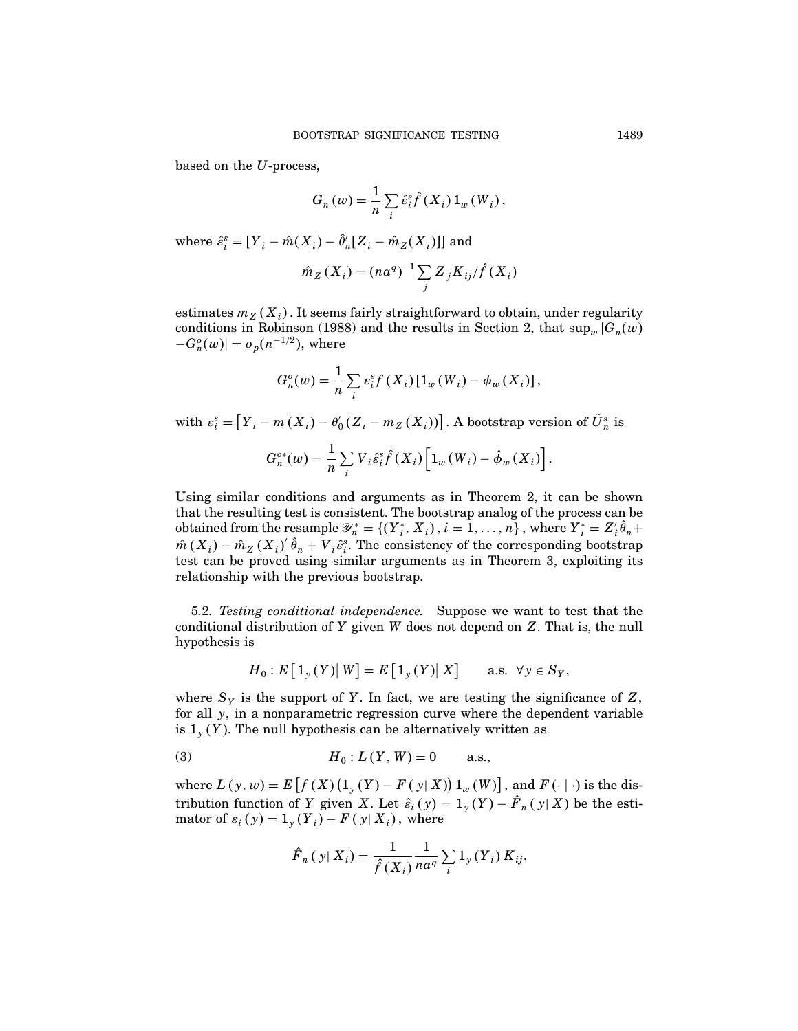based on the U-process,

$$
G_n(w) = \frac{1}{n} \sum_i \hat{\varepsilon}_i^s \hat{f}(X_i) 1_w(W_i),
$$

where  $\hat{\varepsilon}_i^s = [Y_i - \hat{m}(X_i) - \hat{\theta}'_n[Z_i - \hat{m}_Z(X_i)]]$  and

$$
\hat{m}_Z(X_i) = (na^q)^{-1} \sum_j Z_j K_{ij} / \hat{f}(X_i)
$$

estimates  $m_Z(X_i)$  . It seems fairly straightforward to obtain, under regularity conditions in Robinson (1988) and the results in Section 2, that  $\sup_w |G_n(w)|$  $-G_n^o(w)$  =  $o_p(n^{-1/2})$ , where

$$
G_n^o(w) = \frac{1}{n} \sum_i \varepsilon_i^s f(X_i) \left[1_w(W_i) - \phi_w(X_i)\right],
$$

with  $\varepsilon_i^s = \bigl[ Y_i - m(X_i) - \theta_0' (Z_i - m_Z(X_i)) \bigr]$ . A bootstrap version of  $\tilde{U}_n^s$  is  $G_n^{o*}(w) = \frac{1}{n} \sum_i$  $\sum\limits_i {V}_i \hat{\varepsilon}^{\mathrm{s}}_i \hat{f}\left( {{X}_{i}} \right)\! \left[ {{1}_{w}}\left( {{W}_{i}} \right)-\hat{\phi}_{w}\left( {{X}_{i}} \right) \right].$ 

Using similar conditions and arguments as in Theorem 2, it can be shown that the resulting test is consistent. The bootstrap analog of the process can be obtained from the resample  $\mathscr{Y}_n^* = \{(Y_i^*, X_i), i = 1, ..., n\}$ , where  $Y_i^* = Z_i' \hat{\theta}_n +$  $\hat{m}(X_i) - \hat{m}_Z(X_i)'\hat{\theta}_n + V_i\hat{\varepsilon}_i^s$ . The consistency of the corresponding bootstrap test can be proved using similar arguments as in Theorem 3, exploiting its relationship with the previous bootstrap.

5.2. Testing conditional independence. Suppose we want to test that the conditional distribution of  $Y$  given  $W$  does not depend on  $Z$ . That is, the null hypothesis is

$$
H_0: E\left[1_{\mathcal{Y}}(Y) \big| W\right] = E\left[1_{\mathcal{Y}}(Y) \big| X\right] \quad \text{a.s. } \forall \mathcal{Y} \in S_Y,
$$

where  $S_Y$  is the support of Y. In fact, we are testing the significance of Z, for all  $y$ , in a nonparametric regression curve where the dependent variable is  $1_y(Y)$ . The null hypothesis can be alternatively written as

(3) 
$$
H_0: L(Y, W) = 0
$$
 a.s.,

where  $L(y, w) = E\left[f(X)\left(1_y(Y) - F(y|X)\right)1_w(W)\right]$ , and  $F(\cdot | \cdot)$  is the distribution function of Y given X. Let  $\hat{\varepsilon}_i(y) = 1_y(Y) - F_n(y|X)$  be the estimator of  $\varepsilon_i(y) = 1_y(Y_i) - F(y|X_i)$ , where

$$
\hat{F}_n(y|X_i) = \frac{1}{\hat{f}(X_i)} \frac{1}{na^q} \sum_i 1_y(Y_i) K_{ij}.
$$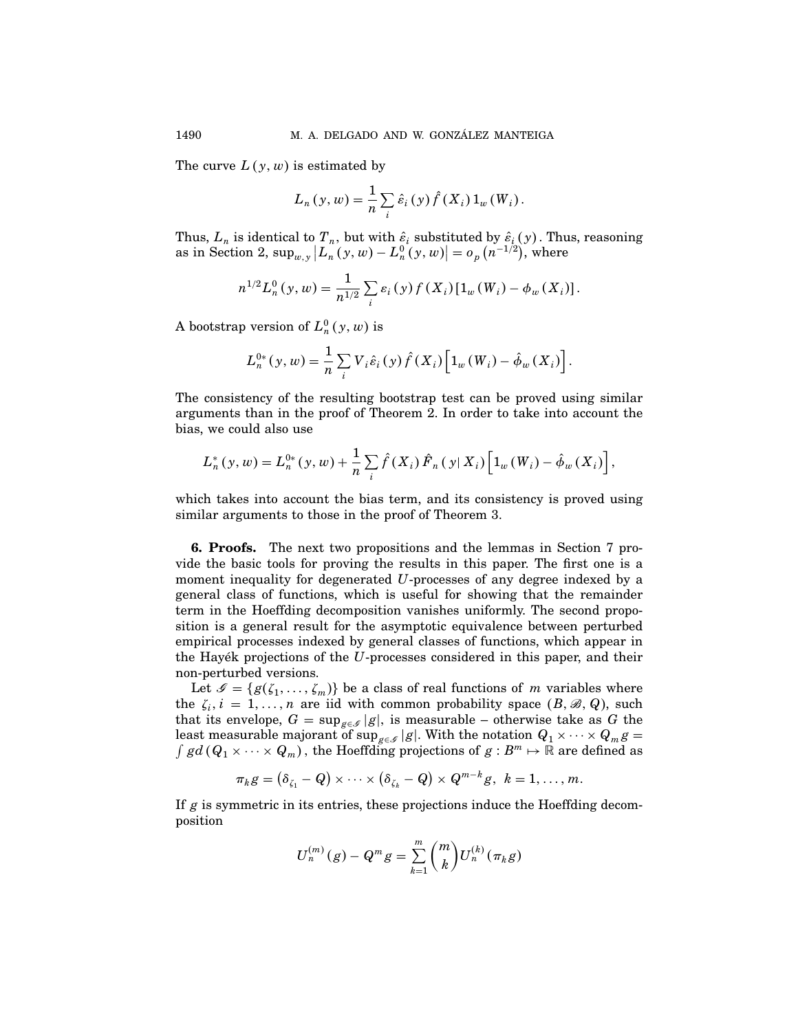The curve  $L(y, w)$  is estimated by

$$
L_n(y, w) = \frac{1}{n} \sum_i \hat{\varepsilon}_i(y) \hat{f}(X_i) 1_w(W_i).
$$

Thus,  $L_n$  is identical to  $T_n$ , but with  $\hat{\varepsilon}_i$  substituted by  $\hat{\varepsilon}_i(y)$ . Thus, reasoning as in Section 2,  $\sup_{w,y}|L_n(y,w)-L_n^0(y,w)|=o_p(n^{-1/2})$ , where

$$
n^{1/2}L_n^0(y, w) = \frac{1}{n^{1/2}}\sum_i \varepsilon_i(y) f(X_i) [\mathbb{1}_w(W_i) - \phi_w(X_i)].
$$

A bootstrap version of  $L_n^0(y, w)$  is

$$
L_n^{0*}(y, w) = \frac{1}{n} \sum_i V_i \hat{\varepsilon}_i(y) \hat{f}(X_i) \left[1_w(W_i) - \hat{\phi}_w(X_i)\right].
$$

The consistency of the resulting bootstrap test can be proved using similar arguments than in the proof of Theorem 2. In order to take into account the bias, we could also use

$$
L_n^*(y, w) = L_n^{0*}(y, w) + \frac{1}{n} \sum_i \hat{f}(X_i) \hat{F}_n(y | X_i) \left[1_w(W_i) - \hat{\phi}_w(X_i)\right],
$$

which takes into account the bias term, and its consistency is proved using similar arguments to those in the proof of Theorem 3.

6. Proofs. The next two propositions and the lemmas in Section 7 provide the basic tools for proving the results in this paper. The first one is a moment inequality for degenerated U-processes of any degree indexed by a general class of functions, which is useful for showing that the remainder term in the Hoeffding decomposition vanishes uniformly. The second proposition is a general result for the asymptotic equivalence between perturbed empirical processes indexed by general classes of functions, which appear in the Hayék projections of the  $U$ -processes considered in this paper, and their non-perturbed versions.

Let  $\mathcal{S} = \{g(\zeta_1, \ldots, \zeta_m)\}\$  be a class of real functions of m variables where the  $\zeta_i$ ,  $i = 1, \ldots, n$  are iid with common probability space  $(B, \mathcal{B}, Q)$ , such that its envelope,  $G = \sup_{g \in \mathcal{S}} |g|$ , is measurable – otherwise take as G the least measurable majorant of sup<sub>g∈\$</sub> |g|. With the notation  $Q_1 \times \cdots \times Q_m$ g =  $\int gd(Q_1 \times \cdots \times Q_m)$ , the Hoeffding projections of  $g : B^m \mapsto \mathbb{R}$  are defined as  $gd(Q_1 \times \cdots \times Q_m)$ , the Hoeffding projections of  $g : B^m \mapsto \mathbb{R}$  are defined as

$$
\pi_k g = (\delta_{\zeta_1} - Q) \times \cdots \times (\delta_{\zeta_k} - Q) \times Q^{m-k} g, \ k = 1, \ldots, m.
$$

If  $g$  is symmetric in its entries, these projections induce the Hoeffding decomposition

$$
U_n^{(m)}(g) - Q^m g = \sum_{k=1}^m {m \choose k} U_n^{(k)}(\pi_k g)
$$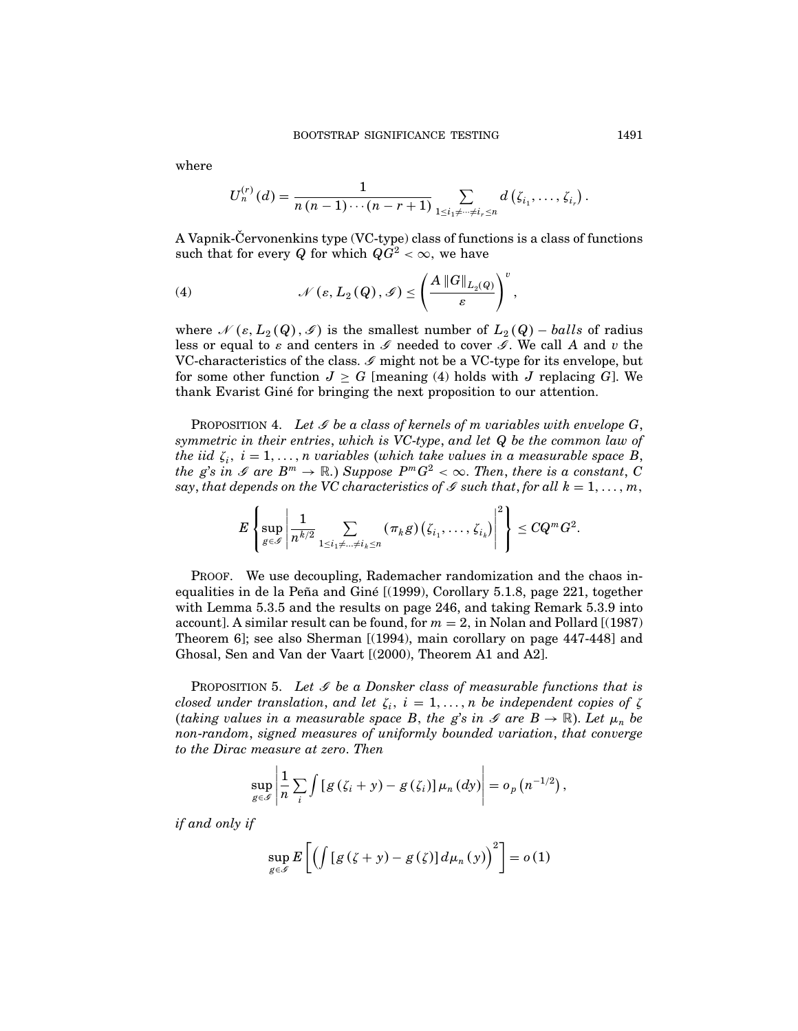where

$$
U_n^{(r)}(d)=\frac{1}{n(n-1)\cdots(n-r+1)}\sum_{1\leq i_1\neq\cdots\neq i_r\leq n}d\left(\zeta_{i_1},\ldots,\zeta_{i_r}\right).
$$

A Vapnik-Cervonenkins type  $(VC$ -type) class of functions is a class of functions such that for every Q for which  $QG^2 < \infty$ , we have

(4) 
$$
\mathscr{N}(\varepsilon, L_2(Q), \mathscr{G}) \leq \left(\frac{A \|G\|_{L_2(Q)}}{\varepsilon}\right)^v,
$$

where  $\mathcal{N}(\varepsilon, L_2(Q), \mathcal{I})$  is the smallest number of  $L_2(Q)$  – balls of radius less or equal to  $\varepsilon$  and centers in  ${\mathscr I}$  needed to cover  ${\mathscr I}.$  We call  $A$  and  $v$  the VC-characteristics of the class.  ${\mathscr I}$  might not be a VC-type for its envelope, but for some other function  $J \geq G$  [meaning (4) holds with J replacing G]. We thank Evarist Giné for bringing the next proposition to our attention.

PROPOSITION 4. Let  $\mathscr G$  be a class of kernels of m variables with envelope  $G,$ symmetric in their entries, which is VC-type, and let Q be the common law of the iid  $\zeta_i$ ,  $i = 1, \ldots, n$  variables (which take values in a measurable space B, the g's in  $\mathscr{I}$  are  $B^m \to \mathbb{R}$ .) Suppose  $P^mG^2 < \infty$ . Then, there is a constant, C say, that depends on the VC characteristics of  $\mathscr S$  such that, for all  $k = 1, \ldots, m,$ 

$$
E\left\{\sup_{g\in\mathscr{I}}\left|\frac{1}{n^{k/2}}\sum_{1\leq i_1\neq...\neq i_k\leq n}\left(\pi_kg\right)\left(\zeta_{i_1},\ldots,\zeta_{i_k}\right)\right|^2\right\}\leq CQ^mG^2.
$$

Proof. We use decoupling, Rademacher randomization and the chaos inequalities in de la Peña and Giné  $[(1999),$  Corollary 5.1.8, page 221, together with Lemma 5.3.5 and the results on page 246, and taking Remark 5.3.9 into account]. A similar result can be found, for  $m = 2$ , in Nolan and Pollard [(1987) Theorem 6]; see also Sherman [(1994), main corollary on page 447-448] and Ghosal, Sen and Van der Vaart [(2000), Theorem A1 and A2].

PROPOSITION 5. Let  $\mathscr G$  be a Donsker class of measurable functions that is closed under translation, and let  $\zeta_i$ ,  $i = 1, \ldots, n$  be independent copies of  $\zeta$ (taking values in a measurable space B, the g's in  $\mathscr{I}$  are  $B \to \mathbb{R}$ ). Let  $\mu_n$  be non-random, signed measures of uniformly bounded variation, that converge to the Dirac measure at zero. Then

$$
\sup_{g\in\mathscr{S}}\left|\frac{1}{n}\sum_i\int[g(\zeta_i+y)-g(\zeta_i)]\mu_n(dy)\right|=o_p(n^{-1/2}),
$$

if and only if

$$
\sup_{g\in\mathscr{G}}E\left[\left(\int\left[g\left(\zeta+y\right)-g\left(\zeta\right)\right]d\mu_n\left(y\right)\right)^2\right]=o\left(1\right)
$$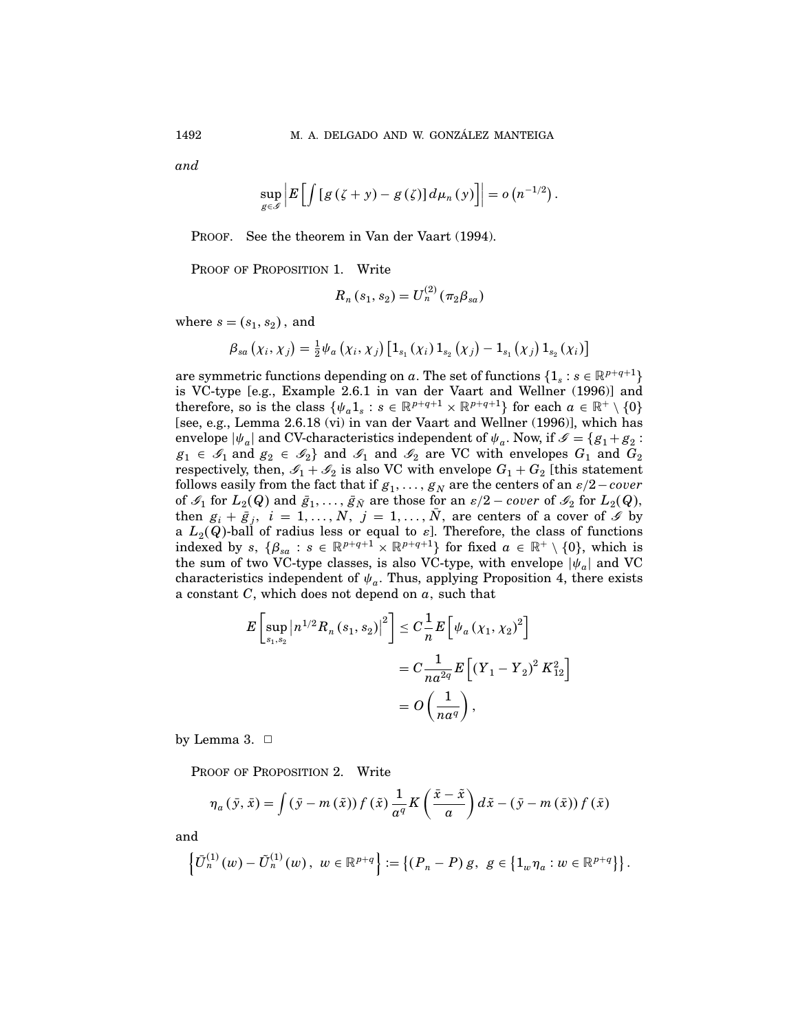and

$$
\sup_{g\in\mathscr{G}}\left|E\left[\int\left[g\left(\zeta+y\right)-g\left(\zeta\right)\right]d\mu_n\left(y\right)\right]\right|=o\left(n^{-1/2}\right).
$$

PROOF. See the theorem in Van der Vaart (1994).

PROOF OF PROPOSITION 1. Write

$$
R_n(s_1, s_2) = U_n^{(2)}(\pi_2 \beta_{sa})
$$

where  $s = (s_1, s_2)$ , and

$$
\beta_{sa}\left(\chi_{i},\chi_{j}\right)=\frac{1}{2}\psi_{a}\left(\chi_{i},\chi_{j}\right)\left[1_{s_{1}}\left(\chi_{i}\right)1_{s_{2}}\left(\chi_{j}\right)-1_{s_{1}}\left(\chi_{j}\right)1_{s_{2}}\left(\chi_{i}\right)\right]
$$

are symmetric functions depending on a. The set of functions  $\{1_s : s \in \mathbb{R}^{p+q+1}\}\$ is VC-type [e.g., Example 2.6.1 in van der Vaart and Wellner (1996)] and therefore, so is the class  $\{\psi_a 1_s : s \in \mathbb{R}^{p+q+1} \times \mathbb{R}^{p+q+1}\}$  for each  $a \in \mathbb{R}^+ \setminus \{0\}$ [see, e.g., Lemma 2.6.18 (vi) in van der Vaart and Wellner (1996)], which has envelope  $|\psi_a|$  and CV-characteristics independent of  $\psi_a$ . Now, if  $\mathscr{I} = \{g_1 + g_2 :$  $g_1 \in \mathcal{G}_1$  and  $g_2 \in \mathcal{G}_2$  and  $\mathcal{G}_1$  and  $\mathcal{G}_2$  are VC with envelopes  $G_1$  and  $G_2$ respectively, then,  $\mathscr{I}_1 + \mathscr{I}_2$  is also VC with envelope  $G_1 + G_2$  [this statement follows easily from the fact that if  $g_1, \ldots, g_N$  are the centers of an  $\varepsilon/2$ −cover of  $\mathscr{I}_1$  for  $L_2(Q)$  and  $\bar{g}_1,\ldots,\bar{g}_{\bar{N}}$  are those for an  $\varepsilon/2$  – cover of  $\mathscr{I}_2$  for  $L_2(Q)$ , then  $g_i + \bar{g}_j$ ,  $i = 1, ..., N$ ,  $j = 1, ..., N$ , are centers of a cover of  $\mathcal{I}$  by a  $L_2(Q)$ -ball of radius less or equal to  $\varepsilon$ ]. Therefore, the class of functions indexed by  $s, \{\beta_{sa} : s \in \mathbb{R}^{p+q+1} \times \mathbb{R}^{p+q+1}\}\$  for fixed  $a \in \mathbb{R}^+ \setminus \{0\}$ , which is the sum of two VC-type classes, is also VC-type, with envelope  $|\psi_a|$  and VC characteristics independent of  $\psi_a$ . Thus, applying Proposition 4, there exists a constant  $C$ , which does not depend on  $a$ , such that

$$
E\left[\sup_{s_1, s_2} |n^{1/2} R_n(s_1, s_2)|^2\right] \leq C\frac{1}{n} E\left[\psi_a(\chi_1, \chi_2)^2\right]
$$
  
= 
$$
C\frac{1}{na^{2q}} E\left[(Y_1 - Y_2)^2 K_{12}^2\right]
$$
  
= 
$$
O\left(\frac{1}{na^q}\right),
$$

by Lemma 3.  $\Box$ 

PROOF OF PROPOSITION 2. Write

$$
\eta_a(\bar{y}, \bar{x}) = \int (\bar{y} - m(\tilde{x})) f(\tilde{x}) \frac{1}{a^q} K\left(\frac{\bar{x} - \tilde{x}}{a}\right) d\tilde{x} - (\bar{y} - m(\tilde{x})) f(\bar{x})
$$

and

$$
\left\{\bar{U}_n^{(1)}(w)-\tilde{U}_n^{(1)}(w), w \in \mathbb{R}^{p+q}\right\}:=\left\{(P_n-P) g, g \in \left\{\mathbb{1}_w\eta_a: w \in \mathbb{R}^{p+q}\right\}\right\}.
$$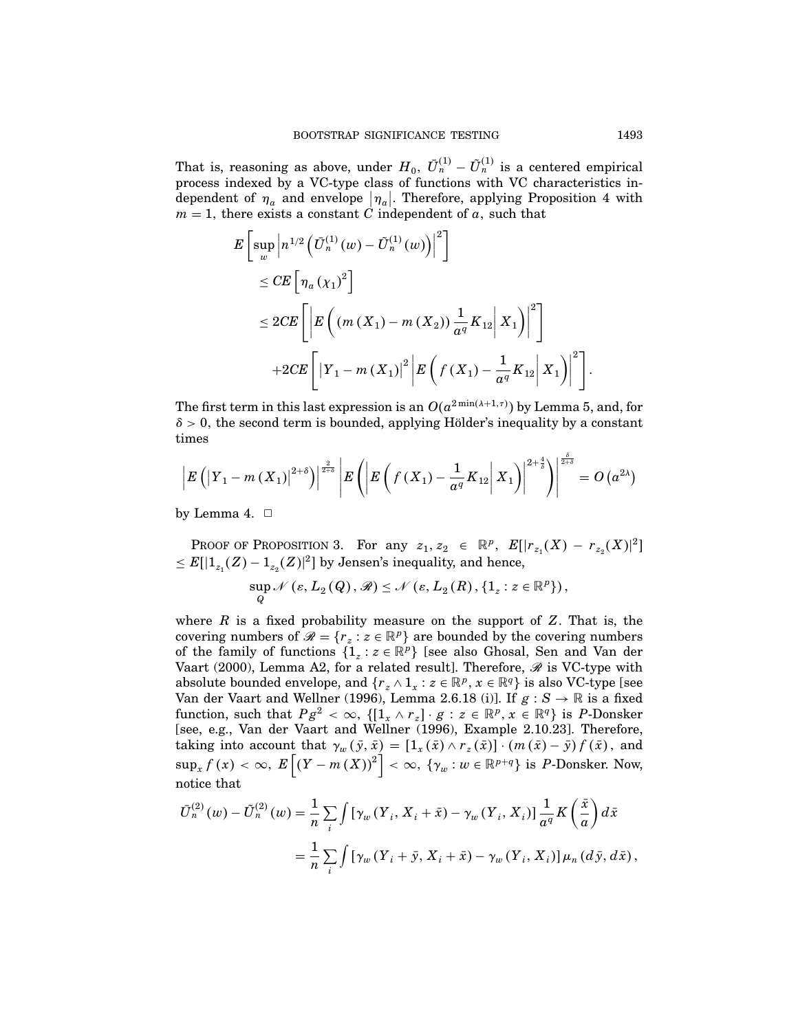That is, reasoning as above, under  $H_0$ ,  $\bar{U}_n^{(1)} - \tilde{U}_n^{(1)}$  is a centered empirical process indexed by a VC-type class of functions with VC characteristics independent of  $\eta_a$  and envelope  $|\eta_a|$ . Therefore, applying Proposition 4 with  $m = 1$ , there exists a constant C independent of a, such that

$$
E\left[\sup_{w} \left|n^{1/2} \left(\bar{U}_{n}^{(1)}(w) - \tilde{U}_{n}^{(1)}(w)\right)\right|^{2}\right] \right]
$$
  
\n
$$
\leq CE\left[\eta_{a}(X_{1})^{2}\right]
$$
  
\n
$$
\leq 2CE\left[\left|E\left((m(X_{1}) - m(X_{2}))\frac{1}{a^{q}}K_{12} | X_{1}\right)\right|^{2}\right]
$$
  
\n
$$
+2CE\left[\left|Y_{1} - m(X_{1})\right|^{2} \left|E\left(f(X_{1}) - \frac{1}{a^{q}}K_{12} | X_{1}\right)\right|^{2}\right]
$$

The first term in this last expression is an  $O(a^{2\min(\lambda+1,\tau)})$  by Lemma 5, and, for  $\delta > 0$ , the second term is bounded, applying Hölder's inequality by a constant times

$$
\left|E\left(\left|Y_{1}-m\left(X_{1}\right)\right|^{2+\delta}\right)\right|^{\frac{2}{2+\delta}}\left|E\left(\left|E\left(f\left(X_{1}\right)-\frac{1}{a^{q}}K_{12}\right|X_{1}\right)\right|^{2+\frac{4}{\delta}}\right)\right|^{\frac{\delta}{2+\delta}}=O\left(a^{2\lambda}\right)
$$

by Lemma 4.  $\Box$ 

PROOF OF PROPOSITION 3. For any  $z_1, z_2 \in \mathbb{R}^p$ ,  $E[|r_{z_1}(X) - r_{z_2}(X)|^2]$  $\leq E[|1_{z_1}(Z)-1_{z_2}(Z)|^2]$  by Jensen's inequality, and hence,

$$
\sup_{Q} \mathcal{N}\left(\varepsilon, L_2(Q), \mathcal{R}\right) \leq \mathcal{N}\left(\varepsilon, L_2(R), \{1_z : z \in \mathbb{R}^p\}\right),\,
$$

where  $R$  is a fixed probability measure on the support of  $Z$ . That is, the covering numbers of  $\mathcal{R} = \{r_z : z \in \mathbb{R}^p\}$  are bounded by the covering numbers of the family of functions  $\{1_z : z \in \mathbb{R}^p\}$  [see also Ghosal, Sen and Van der Vaart (2000), Lemma A2, for a related result]. Therefore,  $\mathscr R$  is VC-type with absolute bounded envelope, and  $\{r_z \wedge 1_x : z \in \mathbb{R}^p, x \in \mathbb{R}^q\}$  is also VC-type [see Van der Vaart and Wellner (1996), Lemma 2.6.18 (i)]. If  $g : S \to \mathbb{R}$  is a fixed function, such that  $Pg^2 < \infty$ ,  $\{[1_x \wedge r_z] \cdot g : z \in \mathbb{R}^p, x \in \mathbb{R}^q\}$  is P-Donsker [see, e.g., Van der Vaart and Wellner (1996), Example 2.10.23]. Therefore, taking into account that  $\gamma_w(\bar{y}, \bar{x}) = [1_x(\bar{x}) \wedge r_z(\bar{x})] \cdot (m(\bar{x}) - \bar{y}) f(\bar{x}),$  and  $\sup_x f(x) < \infty, \ E\left[\left(Y-m\left(X\right)\right)^2\right] < \infty, \ \{\gamma_w : w \in \mathbb{R}^{p+q}\} \ \text{is $P$-Donsker. Now,}$ notice that

$$
\bar{U}_{n}^{(2)}(w) - \tilde{U}_{n}^{(2)}(w) = \frac{1}{n} \sum_{i} \int \left[ \gamma_{w} \left( Y_{i}, X_{i} + \bar{x} \right) - \gamma_{w} \left( Y_{i}, X_{i} \right) \right] \frac{1}{\alpha^{q}} K\left( \frac{\bar{x}}{\alpha} \right) d\bar{x}
$$
\n
$$
= \frac{1}{n} \sum_{i} \int \left[ \gamma_{w} \left( Y_{i} + \bar{y}, X_{i} + \bar{x} \right) - \gamma_{w} \left( Y_{i}, X_{i} \right) \right] \mu_{n} \left( d\bar{y}, d\bar{x} \right),
$$

.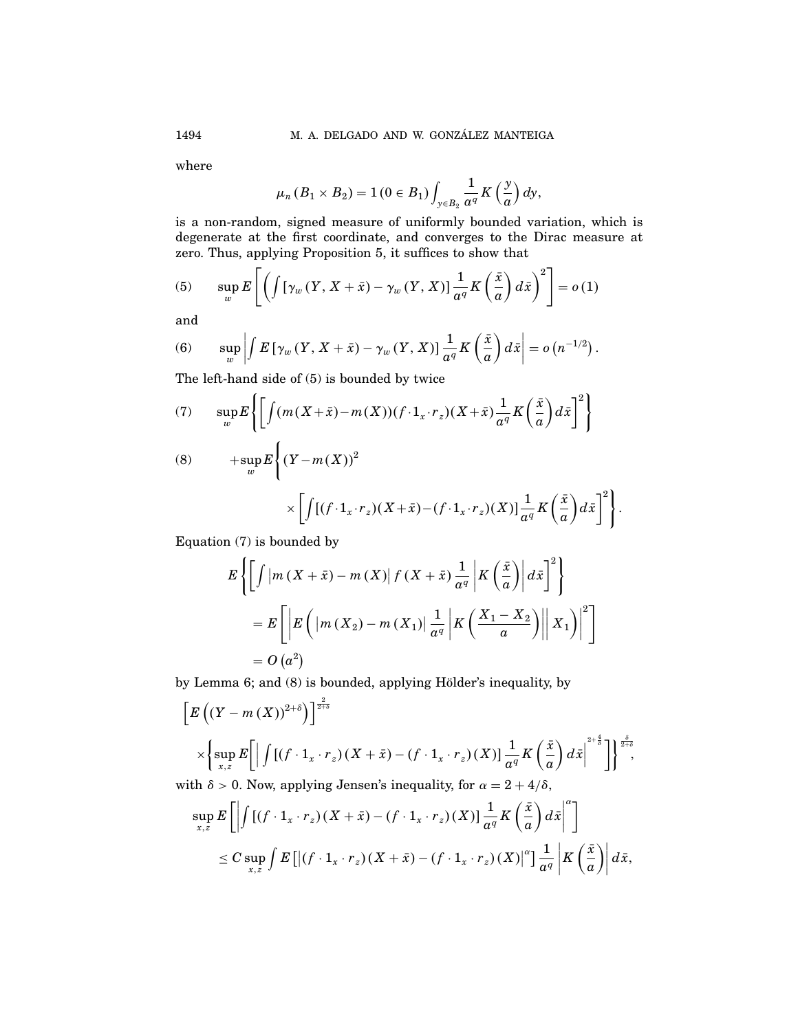where

$$
\mu_n(B_1 \times B_2) = 1(0 \in B_1) \int_{y \in B_2} \frac{1}{a^q} K\left(\frac{y}{a}\right) dy,
$$

is a non-random, signed measure of uniformly bounded variation, which is degenerate at the first coordinate, and converges to the Dirac measure at zero. Thus, applying Proposition 5, it suffices to show that

(5) 
$$
\sup_{w} E\left[\left(\int [\gamma_w(Y, X + \bar{x}) - \gamma_w(Y, X)] \frac{1}{a^q} K\left(\frac{\bar{x}}{a}\right) d\bar{x}\right)^2\right] = o(1)
$$

and

(6) 
$$
\sup_{w} \left| \int E\left[\gamma_w\left(Y,X+\bar{x}\right)-\gamma_w\left(Y,X\right)\right] \frac{1}{\alpha^q} K\left(\frac{\bar{x}}{a}\right) d\bar{x} \right| = o\left(n^{-1/2}\right).
$$

The left-hand side of (5) is bounded by twice

(7) 
$$
\sup_{w} E\left\{ \left[ \int (m(X+\bar{x}) - m(X))(f \cdot 1_x \cdot r_z)(X+\bar{x}) \frac{1}{\alpha^q} K\left(\frac{\bar{x}}{\alpha}\right) d\bar{x} \right]^2 \right\}
$$

$$
(8) \qquad \qquad + \sup_{w} E\bigg\{ (Y - m(X))^2
$$

$$
\times \left[ \int [(f \cdot 1_x \cdot r_z)(X + \bar{x}) - (f \cdot 1_x \cdot r_z)(X)] \frac{1}{a^q} K\left(\frac{\bar{x}}{a}\right) d\bar{x} \right]^2 \right\}
$$

 $\ddot{\phantom{0}}$ 

Equation (7) is bounded by

$$
E\left\{ \left[ \int \left| m\left(X + \bar{x}\right) - m\left(X\right) \right| f\left(X + \bar{x}\right) \frac{1}{a^q} \left| K\left(\frac{\bar{x}}{a}\right) \right| d\bar{x} \right]^2 \right\}
$$
  
= 
$$
E\left[ \left| E\left( \left| m\left(X_2\right) - m\left(X_1\right) \right| \frac{1}{a^q} \left| K\left(\frac{X_1 - X_2}{a}\right) \right| \right| X_1 \right) \right|^2 \right]
$$
  
= 
$$
O\left(a^2\right)
$$

by Lemma 6; and (8) is bounded, applying Hölder's inequality, by

$$
\[E((Y-m(X))^{2+\delta})\]^{2+\delta}
$$
\n
$$
\times \left\{\sup_{x,z} E\bigg[\left|\int [(\hat{f}\cdot 1_x \cdot r_z)(X+\bar{x})-(\hat{f}\cdot 1_x \cdot r_z)(X)]\frac{1}{a^q}K\left(\frac{\bar{x}}{a}\right)dx\right|^{2+\frac{4}{\delta}}\bigg]\right\}^{\frac{\delta}{2+\delta}},\]
$$

with  $\delta > 0$ . Now, applying Jensen's inequality, for  $\alpha = 2 + 4/\delta$ ,

$$
\sup_{x,z} E\left[\left|\int \left[\left(f \cdot 1_x \cdot r_z\right)\left(X + \bar{x}\right) - \left(f \cdot 1_x \cdot r_z\right)\left(X\right)\right] \frac{1}{a^q} K\left(\frac{\bar{x}}{a}\right) d\bar{x}\right|^\alpha\right]
$$
  

$$
\leq C \sup_{x,z} \int E\left[\left|\left(f \cdot 1_x \cdot r_z\right)\left(X + \bar{x}\right) - \left(f \cdot 1_x \cdot r_z\right)\left(X\right)\right|^\alpha\right] \frac{1}{a^q} \left|K\left(\frac{\bar{x}}{a}\right)\right| d\bar{x},
$$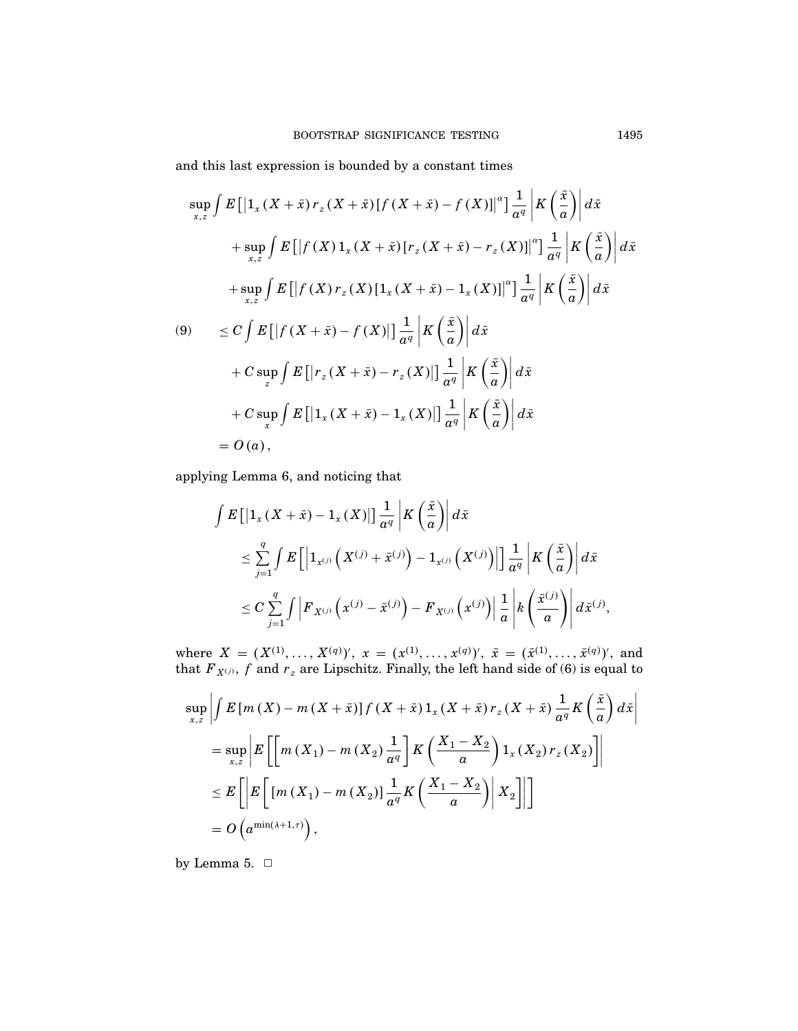and this last expression is bounded by a constant times

$$
\sup_{x,z} \int E\left[ \left| 1_x (X + \bar{x}) r_z (X + \bar{x}) \left[ f (X + \bar{x}) - f (X) \right] \right|^\alpha \right] \frac{1}{a^q} \left| K \left( \frac{\bar{x}}{a} \right) \right| d\bar{x}
$$
  
+ 
$$
\sup_{x,z} \int E\left[ \left| f (X) 1_x (X + \bar{x}) \left[ r_z (X + \bar{x}) - r_z (X) \right] \right|^\alpha \right] \frac{1}{a^q} \left| K \left( \frac{\bar{x}}{a} \right) \right| d\bar{x}
$$
  
+ 
$$
\sup_{x,z} \int E\left[ \left| f (X) r_z (X) \left[ 1_x (X + \bar{x}) - 1_x (X) \right] \right|^\alpha \right] \frac{1}{a^q} \left| K \left( \frac{\bar{x}}{a} \right) \right| d\bar{x}
$$
  
(9) 
$$
\leq C \int E\left[ \left| f (X + \bar{x}) - f (X) \right| \right] \frac{1}{a^q} \left| K \left( \frac{\bar{x}}{a} \right) \right| d\bar{x}
$$
  
+ 
$$
C \sup_z \int E\left[ \left| r_z (X + \bar{x}) - r_z (X) \right| \right] \frac{1}{a^q} \left| K \left( \frac{\bar{x}}{a} \right) \right| d\bar{x}
$$
  
+ 
$$
C \sup_x \int E\left[ \left| 1_x (X + \bar{x}) - 1_x (X) \right| \right] \frac{1}{a^q} \left| K \left( \frac{\bar{x}}{a} \right) \right| d\bar{x}
$$
  
= 
$$
O(a),
$$

applying Lemma 6, and noticing that

$$
\int E\left[\left|1_{x}\left(X+\bar{x}\right)-1_{x}\left(X\right)\right|\right]\frac{1}{a^{q}}\left|K\left(\frac{\bar{x}}{a}\right)\right|d\bar{x}
$$
\n
$$
\leq \sum_{j=1}^{q} \int E\left[\left|1_{x^{(j)}}\left(X^{(j)}+\bar{x}^{(j)}\right)-1_{x^{(j)}}\left(X^{(j)}\right)\right|\right]\frac{1}{a^{q}}\left|K\left(\frac{\bar{x}}{a}\right)\right|d\bar{x}
$$
\n
$$
\leq C \sum_{j=1}^{q} \int \left|F_{X^{(j)}}\left(x^{(j)}-\bar{x}^{(j)}\right)-F_{X^{(j)}}\left(x^{(j)}\right)\right|\frac{1}{a}\left|k\left(\frac{\bar{x}^{(j)}}{a}\right)\right|d\bar{x}^{(j)},
$$

where  $X = (X^{(1)}, \ldots, X^{(q)})'$ ,  $x = (x^{(1)}, \ldots, x^{(q)})'$ ,  $\bar{x} = (\bar{x}^{(1)}, \ldots, \bar{x}^{(q)})'$ , and that  $\overline{F}_{X^{(j)}},$   $f$  and  $r_z$  are Lipschitz. Finally, the left hand side of (6) is equal to

$$
\sup_{x,z} \left| \int E\left[m\left(X\right) - m\left(X + \bar{x}\right)\right] f\left(X + \bar{x}\right) 1_x \left(X + \bar{x}\right) r_z \left(X + \bar{x}\right) \frac{1}{a^q} K\left(\frac{\bar{x}}{a}\right) d\bar{x} \right|
$$
\n
$$
= \sup_{x,z} \left| E\left[\left[m\left(X_1\right) - m\left(X_2\right) \frac{1}{a^q}\right] K\left(\frac{X_1 - X_2}{a}\right) 1_x \left(X_2\right) r_z \left(X_2\right) \right] \right|
$$
\n
$$
\leq E\left[\left| E\left[\left[m\left(X_1\right) - m\left(X_2\right)\right] \frac{1}{a^q} K\left(\frac{X_1 - X_2}{a}\right) \right| X_2\right] \right]
$$
\n
$$
= O\left(a^{\min\left(\lambda + 1, \tau\right)}\right),
$$

by Lemma 5.  $\Box$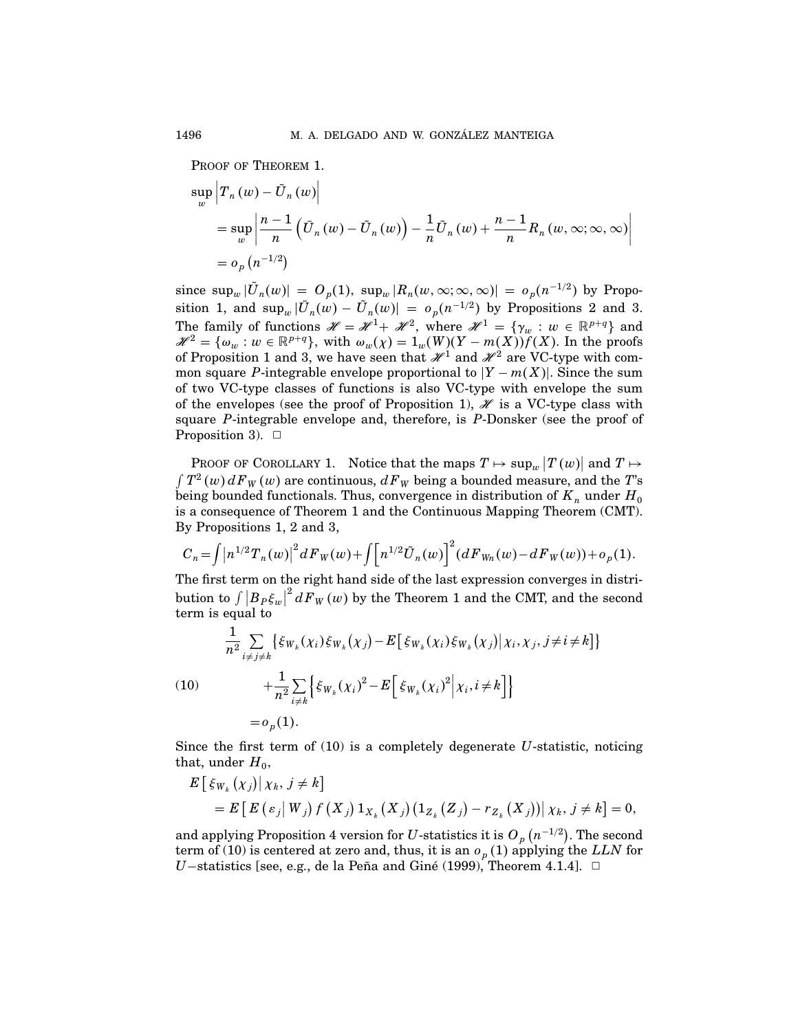PROOF OF THEOREM 1.

$$
\sup_{w} \left| T_n(w) - \tilde{U}_n(w) \right|
$$
\n
$$
= \sup_{w} \left| \frac{n-1}{n} \left( \bar{U}_n(w) - \tilde{U}_n(w) \right) - \frac{1}{n} \tilde{U}_n(w) + \frac{n-1}{n} R_n(w, \infty; \infty, \infty) \right|
$$
\n
$$
= o_p(n^{-1/2})
$$

since  $\sup_w |\tilde{U}_n(w)| = O_p(1)$ ,  $\sup_w |R_n(w, \infty; \infty, \infty)| = o_p(n^{-1/2})$  by Proposition 1, and  $\sup_w |\bar{U}_n(w) - \tilde{U}_n(w)| = o_p(n^{-1/2})$  by Propositions 2 and 3. The family of functions  $\mathcal{H} = \mathcal{H}^1 + \mathcal{H}^2$ , where  $\mathcal{H}^1 = {\gamma_w : w \in \mathbb{R}^{p+q}}$  and  $\mathscr{H}^2 = {\omega_w : w \in \mathbb{R}^{p+q}}, \text{ with } \omega_w(\chi) = 1_w(W)(Y - m(X))f(X).$  In the proofs of Proposition 1 and 3, we have seen that  $\mathscr{H}^1$  and  $\mathscr{H}^2$  are VC-type with common square P-integrable envelope proportional to  $|Y - m(X)|$ . Since the sum of two VC-type classes of functions is also VC-type with envelope the sum of the envelopes (see the proof of Proposition 1),  $\mathscr H$  is a VC-type class with square P-integrable envelope and, therefore, is  $P$ -Donsker (see the proof of Proposition 3).  $\Box$ 

PROOF OF COROLLARY 1. Notice that the maps  $T \mapsto \sup_w |T(w)|$  and  $T \mapsto$  $\int T^2(w) dF_W(w)$  are continuous,  $dF_W$  being a bounded measure, and the  $T$ 's being bounded functionals. Thus, convergence in distribution of  $K_n$  under  $H_0$ is a consequence of Theorem 1 and the Continuous Mapping Theorem (CMT). By Propositions 1, 2 and 3,

$$
C_n = \int |n^{1/2} T_n(w)|^2 dF_W(w) + \int [n^{1/2} \tilde{U}_n(w)]^2 (dF_{W_n}(w) - dF_W(w)) + o_p(1).
$$

The first term on the right hand side of the last expression converges in distribution to  $\int |B_P \xi_w|^2 dF_W(w)$  by the Theorem 1 and the CMT, and the second term is equal to

(10)  
\n
$$
\frac{1}{n^2} \sum_{i \neq j \neq k} \{ \xi_{W_k}(\chi_i) \xi_{W_k}(\chi_j) - E[\xi_{W_k}(\chi_i) \xi_{W_k}(\chi_j) | \chi_i, \chi_j, j \neq i \neq k] \}
$$
\n
$$
+ \frac{1}{n^2} \sum_{i \neq k} \{ \xi_{W_k}(\chi_i)^2 - E[\xi_{W_k}(\chi_i)^2 | \chi_i, i \neq k] \}
$$
\n
$$
= o_p(1).
$$

Since the first term of  $(10)$  is a completely degenerate U-statistic, noticing that, under  $H_0$ ,

$$
E\left[\xi_{W_k}(x_j)|\chi_k, j \neq k\right] \\
= E\left[E\left(\varepsilon_j|W_j\right)f\left(X_j\right)1_{X_k}\left(X_j\right)\left(1_{Z_k}\left(Z_j\right) - r_{Z_k}\left(X_j\right)\right)\middle|\chi_k, j \neq k\right] = 0,
$$

and applying Proposition 4 version for  $U$ -statistics it is  $O_p\left(n^{-1/2}\right)$ . The second term of (10) is centered at zero and, thus, it is an  $o_p(1)$  applying the LLN for *U*−statistics [see, e.g., de la Peña and Giné (1999), Theorem 4.1.4].  $\Box$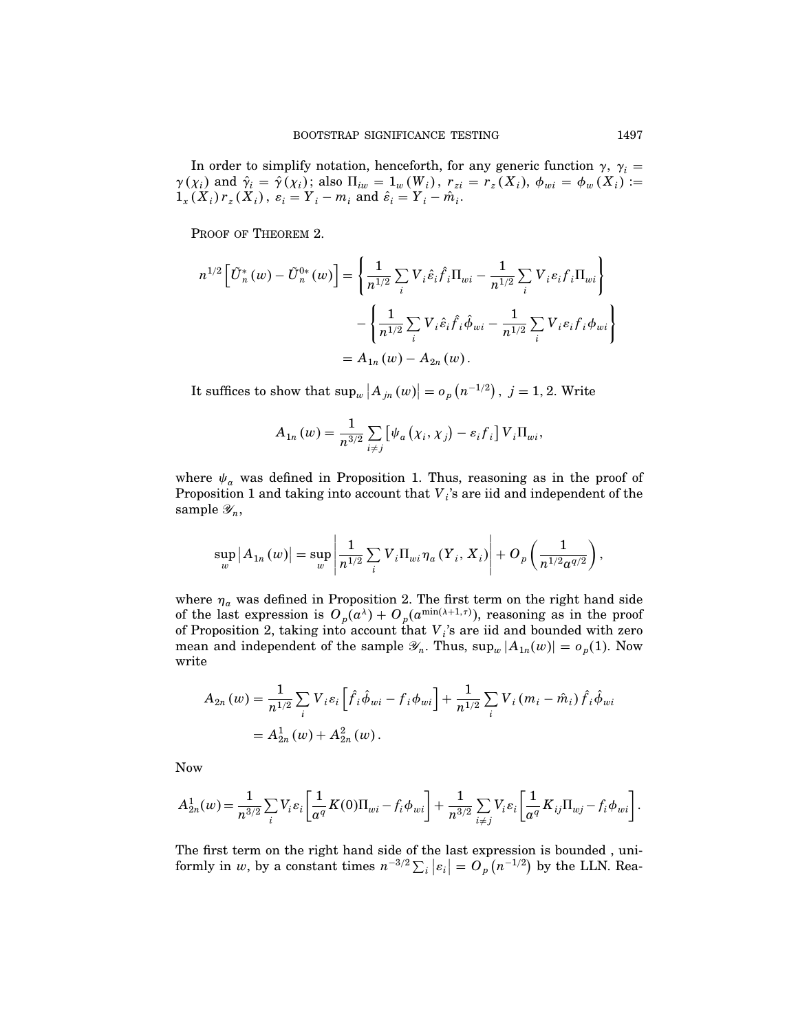In order to simplify notation, henceforth, for any generic function  $\gamma$ ,  $\gamma_i =$  $\gamma(\chi_i)$  and  $\hat{\gamma}_i = \hat{\gamma}(\chi_i)$ ; also  $\Pi_{iw} = 1_w(W_i)$ ,  $r_{zi} = r_z(X_i)$ ,  $\phi_{wi} = \phi_w(X_i) :=$  $1_{x}(X_{i}) r_{z}(X_{i}), \varepsilon_{i} = Y_{i} - m_{i} \text{ and } \hat{\varepsilon}_{i} = Y_{i} - \hat{m}_{i}.$ 

PROOF OF THEOREM 2.

$$
n^{1/2} \left[ \tilde{U}_{n}^{*}(w) - \tilde{U}_{n}^{0*}(w) \right] = \left\{ \frac{1}{n^{1/2}} \sum_{i} V_{i} \hat{\varepsilon}_{i} \hat{f}_{i} \Pi_{wi} - \frac{1}{n^{1/2}} \sum_{i} V_{i} \varepsilon_{i} f_{i} \Pi_{wi} \right\} - \left\{ \frac{1}{n^{1/2}} \sum_{i} V_{i} \hat{\varepsilon}_{i} \hat{f}_{i} \hat{\phi}_{wi} - \frac{1}{n^{1/2}} \sum_{i} V_{i} \varepsilon_{i} f_{i} \phi_{wi} \right\} = A_{1n}(w) - A_{2n}(w).
$$

It suffices to show that  $\sup_w |A_{jn}(w)| = o_p(n^{-1/2}), j = 1, 2$ . Write

$$
A_{1n}(w) = \frac{1}{n^{3/2}} \sum_{i \neq j} \left[ \psi_a \left( \chi_i, \chi_j \right) - \varepsilon_i f_i \right] V_i \Pi_{wi},
$$

where  $\psi_a$  was defined in Proposition 1. Thus, reasoning as in the proof of Proposition 1 and taking into account that  $V_i$ 's are iid and independent of the sample  $\mathscr{Y}_n$ ,

$$
\sup_{w}|A_{1n}(w)| = \sup_{w}\left|\frac{1}{n^{1/2}}\sum_{i}V_{i}\Pi_{wi}\eta_{a}(Y_{i}, X_{i})\right| + O_{p}\left(\frac{1}{n^{1/2}a^{q/2}}\right),
$$

where  $\eta_a$  was defined in Proposition 2. The first term on the right hand side of the last expression is  $O_p(a^{\lambda}) + O_p(a^{\min(\lambda+1,\tau)})$ , reasoning as in the proof of Proposition 2, taking into account that  $V_i$ 's are iid and bounded with zero mean and independent of the sample  $\mathscr{Y}_n$ . Thus,  $\sup_w |A_{1n}(w)| = o_p(1)$ . Now write

$$
A_{2n}(w) = \frac{1}{n^{1/2}} \sum_{i} V_i \varepsilon_i \left[ \hat{f}_i \hat{\phi}_{wi} - f_i \phi_{wi} \right] + \frac{1}{n^{1/2}} \sum_{i} V_i (m_i - \hat{m}_i) \hat{f}_i \hat{\phi}_{wi}
$$
  
=  $A_{2n}^1(w) + A_{2n}^2(w)$ .

Now

$$
A_{2n}^1(w) = \frac{1}{n^{3/2}} \sum_i V_i \varepsilon_i \left[ \frac{1}{\alpha^q} K(0) \Pi_{wi} - f_i \phi_{wi} \right] + \frac{1}{n^{3/2}} \sum_{i \neq j} V_i \varepsilon_i \left[ \frac{1}{\alpha^q} K_{ij} \Pi_{wj} - f_i \phi_{wi} \right].
$$

The first term on the right hand side of the last expression is bounded , uniformly in w, by a constant times  $n^{-3/2} \sum_i |\varepsilon_i| = O_p(n^{-1/2})$  by the LLN. Rea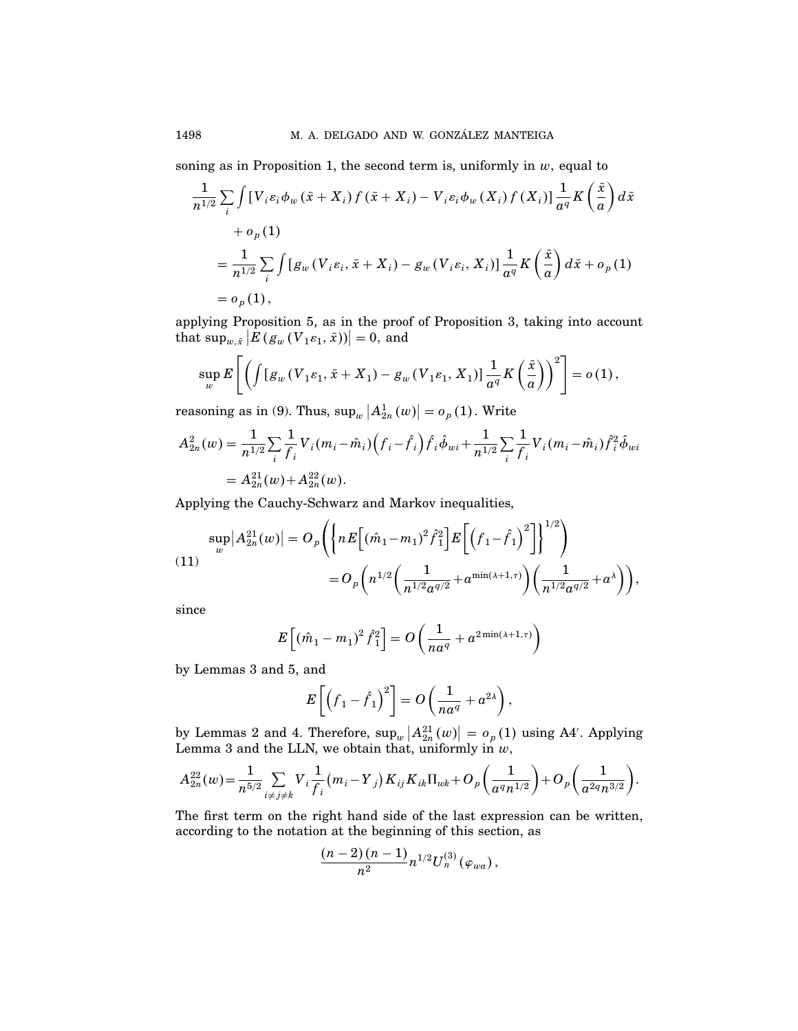soning as in Proposition 1, the second term is, uniformly in  $w$ , equal to

$$
\frac{1}{n^{1/2}} \sum_{i} \int \left[ V_i \varepsilon_i \phi_w \left( \bar{x} + X_i \right) f \left( \bar{x} + X_i \right) - V_i \varepsilon_i \phi_w \left( X_i \right) f \left( X_i \right) \right] \frac{1}{a^q} K \left( \frac{\bar{x}}{a} \right) d\bar{x}
$$
  
+  $o_p(1)$   
=  $\frac{1}{n^{1/2}} \sum_{i} \int \left[ g_w \left( V_i \varepsilon_i, \bar{x} + X_i \right) - g_w \left( V_i \varepsilon_i, X_i \right) \right] \frac{1}{a^q} K \left( \frac{\bar{x}}{a} \right) d\bar{x} + o_p(1)$   
=  $o_p(1)$ ,

applying Proposition 5, as in the proof of Proposition 3, taking into account that  $\sup_{w,\bar{x}} |E(g_w(V_1\varepsilon_1, \bar{x}))|=0$ , and

$$
\sup_{w} E\left[\left(\int [g_w(V_1\varepsilon_1,\bar{x}+X_1)-g_w(V_1\varepsilon_1,X_1)]\frac{1}{a^q}K\left(\frac{\bar{x}}{a}\right)\right)^2\right]=o(1),
$$

reasoning as in (9). Thus,  $\sup_w |A_{2n}^1(w)| = o_p(1)$ . Write

$$
A_{2n}^{2}(w) = \frac{1}{n^{1/2}} \sum_{i} \frac{1}{f_i} V_i (m_i - \hat{m}_i) (f_i - \hat{f}_i) \hat{f}_i \hat{\phi}_{wi} + \frac{1}{n^{1/2}} \sum_{i} \frac{1}{f_i} V_i (m_i - \hat{m}_i) \hat{f}_i^2 \hat{\phi}_{wi}
$$
  
=  $A_{2n}^{21}(w) + A_{2n}^{22}(w)$ .

Applying the Cauchy-Schwarz and Markov inequalities,

$$
\sup_{w} |A_{2n}^{21}(w)| = O_p\left( \left\{ nE\left[ (\hat{m}_1 - m_1)^2 \hat{f}_1^2 \right] E\left[ \left( f_1 - \hat{f}_1 \right)^2 \right] \right\}^{1/2} \right) \n= O_p\left( n^{1/2} \left( \frac{1}{n^{1/2} \alpha^{q/2}} + a^{\min(\lambda + 1, \tau)} \right) \left( \frac{1}{n^{1/2} \alpha^{q/2}} + a^{\lambda} \right) \right),
$$

since

$$
E\left[\left(\hat{m}_1 - m_1\right)^2 \hat{f}_1^2\right] = O\left(\frac{1}{n a^q} + a^{2 \min(\lambda + 1, \tau)}\right)
$$

by Lemmas 3 and 5, and

$$
E\left[\left(f_1-\hat{f}_1\right)^2\right]=O\left(\frac{1}{na^q}+a^{2\lambda}\right),\,
$$

by Lemmas 2 and 4. Therefore,  $\sup_w |A_{2n}^{21}(w)| = o_p(1)$  using A4'. Applying Lemma 3 and the LLN, we obtain that, uniformly in  $w$ ,

$$
A_{2n}^{22}(w) = \frac{1}{n^{5/2}} \sum_{i \neq j \neq k} V_i \frac{1}{f_i} (m_i - Y_j) K_{ij} K_{ik} \Pi_{wk} + O_p\left(\frac{1}{a^q n^{1/2}}\right) + O_p\left(\frac{1}{a^{2q} n^{3/2}}\right).
$$

The first term on the right hand side of the last expression can be written, according to the notation at the beginning of this section, as

$$
\frac{(n-2)(n-1)}{n^2}n^{1/2}U_n^{(3)}(\varphi_{wa}),
$$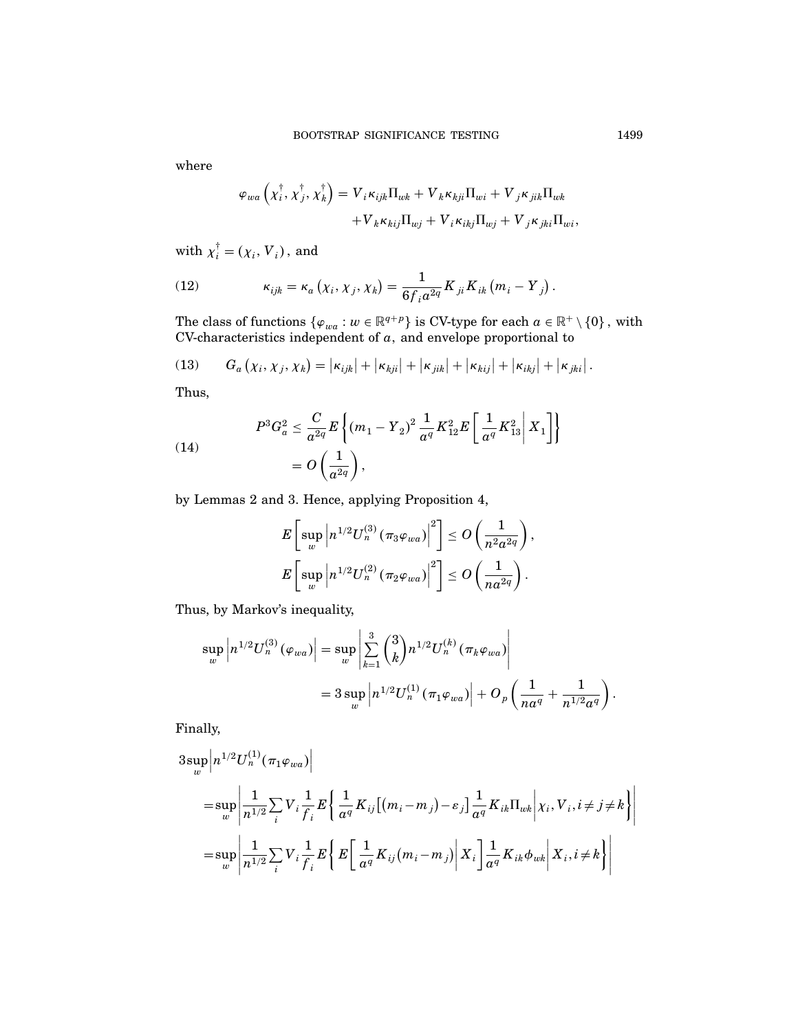where

$$
\varphi_{wa}\left(\chi_i^{\dagger},\chi_j^{\dagger},\chi_k^{\dagger}\right)=V_i\kappa_{ijk}\Pi_{wk}+V_k\kappa_{kji}\Pi_{wi}+V_j\kappa_{jik}\Pi_{wk} +V_k\kappa_{kij}\Pi_{wj}+V_i\kappa_{ikj}\Pi_{wj}+V_j\kappa_{jki}\Pi_{wi},
$$

with  $\chi_i^{\dagger} = (\chi_i, V_i)$ , and

(12) 
$$
\kappa_{ijk} = \kappa_a \left( \chi_i, \chi_j, \chi_k \right) = \frac{1}{6 f_i a^{2q}} K_{ji} K_{ik} \left( m_i - Y_j \right).
$$

The class of functions  $\{\varphi_{wa} : w \in \mathbb{R}^{q+p}\}\$ is CV-type for each  $a \in \mathbb{R}^+ \setminus \{0\}$ , with CV-characteristics independent of  $a$ , and envelope proportional to

(13) 
$$
G_a(\chi_i, \chi_j, \chi_k) = |\kappa_{ijk}| + |\kappa_{kji}| + |\kappa_{jik}| + |\kappa_{kij}| + |\kappa_{ikj}| + |\kappa_{jki}|.
$$

Thus,

(14)  

$$
P^3 G_a^2 \leq \frac{C}{a^{2q}} E \left\{ (m_1 - Y_2)^2 \frac{1}{a^q} K_{12}^2 E \left[ \frac{1}{a^q} K_{13}^2 \middle| X_1 \right] \right\}
$$

$$
= O \left( \frac{1}{a^{2q}} \right),
$$

by Lemmas 2 and 3. Hence, applying Proposition 4,

$$
E\left[\sup_w \left|n^{1/2}U_n^{(3)}\left(\pi_3\varphi_{wa}\right)\right|^2\right] \leq O\left(\frac{1}{n^2a^{2q}}\right),
$$
  

$$
E\left[\sup_w \left|n^{1/2}U_n^{(2)}\left(\pi_2\varphi_{wa}\right)\right|^2\right] \leq O\left(\frac{1}{na^{2q}}\right).
$$

Thus, by Markov's inequality,

$$
\sup_{w} \left| n^{1/2} U_n^{(3)}(\varphi_{wa}) \right| = \sup_{w} \left| \sum_{k=1}^{3} {3 \choose k} n^{1/2} U_n^{(k)}(\pi_k \varphi_{wa}) \right|
$$
  
=  $3 \sup_{w} \left| n^{1/2} U_n^{(1)}(\pi_1 \varphi_{wa}) \right| + O_p \left( \frac{1}{na^q} + \frac{1}{n^{1/2} a^q} \right).$ 

Finally,

$$
3 \sup_{w} \left| n^{1/2} U_{n}^{(1)}(\pi_{1} \varphi_{wa}) \right|
$$
  
\n
$$
= \sup_{w} \left| \frac{1}{n^{1/2}} \sum_{i} V_{i} \frac{1}{f_{i}} E \left\{ \frac{1}{a^{q}} K_{ij} [(m_{i} - m_{j}) - \varepsilon_{j}] \frac{1}{a^{q}} K_{ik} \Pi_{wk} \middle| \chi_{i}, V_{i}, i \neq j \neq k \right\} \right|
$$
  
\n
$$
= \sup_{w} \left| \frac{1}{n^{1/2}} \sum_{i} V_{i} \frac{1}{f_{i}} E \left\{ E \left[ \frac{1}{a^{q}} K_{ij} (m_{i} - m_{j}) \middle| X_{i} \right] \frac{1}{a^{q}} K_{ik} \phi_{wk} \middle| X_{i}, i \neq k \right\} \right|
$$

 $\overline{\phantom{a}}$  $\overline{\phantom{a}}$  $\overline{\phantom{a}}$  $\overline{\phantom{a}}$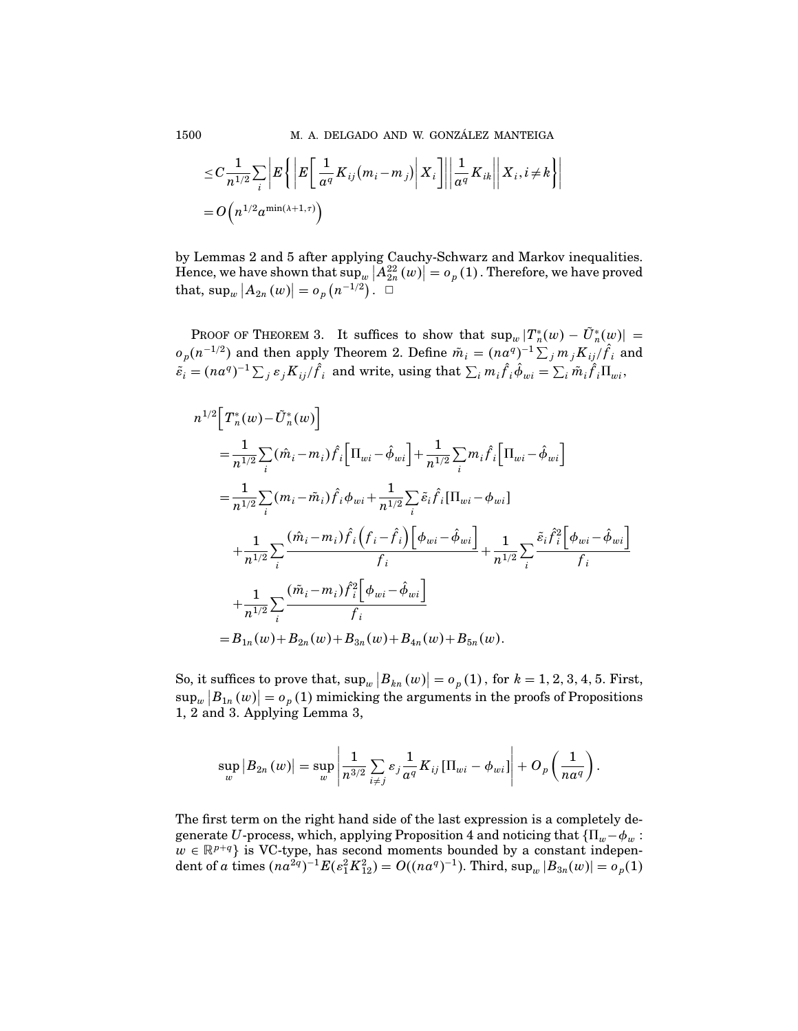$$
\leq C \frac{1}{n^{1/2}} \sum_{i} \left| E \left\{ \left| E \left[ \frac{1}{\alpha^{q}} K_{ij} (m_i - m_j) \middle| X_i \right] \right| \right| \frac{1}{\alpha^{q}} K_{ik} \right\| X_i, i \neq k \right\} \right|
$$
  
=  $O\left(n^{1/2} \alpha^{\min(\lambda + 1, \tau)}\right)$ 

by Lemmas 2 and 5 after applying Cauchy-Schwarz and Markov inequalities. Hence, we have shown that  $\sup_w |A_{2n}^{22}(w)| = o_p(1)$ . Therefore, we have proved that,  $\sup_{w} |A_{2n}(w)| = o_p(n^{-1/2})$ .  $\Box$ 

PROOF OF THEOREM 3. It suffices to show that  $\sup_w |T_n^*(w) - \tilde{U}_n^*(w)| =$  $o_p(n^{-1/2})$  and then apply Theorem 2. Define  $\tilde{m}_i = (na^q)^{-1} \sum_j m_j K_{ij}/\hat{f}_i$  and  $\tilde{\varepsilon}_i = (na^q)^{-1} \sum_j \varepsilon_j K_{ij} / \hat{f}_i$  and write, using that  $\sum_i m_i \hat{f}_i \hat{\phi}_{wi} = \sum_i \tilde{m}_i \hat{f}_i \Pi_{wi}$ 

$$
n^{1/2} \Big[ T_n^*(w) - \tilde{U}_n^*(w) \Big]
$$
  
\n
$$
= \frac{1}{n^{1/2}} \sum_i (\hat{m}_i - m_i) \hat{f}_i \Big[ \Pi_{wi} - \hat{\phi}_{wi} \Big] + \frac{1}{n^{1/2}} \sum_i m_i \hat{f}_i \Big[ \Pi_{wi} - \hat{\phi}_{wi} \Big]
$$
  
\n
$$
= \frac{1}{n^{1/2}} \sum_i (m_i - \tilde{m}_i) \hat{f}_i \phi_{wi} + \frac{1}{n^{1/2}} \sum_i \tilde{\varepsilon}_i \hat{f}_i \Big[ \Pi_{wi} - \phi_{wi} \Big]
$$
  
\n
$$
+ \frac{1}{n^{1/2}} \sum_i \frac{(\hat{m}_i - m_i) \hat{f}_i \Big( f_i - \hat{f}_i \Big) \Big[ \phi_{wi} - \hat{\phi}_{wi} \Big]}{f_i} + \frac{1}{n^{1/2}} \sum_i \frac{\tilde{\varepsilon}_i \hat{f}_i^2 \Big[ \phi_{wi} - \hat{\phi}_{wi} \Big]}{f_i}
$$
  
\n
$$
+ \frac{1}{n^{1/2}} \sum_i \frac{(\tilde{m}_i - m_i) \hat{f}_i^2 \Big[ \phi_{wi} - \hat{\phi}_{wi} \Big]}{f_i}
$$
  
\n
$$
= B_{1n}(w) + B_{2n}(w) + B_{3n}(w) + B_{4n}(w) + B_{5n}(w).
$$

So, it suffices to prove that,  $\sup_w |B_{kn}(w)| = o_p(1)$ , for  $k = 1, 2, 3, 4, 5$ . First,  $\sup_{w}\big\vert B_{1n}\left(w\right)\big\vert =o_{p}\left(1\right)$  mimicking the arguments in the proofs of Propositions  $\sup_{w} |D_{1n}(w)| = o_p(1)$  infinitions<br>1, 2 and 3. Applying Lemma 3,

$$
\sup_{w} |B_{2n}(w)| = \sup_{w} \left| \frac{1}{n^{3/2}} \sum_{i \neq j} \varepsilon_j \frac{1}{a^q} K_{ij} \left[ \Pi_{wi} - \phi_{wi} \right] \right| + O_p\left(\frac{1}{na^q}\right).
$$

The first term on the right hand side of the last expression is a completely degenerate U-process, which, applying Proposition 4 and noticing that  $\{\Pi_w-\phi_w:\Pi_w-\phi_w\}$  $w \in \mathbb{R}^{p+q}$  is VC-type, has second moments bounded by a constant independent of a times  $(na^{2q})^{-1}E(\epsilon_1^2K_{12}^2) = O((na^q)^{-1})$ . Third, sup<sub>w</sub>  $|B_{3n}(w)| = o_p(1)$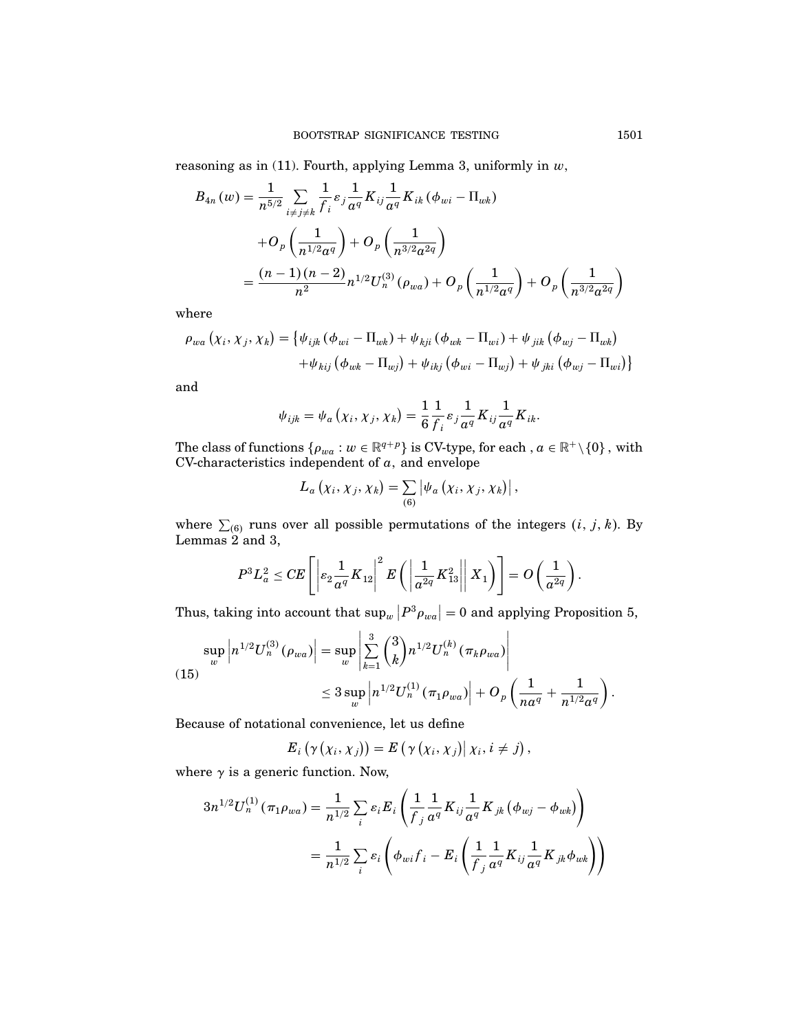reasoning as in (11). Fourth, applying Lemma 3, uniformly in  $w$ ,

$$
B_{4n}(w) = \frac{1}{n^{5/2}} \sum_{i \neq j \neq k} \frac{1}{f_i} \varepsilon_j \frac{1}{a^q} K_{ij} \frac{1}{a^q} K_{ik} (\phi_{wi} - \Pi_{wk})
$$
  
+ 
$$
O_p\left(\frac{1}{n^{1/2}a^q}\right) + O_p\left(\frac{1}{n^{3/2}a^{2q}}\right)
$$
  
= 
$$
\frac{(n-1)(n-2)}{n^2} n^{1/2} U_n^{(3)}(\rho_{wa}) + O_p\left(\frac{1}{n^{1/2}a^q}\right) + O_p\left(\frac{1}{n^{3/2}a^{2q}}\right)
$$

where

$$
\rho_{wa} (x_i, x_j, x_k) = \{ \psi_{ijk} (\phi_{wi} - \Pi_{wk}) + \psi_{kji} (\phi_{wk} - \Pi_{wi}) + \psi_{jik} (\phi_{wj} - \Pi_{wk})
$$

$$
+ \psi_{kij} (\phi_{wk} - \Pi_{wj}) + \psi_{ikj} (\phi_{wi} - \Pi_{wj}) + \psi_{jki} (\phi_{wj} - \Pi_{wi}) \}
$$

and

$$
\psi_{ijk} = \psi_a \left( \chi_i, \chi_j, \chi_k \right) = \frac{1}{6} \frac{1}{f_i} \varepsilon_j \frac{1}{a^q} K_{ij} \frac{1}{a^q} K_{ik}.
$$

The class of functions  $\{\rho_{wa} : w \in \mathbb{R}^{q+p}\}\$  is CV-type, for each,  $a \in \mathbb{R}^+\setminus\{0\}$ , with CV-characteristics independent of  $a$ , and envelope

$$
L_a\left(\chi_i,\chi_j,\chi_k\right)=\sum_{(6)}\left|\psi_a\left(\chi_i,\chi_j,\chi_k\right)\right|,
$$

where  $\sum_{(6)}$  runs over all possible permutations of the integers  $(i, j, k)$ . By Lemmas  $2$  and 3,

$$
P^3L_a^2 \leq CE\left[\left|\varepsilon_2 \frac{1}{a^q} K_{12}\right|^2 E\left(\left|\frac{1}{a^{2q}} K_{13}^2\right|\right| X_1\right)\right] = O\left(\frac{1}{a^{2q}}\right).
$$

Thus, taking into account that  $\sup_w |P^3 \rho_{wa}| = 0$  and applying Proposition 5,

$$
\sup_{w} \left| n^{1/2} U_n^{(3)}(\rho_{wa}) \right| = \sup_{w} \left| \sum_{k=1}^{3} {3 \choose k} n^{1/2} U_n^{(k)}(\pi_k \rho_{wa}) \right|
$$
  

$$
\leq 3 \sup_{w} \left| n^{1/2} U_n^{(1)}(\pi_1 \rho_{wa}) \right| + O_p \left( \frac{1}{n a^q} + \frac{1}{n^{1/2} a^q} \right).
$$

Because of notational convenience, let us define

$$
E_i(\gamma(x_i,x_j))=E(\gamma(x_i,x_j)|x_i,i\neq j),
$$

where  $\gamma$  is a generic function. Now,

$$
\begin{split} 3n^{1/2}U_{n}^{(1)}\left(\pi_{1}\rho_{wa}\right) & =\frac{1}{n^{1/2}}\sum_{i}\varepsilon_{i}E_{i}\left(\frac{1}{f_{j}}\frac{1}{a^{q}}K_{ij}\frac{1}{a^{q}}K_{jk}\left(\phi_{wj}-\phi_{wk}\right)\right) \\ & =\frac{1}{n^{1/2}}\sum_{i}\varepsilon_{i}\left(\phi_{wi}f_{i}-E_{i}\left(\frac{1}{f_{j}}\frac{1}{a^{q}}K_{ij}\frac{1}{a^{q}}K_{jk}\phi_{wk}\right)\right) \end{split}
$$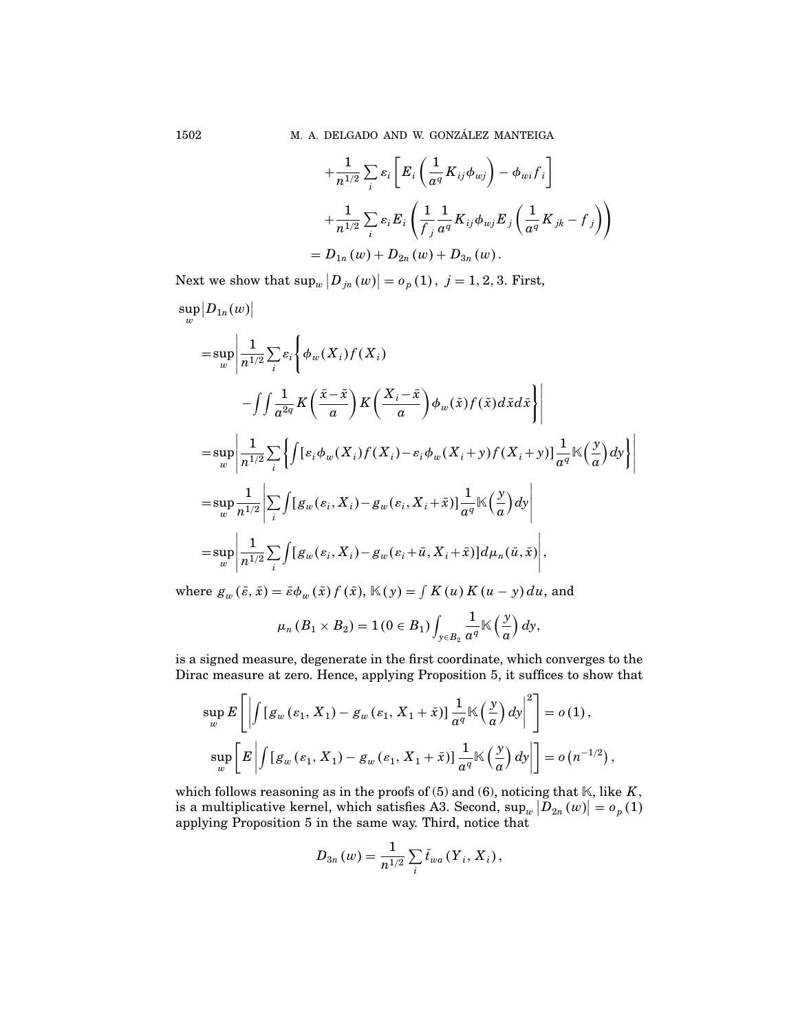1502 M. A. DELGADO AND W. GONZÁLEZ MANTEIGA

$$
\begin{aligned} &+\frac{1}{n^{1/2}}\sum_i \varepsilon_i\Bigg[E_i\left(\frac{1}{a^q}K_{ij}\phi_{wj}\right)-\phi_{wi}f_i\Bigg] \\ &+\frac{1}{n^{1/2}}\sum_i \varepsilon_i E_i\left(\frac{1}{f_j}\frac{1}{a^q}K_{ij}\phi_{wj}E_j\left(\frac{1}{a^q}K_{jk}-f_j\right)\right) \\ & =D_{1n}\left(w\right)+D_{2n}\left(w\right)+D_{3n}\left(w\right). \end{aligned}
$$

Next we show that  $\sup_{w} |D_{jn}(w)| = o_p(1)$ ,  $j = 1, 2, 3$ . First,

$$
\sup_{w} |D_{1n}(w)|
$$
\n
$$
= \sup_{w} \left| \frac{1}{n^{1/2}} \sum_{i} \varepsilon_{i} \left\{ \phi_{w}(X_{i}) f(X_{i}) - \int \int \frac{1}{a^{2q}} K\left(\frac{\bar{x} - \tilde{x}}{a}\right) K\left(\frac{X_{i} - \bar{x}}{a}\right) \phi_{w}(\tilde{x}) f(\tilde{x}) d\tilde{x} d\tilde{x} \right\} \right|
$$
\n
$$
= \sup_{w} \left| \frac{1}{n^{1/2}} \sum_{i} \left\{ \int [\varepsilon_{i} \phi_{w}(X_{i}) f(X_{i}) - \varepsilon_{i} \phi_{w}(X_{i} + y) f(X_{i} + y)] \frac{1}{a^{q}} \mathbb{K}\left(\frac{y}{a}\right) dy \right\} \right|
$$
\n
$$
= \sup_{w} \frac{1}{n^{1/2}} \left| \sum_{i} \int [g_{w}(\varepsilon_{i}, X_{i}) - g_{w}(\varepsilon_{i}, X_{i} + \bar{x})] \frac{1}{a^{q}} \mathbb{K}\left(\frac{y}{a}\right) dy \right|
$$
\n
$$
= \sup_{w} \left| \frac{1}{n^{1/2}} \sum_{i} \int [g_{w}(\varepsilon_{i}, X_{i}) - g_{w}(\varepsilon_{i} + \bar{u}, X_{i} + \bar{x})] d\mu_{n}(\bar{u}, \bar{x}) \right|,
$$

where  $g_w(\bar{\varepsilon}, \bar{x}) = \bar{\varepsilon} \phi_w(\bar{x}) f(\bar{x}), \mathbb{K}(y) = \int K(u) K(u - y) du$ , and

$$
\mu_n(B_1 \times B_2) = 1(0 \in B_1) \int_{y \in B_2} \frac{1}{a^q} \mathbb{K}\left(\frac{y}{a}\right) dy,
$$

is a signed measure, degenerate in the first coordinate, which converges to the Dirac measure at zero. Hence, applying Proposition 5, it suffices to show that

$$
\sup_{w} E\left[\left|\int \left[g_w\left(\varepsilon_1, X_1\right) - g_w\left(\varepsilon_1, X_1 + \bar{x}\right)\right] \frac{1}{a^q} \mathbb{K}\left(\frac{y}{a}\right) dy\right|^2\right] = o(1),
$$
  
\n
$$
\sup_{w} \left[E\left|\int \left[g_w\left(\varepsilon_1, X_1\right) - g_w\left(\varepsilon_1, X_1 + \bar{x}\right)\right] \frac{1}{a^q} \mathbb{K}\left(\frac{y}{a}\right) dy\right|\right] = o(n^{-1/2}),
$$

which follows reasoning as in the proofs of  $(5)$  and  $(6)$ , noticing that  $K$ , like  $K$ , is a multiplicative kernel, which satisfies A3. Second,  $\sup_w |D_{2n}(w)| = o_p(1)$ applying Proposition 5 in the same way. Third, notice that

$$
D_{3n}(w) = \frac{1}{n^{1/2}} \sum_{i} \bar{t}_{wa} (Y_i, X_i),
$$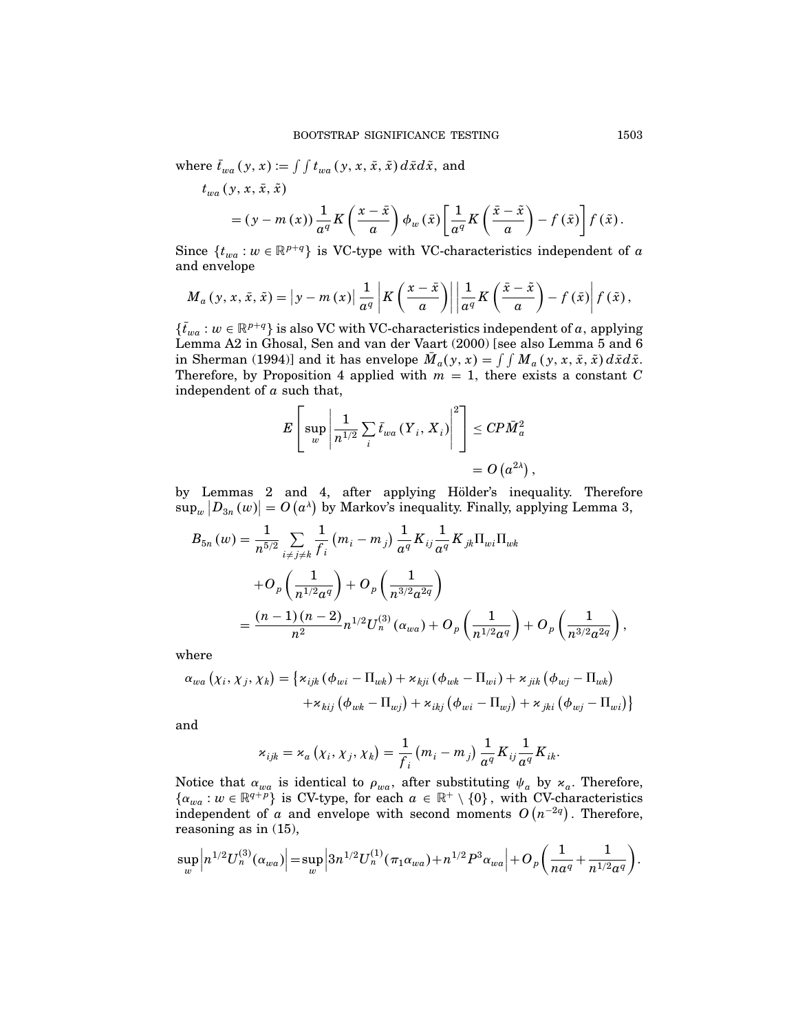where  $\bar{t}_{wa} (y, x) := \int \int t_{wa} (y, x, \bar{x}, \tilde{x}) d\bar{x} d\tilde{x}$ , and

$$
t_{wa}(y, x, \bar{x}, \tilde{x})
$$
  
=  $(y - m(x)) \frac{1}{a^q} K\left(\frac{x - \bar{x}}{a}\right) \phi_w(\bar{x}) \left[\frac{1}{a^q} K\left(\frac{\bar{x} - \tilde{x}}{a}\right) - f(\bar{x})\right] f(\tilde{x}).$ 

Since  $\{t_{wa}: w \in \mathbb{R}^{p+q}\}$  is VC-type with VC-characteristics independent of a and envelope

$$
M_a(y, x, \bar{x}, \tilde{x}) = |y - m(x)| \frac{1}{a^q} |K(\frac{x - \bar{x}}{a})| \left| \frac{1}{a^q} K(\frac{\bar{x} - \tilde{x}}{a}) - f(\bar{x}) \right| f(\tilde{x}),
$$

 $\{\bar{t}_{wa}: w \in \mathbb{R}^{p+q}\}$  is also VC with VC-characteristics independent of a, applying Lemma A2 in Ghosal, Sen and van der Vaart (2000) [see also Lemma 5 and 6 in Sherman (1994)] and it has envelope  $\overline{M}_a(y, x) = \int \int M_a(y, x, \overline{x}, \overline{x}) d\overline{x} d\overline{x}$ . Therefore, by Proposition 4 applied with  $m = 1$ , there exists a constant C independent of  $\alpha$  such that,

$$
E\left[\sup_{w}\left|\frac{1}{n^{1/2}}\sum_{i}\overline{t}_{wa}\left(Y_{i}, X_{i}\right)\right|^{2}\right] \leq C P \overline{M}_{a}^{2}
$$

$$
= O\left(a^{2\lambda}\right),
$$

by Lemmas 2 and 4, after applying Hölder's inequality. Therefore  $\sup_w |D_{3n}(w)| = O(a^{\lambda})$  by Markov's inequality. Finally, applying Lemma 3,

$$
B_{5n}(w) = \frac{1}{n^{5/2}} \sum_{i \neq j \neq k} \frac{1}{f_i} (m_i - m_j) \frac{1}{a^q} K_{ij} \frac{1}{a^q} K_{jk} \Pi_{wi} \Pi_{wk}
$$
  
+ 
$$
O_p\left(\frac{1}{n^{1/2}a^q}\right) + O_p\left(\frac{1}{n^{3/2}a^{2q}}\right)
$$
  
= 
$$
\frac{(n-1)(n-2)}{n^2} n^{1/2} U_n^{(3)}(\alpha_{wa}) + O_p\left(\frac{1}{n^{1/2}a^q}\right) + O_p\left(\frac{1}{n^{3/2}a^{2q}}\right)
$$

where

$$
\alpha_{wa} (\chi_i, \chi_j, \chi_k) = \{ \varkappa_{ijk} (\phi_{wi} - \Pi_{wk}) + \varkappa_{kji} (\phi_{wk} - \Pi_{wi}) + \varkappa_{jik} (\phi_{wj} - \Pi_{wk})
$$

$$
+ \varkappa_{kij} (\phi_{wk} - \Pi_{wj}) + \varkappa_{ikj} (\phi_{wi} - \Pi_{wj}) + \varkappa_{jki} (\phi_{wj} - \Pi_{wi}) \}
$$

and

$$
\varkappa_{ijk} = \varkappa_a \left( \chi_i, \chi_j, \chi_k \right) = \frac{1}{f_i} \left( m_i - m_j \right) \frac{1}{a^q} K_{ij} \frac{1}{a^q} K_{ik}.
$$

Notice that  $\alpha_{wa}$  is identical to  $\rho_{wa}$ , after substituting  $\psi_a$  by  $\varkappa_a$ . Therefore,  $\{\alpha_{wa}: w \in \mathbb{R}^{q+p}\}\$  is CV-type, for each  $a \in \mathbb{R}^+ \setminus \{0\}$ , with CV-characteristics independent of a and envelope with second moments  $O(n^{-2q})$ . Therefore, reasoning as in (15),

$$
\sup_{w}\left|n^{1/2}U_{n}^{(3)}(\alpha_{wa})\right|=\sup_{w}\left|3n^{1/2}U_{n}^{(1)}(\pi_{1}\alpha_{wa})+n^{1/2}P^{3}\alpha_{wa}\right|+O_{p}\left(\frac{1}{na^{q}}+\frac{1}{n^{1/2}a^{q}}\right).
$$

 $\overline{\phantom{a}}$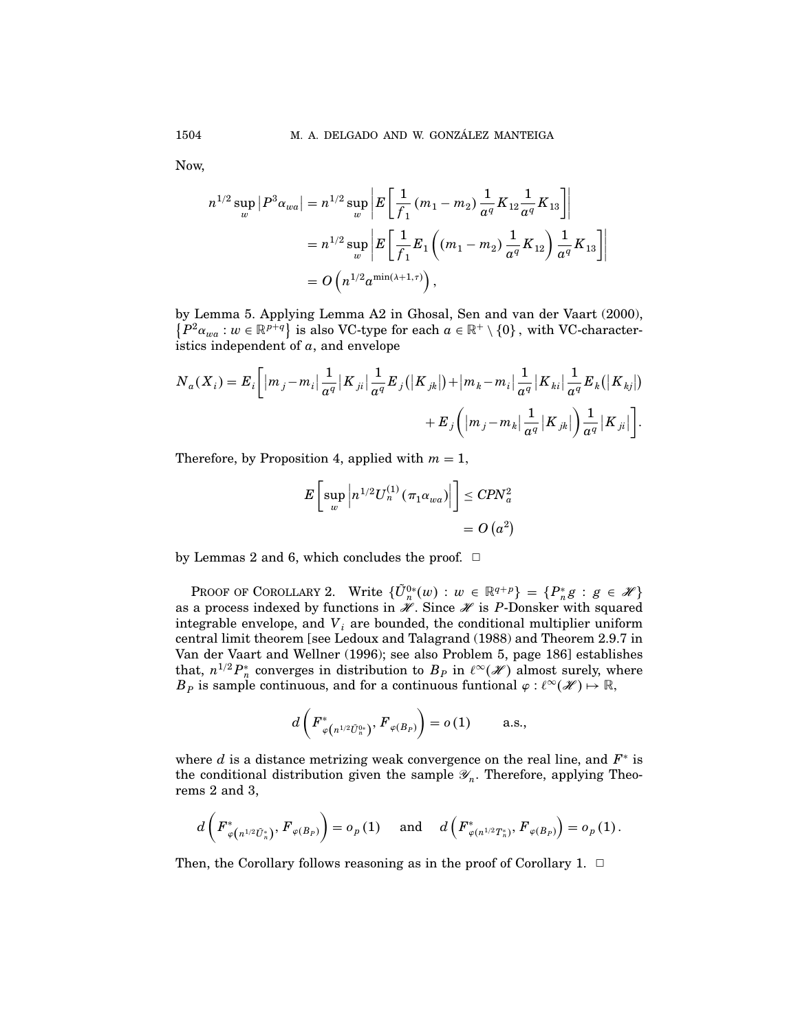Now,

$$
n^{1/2} \sup_{w} |P^3 \alpha_{wa}| = n^{1/2} \sup_{w} \left| E \left[ \frac{1}{f_1} (m_1 - m_2) \frac{1}{a^q} K_{12} \frac{1}{a^q} K_{13} \right] \right|
$$
  
=  $n^{1/2} \sup_{w} \left| E \left[ \frac{1}{f_1} E_1 \left( (m_1 - m_2) \frac{1}{a^q} K_{12} \right) \frac{1}{a^q} K_{13} \right] \right|$   
=  $O \left( n^{1/2} a^{\min(\lambda + 1, \tau)} \right),$ 

by Lemma 5. Applying Lemma A2 in Ghosal, Sen and van der Vaart (2000),  $\{P^2\alpha_{wa}: w \in \mathbb{R}^{p+q}\}\$ is also VC-type for each  $a \in \mathbb{R}^+ \setminus \{0\}$ , with VC-characteristics independent of  $a$ , and envelope

$$
N_a(X_i) = E_i \bigg[ |m_j - m_i| \frac{1}{a^q} |K_{ji}| \frac{1}{a^q} E_j(|K_{jk}|) + |m_k - m_i| \frac{1}{a^q} |K_{ki}| \frac{1}{a^q} E_k(|K_{kj}|) + E_j (m_j - m_k| \frac{1}{a^q} |K_{jk}|) \frac{1}{a^q} |K_{ji}| \bigg].
$$

Therefore, by Proposition 4, applied with  $m = 1$ ,

$$
E\left[\sup_{w}\left|n^{1/2}U_{n}^{(1)}\left(\pi_{1}\alpha_{wa}\right)\right|\right]\leq CPN_{a}^{2}
$$

$$
=O\left(a^{2}\right)
$$

by Lemmas 2 and 6, which concludes the proof.  $\Box$ 

PROOF OF COROLLARY 2. Write  $\{\tilde{U}_n^{0*}(w) : w \in \mathbb{R}^{q+p}\} = \{P_n^*g : g \in \mathscr{H}\}\$ as a process indexed by functions in  $\mathcal X$ . Since  $\mathcal X$  is P-Donsker with squared integrable envelope, and  $V_i$  are bounded, the conditional multiplier uniform central limit theorem [see Ledoux and Talagrand (1988) and Theorem 2.9.7 in Van der Vaart and Wellner (1996); see also Problem 5, page 186] establishes that,  $n^{1/2}P_n^*$  converges in distribution to  $B_P$  in  $\ell^{\infty}(\mathscr{H})$  almost surely, where  $B_P$  is sample continuous, and for a continuous funtional  $\varphi: \ell^{\infty}(\mathscr{H}) \mapsto \mathbb{R}$ ,

$$
d\left(F_{\varphi\left(n^{1/2}\tilde{U}_{n}^{0*}\right)}^{*},F_{\varphi\left(B_{P}\right)}\right)=o\left(1\right)\qquad\text{a.s.},
$$

where d is a distance metrizing weak convergence on the real line, and  $F^*$  is the conditional distribution given the sample  $\mathscr{Y}_n$ . Therefore, applying Theorems 2 and 3,

$$
d\left(F_{\varphi\left(n^{1/2}\tilde{U}_{n}^{*}\right)}^{*},F_{\varphi\left(B_{P}\right)}\right)=o_{p}\left(1\right)\quad\text{ and }\quad d\left(F_{\varphi\left(n^{1/2}T_{n}^{*}\right)}^{*},F_{\varphi\left(B_{P}\right)}\right)=o_{p}\left(1\right).
$$

Then, the Corollary follows reasoning as in the proof of Corollary 1.  $\Box$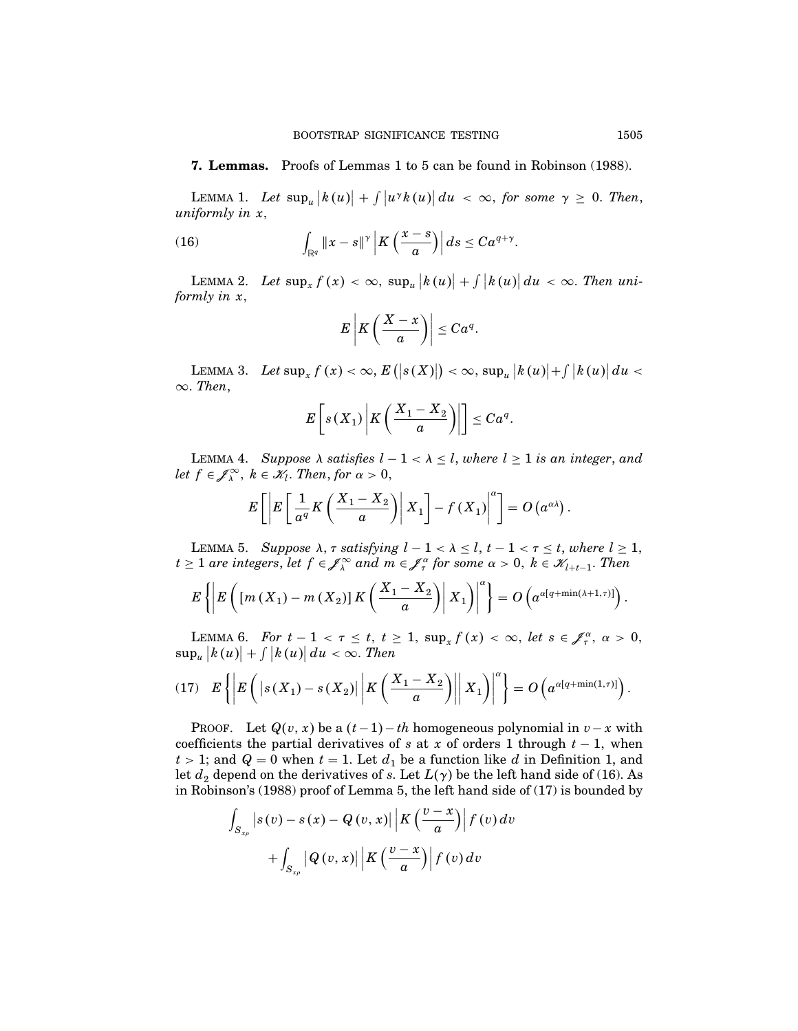## 7. Lemmas. Proofs of Lemmas 1 to 5 can be found in Robinson (1988).

LEMMA 1. Let  $\sup_{u} |k(u)| + \int |u^{\gamma}k(u)| du < \infty$ , for some  $\gamma \geq 0$ . Then, uniformly in x

(16) 
$$
\int_{\mathbb{R}^q} ||x-s||^{\gamma} \left| K \left( \frac{x-s}{a} \right) \right| ds \leq C a^{q+\gamma}.
$$

LEMMA 2. Let  $\sup_x f(x) < \infty$ ,  $\sup_u |k(u)| + \int |k(u)| du < \infty$ . Then uniformly in x,

$$
E\left|K\left(\frac{X-x}{a}\right)\right|\leq C\alpha^q.
$$

LEMMA 3. Let  $\sup_x f(x) < \infty$ ,  $E(|s(X)|) < \infty$ ,  $\sup_u |k(u)| + \int |k(u)| du <$  $\infty$ . Then,

$$
E\left[s(X_1)\middle|K\left(\frac{X_1-X_2}{a}\right)\middle|\right] \leq C a^q.
$$

LEMMA 4. Suppose  $\lambda$  satisfies  $l - 1 < \lambda \leq l$ , where  $l \geq 1$  is an integer, and let  $f \in \mathscr{J}_\lambda^\infty$ ,  $k \in \mathscr{K}_l$ . Then, for  $\alpha > 0$ ,

$$
E\left[\left|E\left[\frac{1}{a^q}K\left(\frac{X_1-X_2}{a}\right)\right|X_1\right]-f(X_1)\right|^\alpha\right]=O\left(a^{\alpha\lambda}\right).
$$

LEMMA 5. Suppose  $\lambda$ ,  $\tau$  satisfying  $l - 1 < \lambda \leq l$ ,  $t - 1 < \tau \leq t$ , where  $l \geq 1$ ,  $t \geq 1$  are integers, let  $f \in \mathcal{J}_\lambda^\infty$  and  $m \in \mathcal{J}_\tau^\alpha$  for some  $\alpha > 0$ ,  $k \in \mathcal{K}_{l+t-1}$ . Then

$$
E\left\{\left|E\left(\left[m\left(X_{1}\right)-m\left(X_{2}\right)\right]K\left(\frac{X_{1}-X_{2}}{a}\right)\right|X_{1}\right)\right|^{\alpha}\right\}=O\left(a^{\alpha\left[q+\min\left(\lambda+1,\tau\right)\right]}\right).
$$

LEMMA 6. For  $t-1 < \tau \leq t$ ,  $t \geq 1$ ,  $\sup_x f(x) < \infty$ , let  $s \in \mathcal{J}_{\tau}^{\alpha}$ ,  $\alpha > 0$ ,  $\sup_u |k(u)| + \int |k(u)| \, du < \infty$ . Then

$$
(17) \quad E\left\{ \left| E\left( \left| s\left( X_1 \right) - s\left( X_2 \right) \right| \left| K\left( \frac{X_1 - X_2}{a} \right) \right| \right| X_1 \right) \right\}^{\alpha} \right\} = O\left( a^{\alpha[q + \min(1, \tau)]} \right).
$$

PROOF. Let  $Q(v, x)$  be a  $(t-1)-th$  homogeneous polynomial in  $v-x$  with coefficients the partial derivatives of s at x of orders 1 through  $t - 1$ , when  $t > 1$ ; and  $Q = 0$  when  $t = 1$ . Let  $d_1$  be a function like d in Definition 1, and let  $d_2$  depend on the derivatives of s. Let  $L(\gamma)$  be the left hand side of (16). As in Robinson's (1988) proof of Lemma 5, the left hand side of (17) is bounded by

$$
\int_{S_{x\rho}} \left| s(v) - s(x) - Q(v, x) \right| \left| K\left(\frac{v - x}{a}\right) \right| f(v) dv
$$

$$
+ \int_{S_{x\rho}} \left| Q(v, x) \right| \left| K\left(\frac{v - x}{a}\right) \right| f(v) dv
$$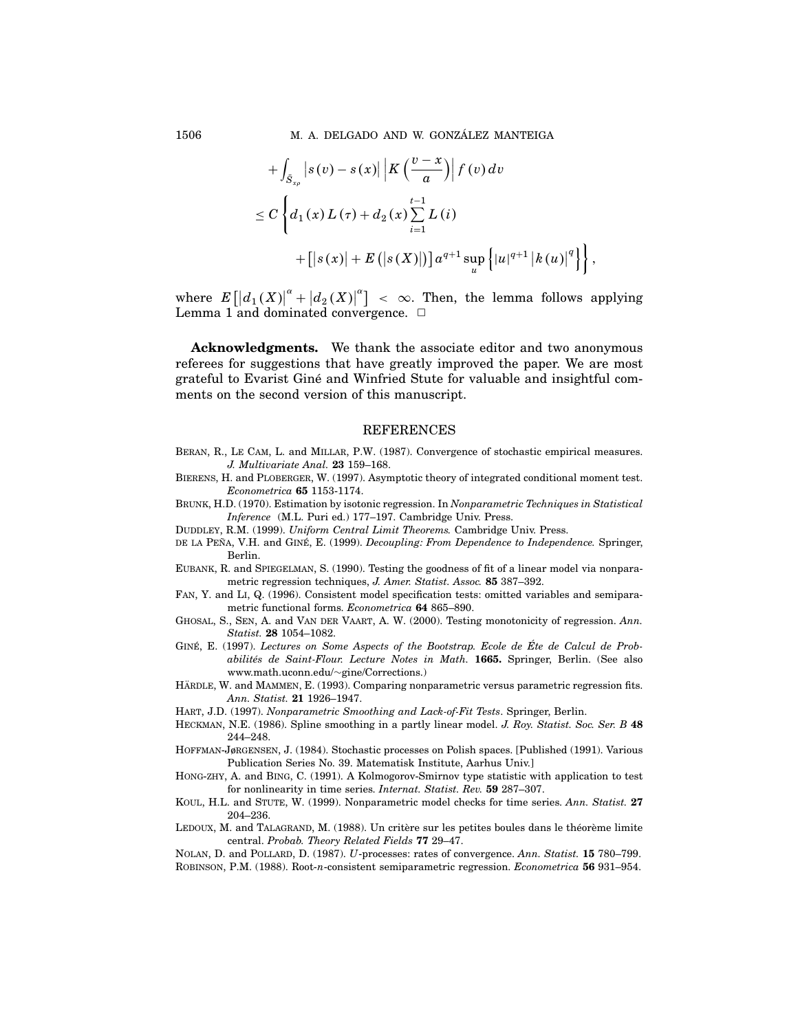+ 
$$
\int_{\tilde{S}_{x\rho}} |s(v) - s(x)| |K(\frac{v-x}{a})| f(v) dv
$$
  
\n $\leq C \left\{ d_1(x) L(\tau) + d_2(x) \sum_{i=1}^{t-1} L(i) + [|s(x)| + E(|s(X)|)] a^{q+1} \sup_u \left\{ |u|^{q+1} |k(u)|^q \right\} \right\}$ 

 $,$ 

where  $E\left[\left|d_1(X)\right|^{\alpha}+\left|d_2(X)\right|^{\alpha}\right] < \infty$ . Then, the lemma follows applying Lemma 1 and dominated convergence.  $\Box$ 

Acknowledgments. We thank the associate editor and two anonymous referees for suggestions that have greatly improved the paper. We are most grateful to Evarist Giné and Winfried Stute for valuable and insightful comments on the second version of this manuscript.

### REFERENCES

- Beran, R., Le Cam, L. and Millar, P.W. (1987). Convergence of stochastic empirical measures. J. Multivariate Anal. 23 159–168.
- Bierens, H. and Ploberger, W. (1997). Asymptotic theory of integrated conditional moment test. Econometrica 65 1153-1174.
- Brunk, H.D. (1970). Estimation by isotonic regression. In Nonparametric Techniques in Statistical Inference (M.L. Puri ed.) 177–197. Cambridge Univ. Press.
- DUDDLEY, R.M. (1999). Uniform Central Limit Theorems. Cambridge Univ. Press.
- DE LA PEÑA, V.H. and GINÉ, E. (1999). Decoupling: From Dependence to Independence. Springer, Berlin.
- Eubank, R. and Spiegelman, S. (1990). Testing the goodness of fit of a linear model via nonparametric regression techniques, J. Amer. Statist. Assoc. 85 387–392.
- Fan, Y. and Li, Q. (1996). Consistent model specification tests: omitted variables and semiparametric functional forms. Econometrica 64 865–890.
- GHOSAL, S., SEN, A. and VAN DER VAART, A. W. (2000). Testing monotonicity of regression. Ann. Statist. 28 1054–1082.
- GINÉ, E. (1997). Lectures on Some Aspects of the Bootstrap. Ecole de Éte de Calcul de Probabilités de Saint-Flour. Lecture Notes in Math. 1665. Springer, Berlin. (See also www.math.uconn.edu/∼gine/Corrections.)
- HÄRDLE, W. and MAMMEN, E. (1993). Comparing nonparametric versus parametric regression fits. Ann. Statist. 21 1926–1947.
- Hart, J.D. (1997). Nonparametric Smoothing and Lack-of-Fit Tests. Springer, Berlin.
- HECKMAN, N.E. (1986). Spline smoothing in a partly linear model. J. Roy. Statist. Soc. Ser. B 48 244–248.
- Hoffman-Jørgensen, J. (1984). Stochastic processes on Polish spaces. [Published (1991). Various Publication Series No. 39. Matematisk Institute, Aarhus Univ.]
- Hong-zhy, A. and Bing, C. (1991). A Kolmogorov-Smirnov type statistic with application to test for nonlinearity in time series. Internat. Statist. Rev. 59 287–307.
- KOUL, H.L. and STUTE, W. (1999). Nonparametric model checks for time series. Ann. Statist. 27 204–236.
- LEDOUX, M. and TALAGRAND, M. (1988). Un critère sur les petites boules dans le théorème limite central. Probab. Theory Related Fields 77 29–47.
- NOLAN, D. and POLLARD, D. (1987). U-processes: rates of convergence. Ann. Statist. 15 780-799. Robinson, P.M. (1988). Root-n-consistent semiparametric regression. Econometrica 56 931–954.